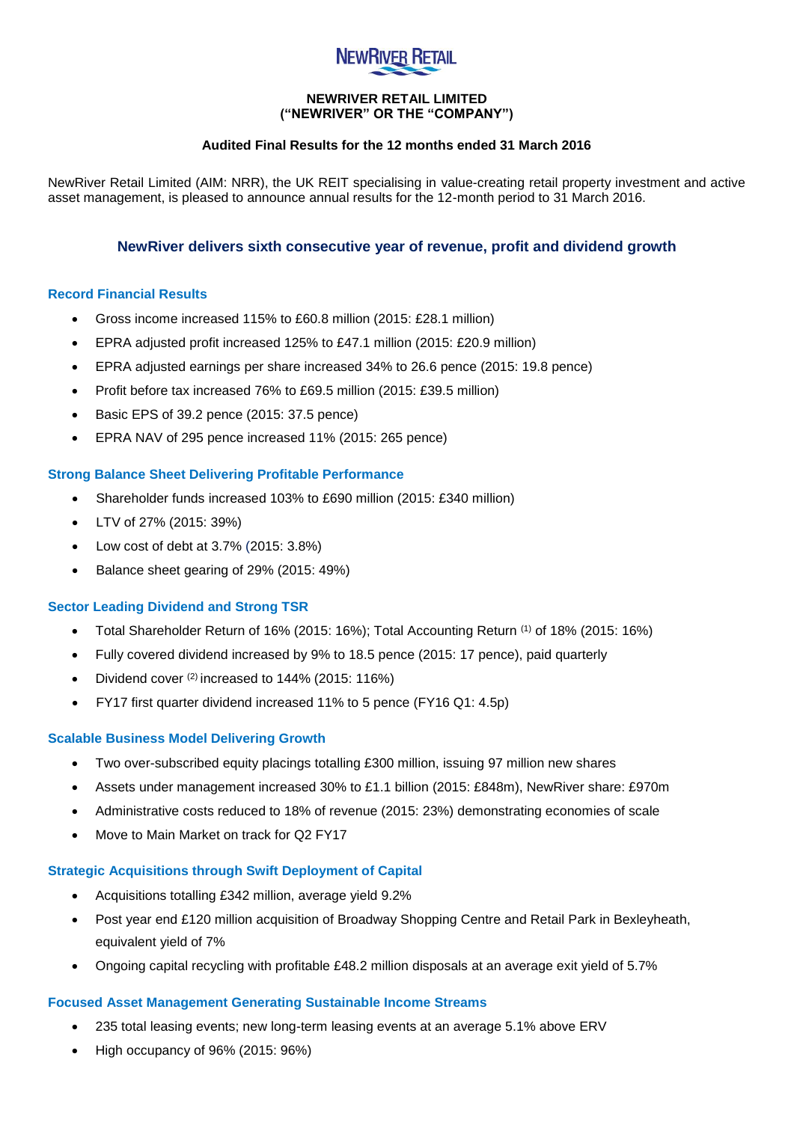

# **NEWRIVER RETAIL LIMITED ("NEWRIVER" OR THE "COMPANY")**

# **Audited Final Results for the 12 months ended 31 March 2016**

NewRiver Retail Limited (AIM: NRR), the UK REIT specialising in value-creating retail property investment and active asset management, is pleased to announce annual results for the 12-month period to 31 March 2016.

# **NewRiver delivers sixth consecutive year of revenue, profit and dividend growth**

# **Record Financial Results**

- Gross income increased 115% to £60.8 million (2015: £28.1 million)
- EPRA adjusted profit increased 125% to £47.1 million (2015: £20.9 million)
- EPRA adjusted earnings per share increased 34% to 26.6 pence (2015: 19.8 pence)
- Profit before tax increased 76% to £69.5 million (2015: £39.5 million)
- Basic EPS of 39.2 pence (2015: 37.5 pence)
- EPRA NAV of 295 pence increased 11% (2015: 265 pence)

# **Strong Balance Sheet Delivering Profitable Performance**

- Shareholder funds increased 103% to £690 million (2015: £340 million)
- LTV of 27% (2015: 39%)
- Low cost of debt at 3.7% (2015: 3.8%)
- Balance sheet gearing of 29% (2015: 49%)

# **Sector Leading Dividend and Strong TSR**

- Total Shareholder Return of 16% (2015: 16%); Total Accounting Return (1) of 18% (2015: 16%)
- Fully covered dividend increased by 9% to 18.5 pence (2015: 17 pence), paid quarterly
- Dividend cover (2) increased to 144% (2015: 116%)
- FY17 first quarter dividend increased 11% to 5 pence (FY16 Q1: 4.5p)

# **Scalable Business Model Delivering Growth**

- Two over-subscribed equity placings totalling £300 million, issuing 97 million new shares
- Assets under management increased 30% to £1.1 billion (2015: £848m), NewRiver share: £970m
- Administrative costs reduced to 18% of revenue (2015: 23%) demonstrating economies of scale
- Move to Main Market on track for Q2 FY17

# **Strategic Acquisitions through Swift Deployment of Capital**

- Acquisitions totalling £342 million, average yield 9.2%
- Post year end £120 million acquisition of Broadway Shopping Centre and Retail Park in Bexleyheath, equivalent yield of 7%
- Ongoing capital recycling with profitable £48.2 million disposals at an average exit yield of 5.7%

# **Focused Asset Management Generating Sustainable Income Streams**

- 235 total leasing events; new long-term leasing events at an average 5.1% above ERV
- High occupancy of 96% (2015: 96%)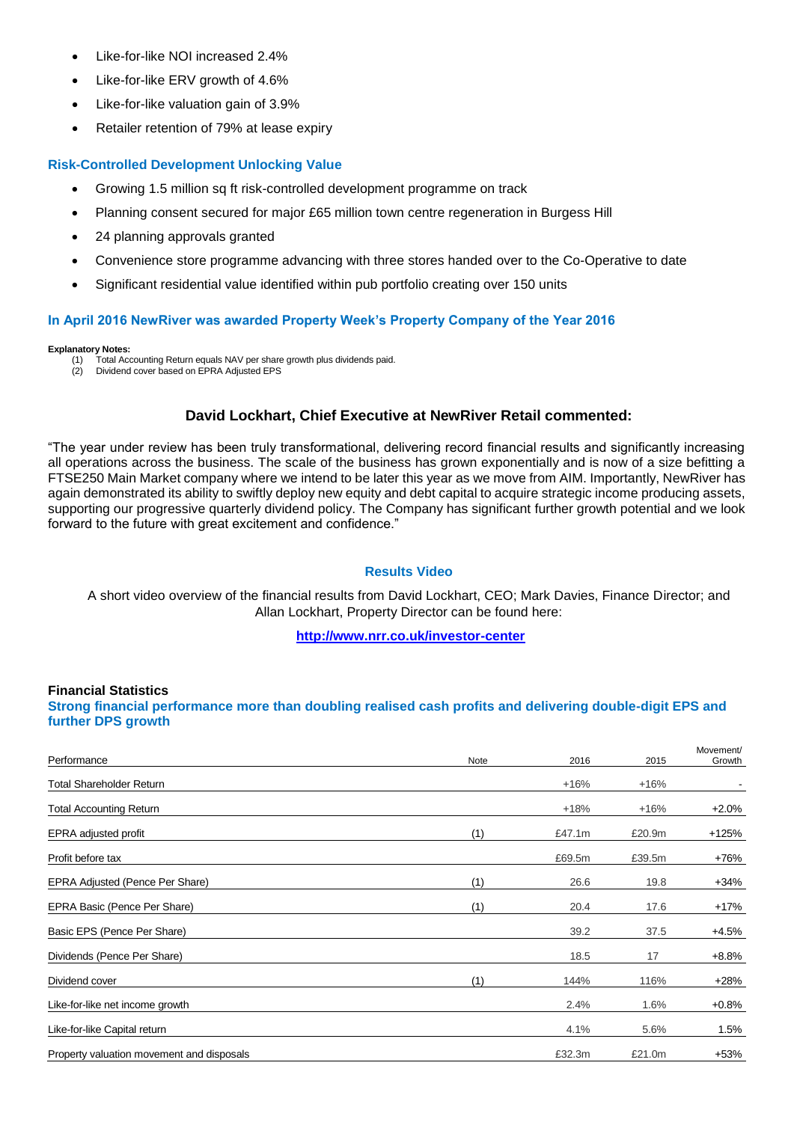- Like-for-like NOI increased 2.4%
- Like-for-like ERV growth of 4.6%
- Like-for-like valuation gain of 3.9%
- Retailer retention of 79% at lease expiry

# **Risk-Controlled Development Unlocking Value**

- Growing 1.5 million sq ft risk-controlled development programme on track
- Planning consent secured for major £65 million town centre regeneration in Burgess Hill
- 24 planning approvals granted
- Convenience store programme advancing with three stores handed over to the Co-Operative to date
- Significant residential value identified within pub portfolio creating over 150 units

# **In April 2016 NewRiver was awarded Property Week's Property Company of the Year 2016**

## **Explanatory Notes:**

(1) Total Accounting Return equals NAV per share growth plus dividends paid.

(2) Dividend cover based on EPRA Adjusted EPS

# **David Lockhart, Chief Executive at NewRiver Retail commented:**

"The year under review has been truly transformational, delivering record financial results and significantly increasing all operations across the business. The scale of the business has grown exponentially and is now of a size befitting a FTSE250 Main Market company where we intend to be later this year as we move from AIM. Importantly, NewRiver has again demonstrated its ability to swiftly deploy new equity and debt capital to acquire strategic income producing assets, supporting our progressive quarterly dividend policy. The Company has significant further growth potential and we look forward to the future with great excitement and confidence."

# **Results Video**

A short video overview of the financial results from David Lockhart, CEO; Mark Davies, Finance Director; and Allan Lockhart, Property Director can be found here:

**<http://www.nrr.co.uk/investor-center>**

## **Financial Statistics**

# **Strong financial performance more than doubling realised cash profits and delivering double-digit EPS and further DPS growth**

| Performance                               | Note | 2016   | 2015   | Movement/<br>Growth |
|-------------------------------------------|------|--------|--------|---------------------|
| <b>Total Shareholder Return</b>           |      | $+16%$ | $+16%$ |                     |
| <b>Total Accounting Return</b>            |      | $+18%$ | $+16%$ | $+2.0%$             |
| EPRA adjusted profit                      | (1)  | £47.1m | £20.9m | $+125%$             |
| Profit before tax                         |      | £69.5m | £39.5m | +76%                |
| EPRA Adjusted (Pence Per Share)           | (1)  | 26.6   | 19.8   | $+34%$              |
| EPRA Basic (Pence Per Share)              | (1)  | 20.4   | 17.6   | $+17%$              |
| Basic EPS (Pence Per Share)               |      | 39.2   | 37.5   | $+4.5%$             |
| Dividends (Pence Per Share)               |      | 18.5   | 17     | $+8.8%$             |
| Dividend cover                            | (1)  | 144%   | 116%   | $+28%$              |
| Like-for-like net income growth           |      | 2.4%   | 1.6%   | $+0.8%$             |
| Like-for-like Capital return              |      | 4.1%   | 5.6%   | 1.5%                |
| Property valuation movement and disposals |      | £32.3m | £21.0m | $+53%$              |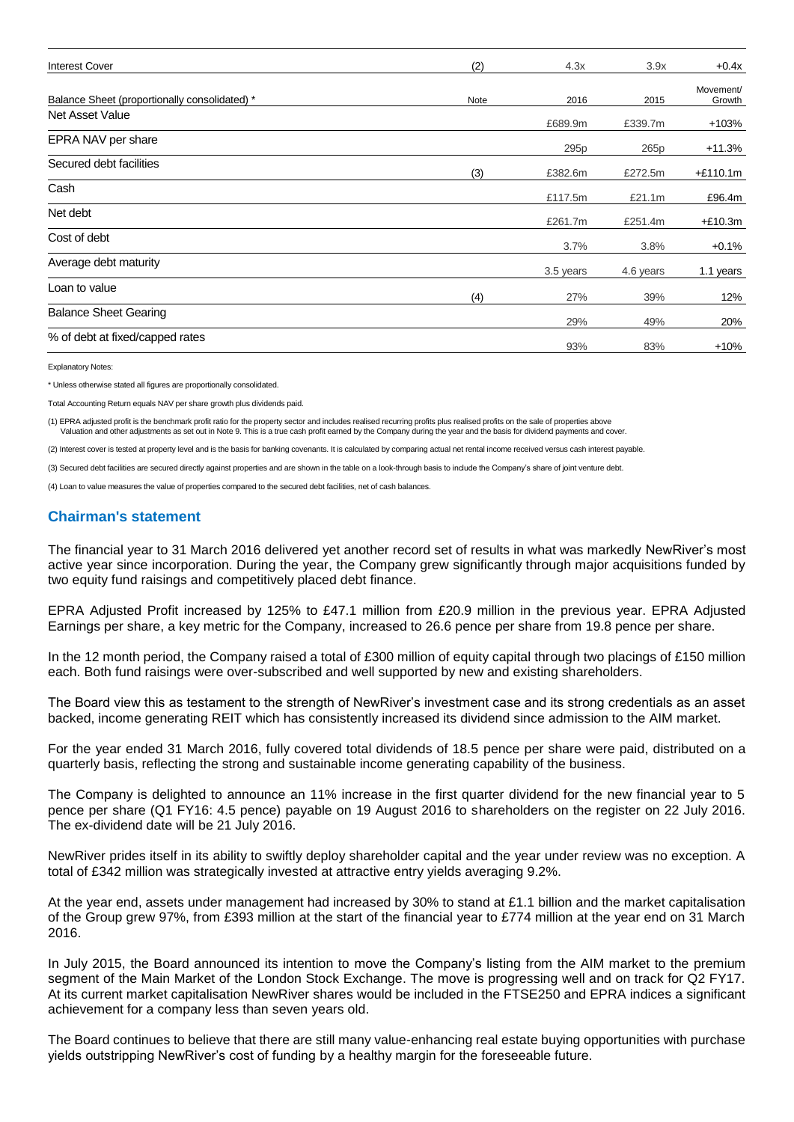| <b>Interest Cover</b>                         | (2)  | 4.3x             | 3.9x      | $+0.4x$             |
|-----------------------------------------------|------|------------------|-----------|---------------------|
| Balance Sheet (proportionally consolidated) * | Note | 2016             | 2015      | Movement/<br>Growth |
| Net Asset Value                               |      | £689.9m          | £339.7m   | $+103%$             |
| EPRA NAV per share                            |      | 295 <sub>p</sub> | 265p      | $+11.3%$            |
| Secured debt facilities                       | (3)  | £382.6m          | £272.5m   | $+£110.1m$          |
| Cash                                          |      | £117.5m          | £21.1m    | £96.4m              |
| Net debt                                      |      | £261.7m          | £251.4m   | $+£10.3m$           |
| Cost of debt                                  |      | 3.7%             | 3.8%      | $+0.1%$             |
| Average debt maturity                         |      | 3.5 years        | 4.6 years | 1.1 years           |
| Loan to value                                 | (4)  | 27%              | 39%       | 12%                 |
| <b>Balance Sheet Gearing</b>                  |      | 29%              | 49%       | 20%                 |
| % of debt at fixed/capped rates               |      | 93%              | 83%       | $+10%$              |

Explanatory Notes:

\* Unless otherwise stated all figures are proportionally consolidated.

Total Accounting Return equals NAV per share growth plus dividends paid.

(1) EPRA adjusted profit is the benchmark profit ratio for the property sector and includes realised recurring profits plus realised profits on the sale of properties above Valuation and other adjustments as set out in Note 9. This is a true cash profit earned by the Company during the year and the basis for dividend payments and cover.

(2) Interest cover is tested at property level and is the basis for banking covenants. It is calculated by comparing actual net rental income received versus cash interest payable.

(3) Secured debt facilities are secured directly against properties and are shown in the table on a look-through basis to include the Company's share of joint venture debt.

(4) Loan to value measures the value of properties compared to the secured debt facilities, net of cash balances.

## **Chairman's statement**

The financial year to 31 March 2016 delivered yet another record set of results in what was markedly NewRiver's most active year since incorporation. During the year, the Company grew significantly through major acquisitions funded by two equity fund raisings and competitively placed debt finance.

EPRA Adjusted Profit increased by 125% to £47.1 million from £20.9 million in the previous year. EPRA Adjusted Earnings per share, a key metric for the Company, increased to 26.6 pence per share from 19.8 pence per share.

In the 12 month period, the Company raised a total of £300 million of equity capital through two placings of £150 million each. Both fund raisings were over-subscribed and well supported by new and existing shareholders.

The Board view this as testament to the strength of NewRiver's investment case and its strong credentials as an asset backed, income generating REIT which has consistently increased its dividend since admission to the AIM market.

For the year ended 31 March 2016, fully covered total dividends of 18.5 pence per share were paid, distributed on a quarterly basis, reflecting the strong and sustainable income generating capability of the business.

The Company is delighted to announce an 11% increase in the first quarter dividend for the new financial year to 5 pence per share (Q1 FY16: 4.5 pence) payable on 19 August 2016 to shareholders on the register on 22 July 2016. The ex-dividend date will be 21 July 2016.

NewRiver prides itself in its ability to swiftly deploy shareholder capital and the year under review was no exception. A total of £342 million was strategically invested at attractive entry yields averaging 9.2%.

At the year end, assets under management had increased by 30% to stand at £1.1 billion and the market capitalisation of the Group grew 97%, from £393 million at the start of the financial year to £774 million at the year end on 31 March 2016.

In July 2015, the Board announced its intention to move the Company's listing from the AIM market to the premium segment of the Main Market of the London Stock Exchange. The move is progressing well and on track for Q2 FY17. At its current market capitalisation NewRiver shares would be included in the FTSE250 and EPRA indices a significant achievement for a company less than seven years old.

The Board continues to believe that there are still many value-enhancing real estate buying opportunities with purchase yields outstripping NewRiver's cost of funding by a healthy margin for the foreseeable future.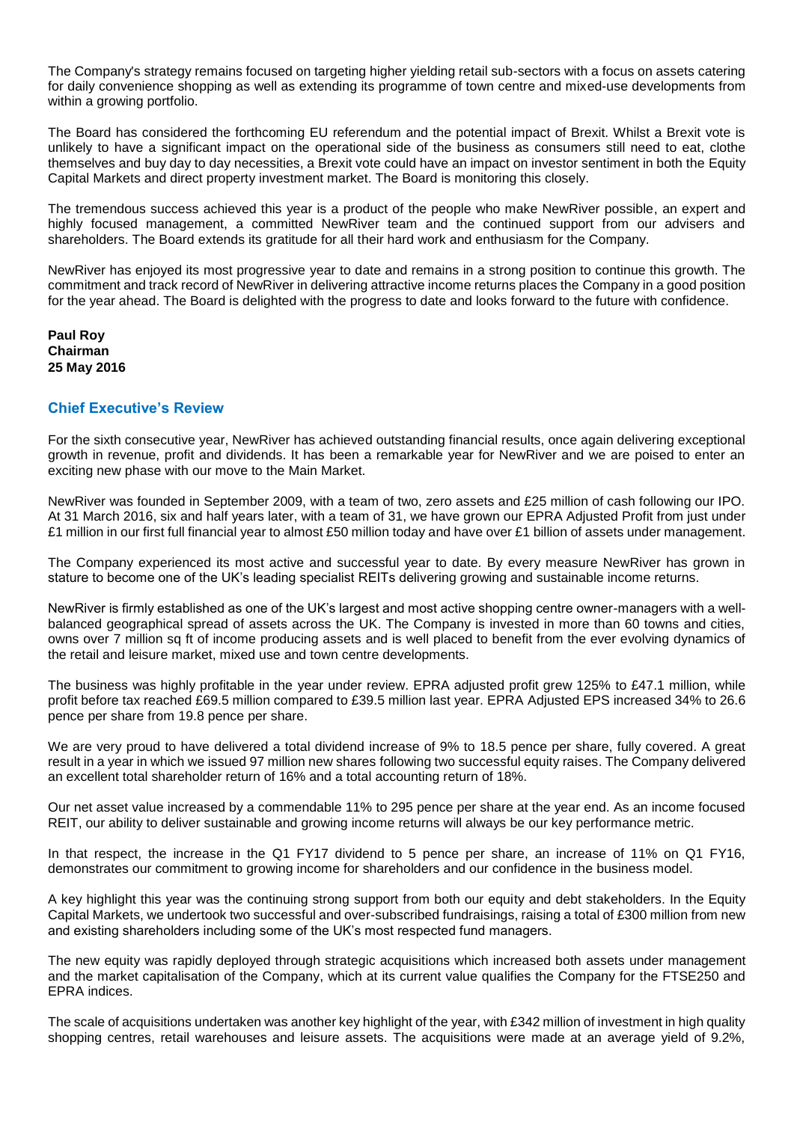The Company's strategy remains focused on targeting higher yielding retail sub-sectors with a focus on assets catering for daily convenience shopping as well as extending its programme of town centre and mixed-use developments from within a growing portfolio.

The Board has considered the forthcoming EU referendum and the potential impact of Brexit. Whilst a Brexit vote is unlikely to have a significant impact on the operational side of the business as consumers still need to eat, clothe themselves and buy day to day necessities, a Brexit vote could have an impact on investor sentiment in both the Equity Capital Markets and direct property investment market. The Board is monitoring this closely.

The tremendous success achieved this year is a product of the people who make NewRiver possible, an expert and highly focused management, a committed NewRiver team and the continued support from our advisers and shareholders. The Board extends its gratitude for all their hard work and enthusiasm for the Company.

NewRiver has enjoyed its most progressive year to date and remains in a strong position to continue this growth. The commitment and track record of NewRiver in delivering attractive income returns places the Company in a good position for the year ahead. The Board is delighted with the progress to date and looks forward to the future with confidence.

**Paul Roy Chairman 25 May 2016** 

# **Chief Executive's Review**

For the sixth consecutive year, NewRiver has achieved outstanding financial results, once again delivering exceptional growth in revenue, profit and dividends. It has been a remarkable year for NewRiver and we are poised to enter an exciting new phase with our move to the Main Market.

NewRiver was founded in September 2009, with a team of two, zero assets and £25 million of cash following our IPO. At 31 March 2016, six and half years later, with a team of 31, we have grown our EPRA Adjusted Profit from just under £1 million in our first full financial year to almost £50 million today and have over £1 billion of assets under management.

The Company experienced its most active and successful year to date. By every measure NewRiver has grown in stature to become one of the UK's leading specialist REITs delivering growing and sustainable income returns.

NewRiver is firmly established as one of the UK's largest and most active shopping centre owner-managers with a wellbalanced geographical spread of assets across the UK. The Company is invested in more than 60 towns and cities, owns over 7 million sq ft of income producing assets and is well placed to benefit from the ever evolving dynamics of the retail and leisure market, mixed use and town centre developments.

The business was highly profitable in the year under review. EPRA adjusted profit grew 125% to £47.1 million, while profit before tax reached £69.5 million compared to £39.5 million last year. EPRA Adjusted EPS increased 34% to 26.6 pence per share from 19.8 pence per share.

We are very proud to have delivered a total dividend increase of 9% to 18.5 pence per share, fully covered. A great result in a year in which we issued 97 million new shares following two successful equity raises. The Company delivered an excellent total shareholder return of 16% and a total accounting return of 18%.

Our net asset value increased by a commendable 11% to 295 pence per share at the year end. As an income focused REIT, our ability to deliver sustainable and growing income returns will always be our key performance metric.

In that respect, the increase in the Q1 FY17 dividend to 5 pence per share, an increase of 11% on Q1 FY16, demonstrates our commitment to growing income for shareholders and our confidence in the business model.

A key highlight this year was the continuing strong support from both our equity and debt stakeholders. In the Equity Capital Markets, we undertook two successful and over-subscribed fundraisings, raising a total of £300 million from new and existing shareholders including some of the UK's most respected fund managers.

The new equity was rapidly deployed through strategic acquisitions which increased both assets under management and the market capitalisation of the Company, which at its current value qualifies the Company for the FTSE250 and EPRA indices.

The scale of acquisitions undertaken was another key highlight of the year, with £342 million of investment in high quality shopping centres, retail warehouses and leisure assets. The acquisitions were made at an average yield of 9.2%,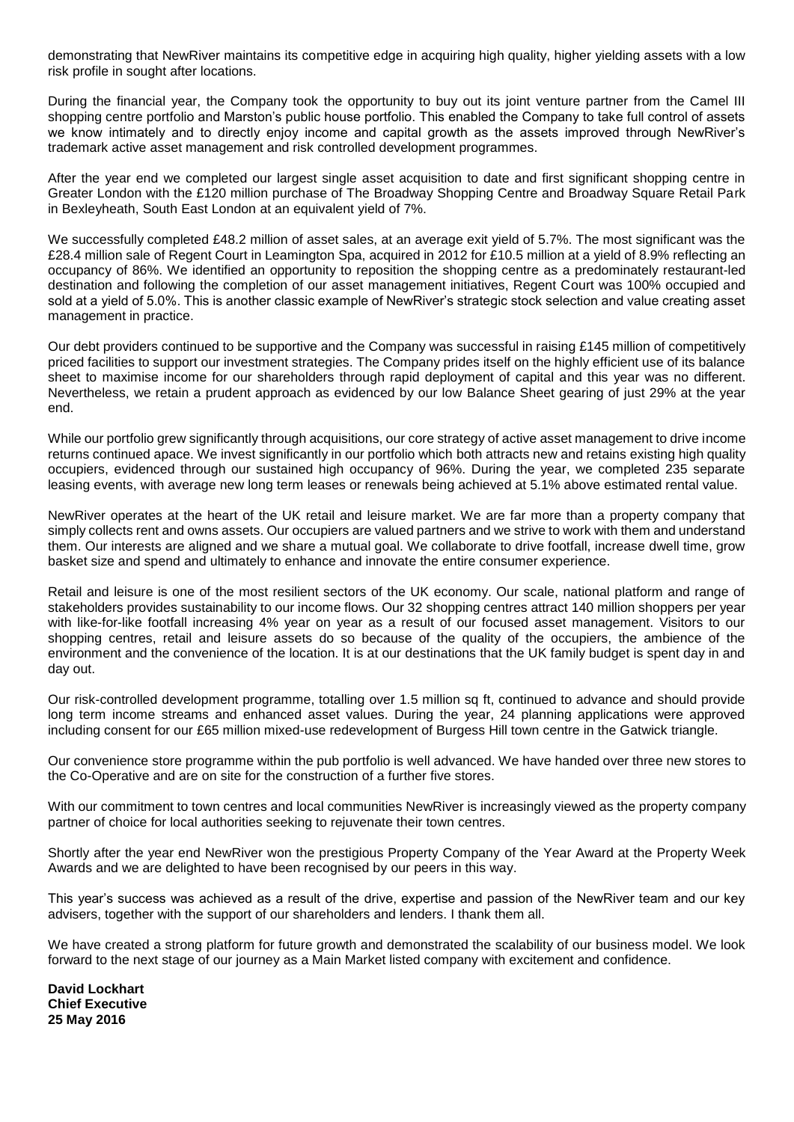demonstrating that NewRiver maintains its competitive edge in acquiring high quality, higher yielding assets with a low risk profile in sought after locations.

During the financial year, the Company took the opportunity to buy out its joint venture partner from the Camel III shopping centre portfolio and Marston's public house portfolio. This enabled the Company to take full control of assets we know intimately and to directly enjoy income and capital growth as the assets improved through NewRiver's trademark active asset management and risk controlled development programmes.

After the year end we completed our largest single asset acquisition to date and first significant shopping centre in Greater London with the £120 million purchase of The Broadway Shopping Centre and Broadway Square Retail Park in Bexleyheath, South East London at an equivalent yield of 7%.

We successfully completed £48.2 million of asset sales, at an average exit yield of 5.7%. The most significant was the £28.4 million sale of Regent Court in Leamington Spa, acquired in 2012 for £10.5 million at a yield of 8.9% reflecting an occupancy of 86%. We identified an opportunity to reposition the shopping centre as a predominately restaurant-led destination and following the completion of our asset management initiatives, Regent Court was 100% occupied and sold at a yield of 5.0%. This is another classic example of NewRiver's strategic stock selection and value creating asset management in practice.

Our debt providers continued to be supportive and the Company was successful in raising £145 million of competitively priced facilities to support our investment strategies. The Company prides itself on the highly efficient use of its balance sheet to maximise income for our shareholders through rapid deployment of capital and this year was no different. Nevertheless, we retain a prudent approach as evidenced by our low Balance Sheet gearing of just 29% at the year end.

While our portfolio grew significantly through acquisitions, our core strategy of active asset management to drive income returns continued apace. We invest significantly in our portfolio which both attracts new and retains existing high quality occupiers, evidenced through our sustained high occupancy of 96%. During the year, we completed 235 separate leasing events, with average new long term leases or renewals being achieved at 5.1% above estimated rental value.

NewRiver operates at the heart of the UK retail and leisure market. We are far more than a property company that simply collects rent and owns assets. Our occupiers are valued partners and we strive to work with them and understand them. Our interests are aligned and we share a mutual goal. We collaborate to drive footfall, increase dwell time, grow basket size and spend and ultimately to enhance and innovate the entire consumer experience.

Retail and leisure is one of the most resilient sectors of the UK economy. Our scale, national platform and range of stakeholders provides sustainability to our income flows. Our 32 shopping centres attract 140 million shoppers per year with like-for-like footfall increasing 4% year on year as a result of our focused asset management. Visitors to our shopping centres, retail and leisure assets do so because of the quality of the occupiers, the ambience of the environment and the convenience of the location. It is at our destinations that the UK family budget is spent day in and day out.

Our risk-controlled development programme, totalling over 1.5 million sq ft, continued to advance and should provide long term income streams and enhanced asset values. During the year, 24 planning applications were approved including consent for our £65 million mixed-use redevelopment of Burgess Hill town centre in the Gatwick triangle.

Our convenience store programme within the pub portfolio is well advanced. We have handed over three new stores to the Co-Operative and are on site for the construction of a further five stores.

With our commitment to town centres and local communities NewRiver is increasingly viewed as the property company partner of choice for local authorities seeking to rejuvenate their town centres.

Shortly after the year end NewRiver won the prestigious Property Company of the Year Award at the Property Week Awards and we are delighted to have been recognised by our peers in this way.

This year's success was achieved as a result of the drive, expertise and passion of the NewRiver team and our key advisers, together with the support of our shareholders and lenders. I thank them all.

We have created a strong platform for future growth and demonstrated the scalability of our business model. We look forward to the next stage of our journey as a Main Market listed company with excitement and confidence.

**David Lockhart Chief Executive 25 May 2016**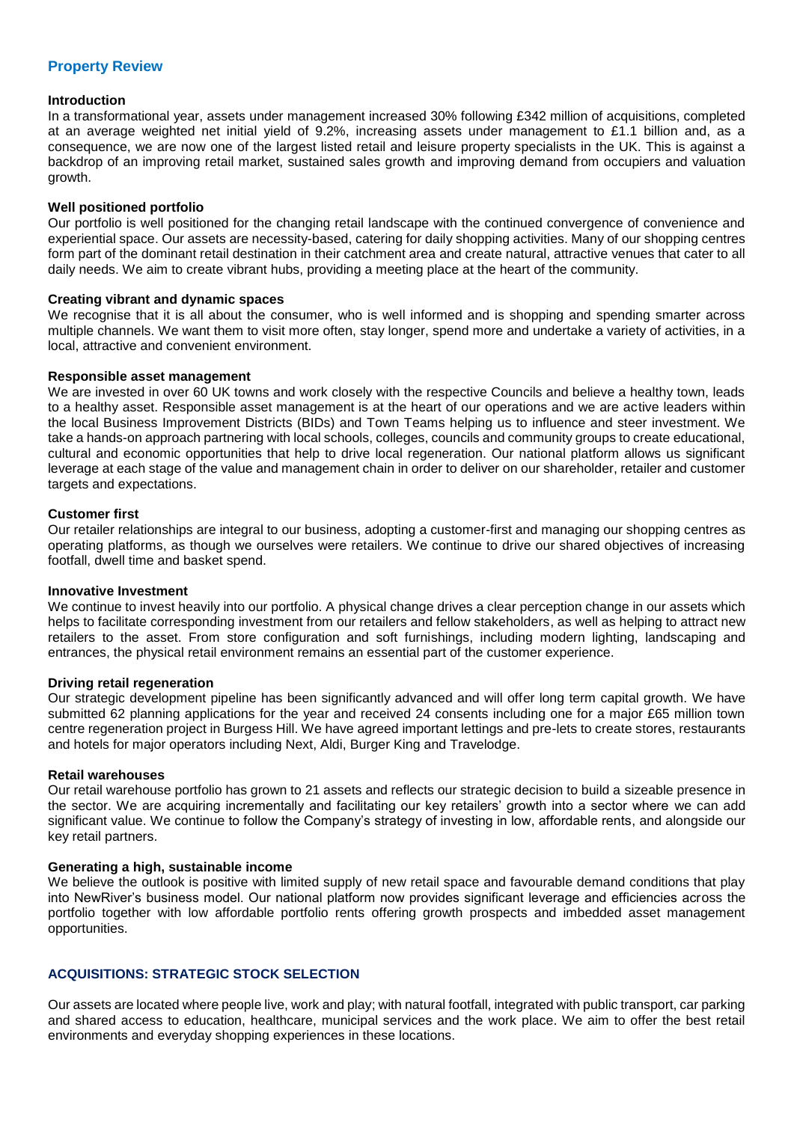# **Property Review**

## **Introduction**

In a transformational year, assets under management increased 30% following £342 million of acquisitions, completed at an average weighted net initial yield of 9.2%, increasing assets under management to £1.1 billion and, as a consequence, we are now one of the largest listed retail and leisure property specialists in the UK. This is against a backdrop of an improving retail market, sustained sales growth and improving demand from occupiers and valuation growth.

## **Well positioned portfolio**

Our portfolio is well positioned for the changing retail landscape with the continued convergence of convenience and experiential space. Our assets are necessity-based, catering for daily shopping activities. Many of our shopping centres form part of the dominant retail destination in their catchment area and create natural, attractive venues that cater to all daily needs. We aim to create vibrant hubs, providing a meeting place at the heart of the community.

## **Creating vibrant and dynamic spaces**

We recognise that it is all about the consumer, who is well informed and is shopping and spending smarter across multiple channels. We want them to visit more often, stay longer, spend more and undertake a variety of activities, in a local, attractive and convenient environment.

## **Responsible asset management**

We are invested in over 60 UK towns and work closely with the respective Councils and believe a healthy town, leads to a healthy asset. Responsible asset management is at the heart of our operations and we are active leaders within the local Business Improvement Districts (BIDs) and Town Teams helping us to influence and steer investment. We take a hands-on approach partnering with local schools, colleges, councils and community groups to create educational, cultural and economic opportunities that help to drive local regeneration. Our national platform allows us significant leverage at each stage of the value and management chain in order to deliver on our shareholder, retailer and customer targets and expectations.

## **Customer first**

Our retailer relationships are integral to our business, adopting a customer-first and managing our shopping centres as operating platforms, as though we ourselves were retailers. We continue to drive our shared objectives of increasing footfall, dwell time and basket spend.

## **Innovative Investment**

We continue to invest heavily into our portfolio. A physical change drives a clear perception change in our assets which helps to facilitate corresponding investment from our retailers and fellow stakeholders, as well as helping to attract new retailers to the asset. From store configuration and soft furnishings, including modern lighting, landscaping and entrances, the physical retail environment remains an essential part of the customer experience.

## **Driving retail regeneration**

Our strategic development pipeline has been significantly advanced and will offer long term capital growth. We have submitted 62 planning applications for the year and received 24 consents including one for a major £65 million town centre regeneration project in Burgess Hill. We have agreed important lettings and pre-lets to create stores, restaurants and hotels for major operators including Next, Aldi, Burger King and Travelodge.

## **Retail warehouses**

Our retail warehouse portfolio has grown to 21 assets and reflects our strategic decision to build a sizeable presence in the sector. We are acquiring incrementally and facilitating our key retailers' growth into a sector where we can add significant value. We continue to follow the Company's strategy of investing in low, affordable rents, and alongside our key retail partners.

## **Generating a high, sustainable income**

We believe the outlook is positive with limited supply of new retail space and favourable demand conditions that play into NewRiver's business model. Our national platform now provides significant leverage and efficiencies across the portfolio together with low affordable portfolio rents offering growth prospects and imbedded asset management opportunities.

# **ACQUISITIONS: STRATEGIC STOCK SELECTION**

Our assets are located where people live, work and play; with natural footfall, integrated with public transport, car parking and shared access to education, healthcare, municipal services and the work place. We aim to offer the best retail environments and everyday shopping experiences in these locations.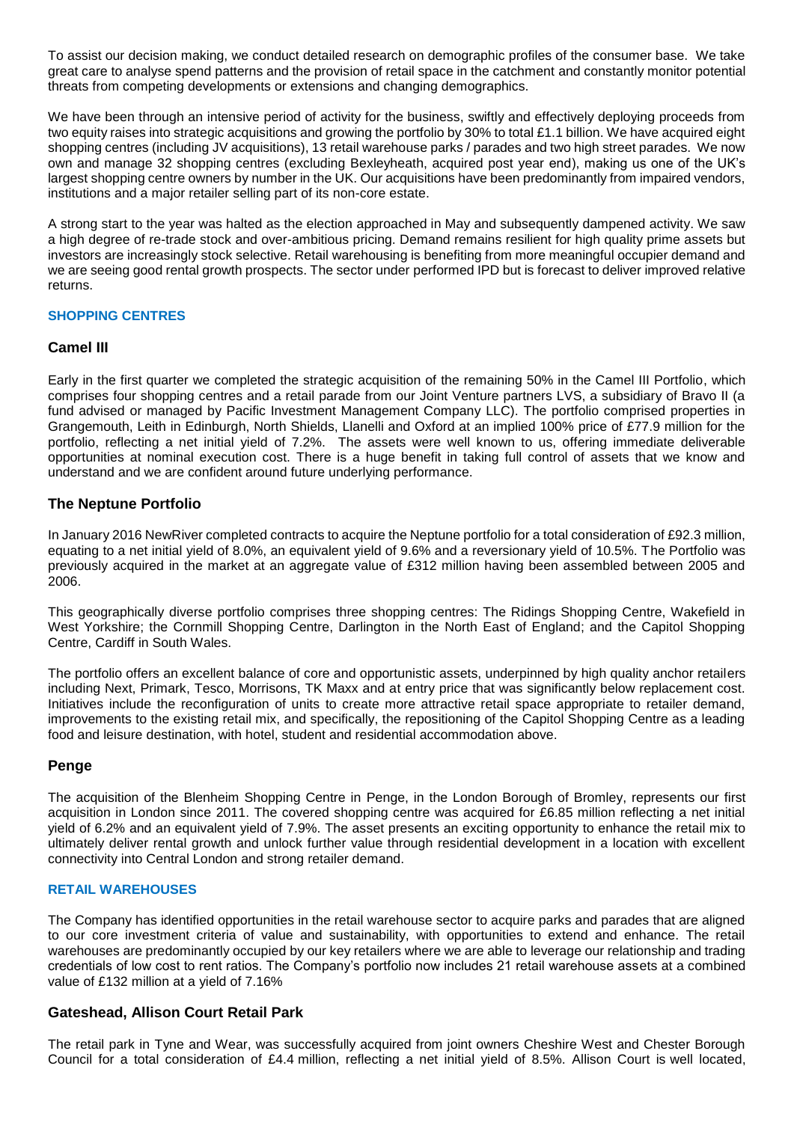To assist our decision making, we conduct detailed research on demographic profiles of the consumer base. We take great care to analyse spend patterns and the provision of retail space in the catchment and constantly monitor potential threats from competing developments or extensions and changing demographics.

We have been through an intensive period of activity for the business, swiftly and effectively deploying proceeds from two equity raises into strategic acquisitions and growing the portfolio by 30% to total £1.1 billion. We have acquired eight shopping centres (including JV acquisitions), 13 retail warehouse parks / parades and two high street parades. We now own and manage 32 shopping centres (excluding Bexleyheath, acquired post year end), making us one of the UK's largest shopping centre owners by number in the UK. Our acquisitions have been predominantly from impaired vendors, institutions and a major retailer selling part of its non-core estate.

A strong start to the year was halted as the election approached in May and subsequently dampened activity. We saw a high degree of re-trade stock and over-ambitious pricing. Demand remains resilient for high quality prime assets but investors are increasingly stock selective. Retail warehousing is benefiting from more meaningful occupier demand and we are seeing good rental growth prospects. The sector under performed IPD but is forecast to deliver improved relative returns.

# **SHOPPING CENTRES**

# **Camel III**

Early in the first quarter we completed the strategic acquisition of the remaining 50% in the Camel III Portfolio, which comprises four shopping centres and a retail parade from our Joint Venture partners LVS, a subsidiary of Bravo II (a fund advised or managed by Pacific Investment Management Company LLC). The portfolio comprised properties in Grangemouth, Leith in Edinburgh, North Shields, Llanelli and Oxford at an implied 100% price of £77.9 million for the portfolio, reflecting a net initial yield of 7.2%. The assets were well known to us, offering immediate deliverable opportunities at nominal execution cost. There is a huge benefit in taking full control of assets that we know and understand and we are confident around future underlying performance.

# **The Neptune Portfolio**

In January 2016 NewRiver completed contracts to acquire the Neptune portfolio for a total consideration of £92.3 million, equating to a net initial yield of 8.0%, an equivalent yield of 9.6% and a reversionary yield of 10.5%. The Portfolio was previously acquired in the market at an aggregate value of £312 million having been assembled between 2005 and 2006.

This geographically diverse portfolio comprises three shopping centres: The Ridings Shopping Centre, Wakefield in West Yorkshire; the Cornmill Shopping Centre, Darlington in the North East of England; and the Capitol Shopping Centre, Cardiff in South Wales.

The portfolio offers an excellent balance of core and opportunistic assets, underpinned by high quality anchor retailers including Next, Primark, Tesco, Morrisons, TK Maxx and at entry price that was significantly below replacement cost. Initiatives include the reconfiguration of units to create more attractive retail space appropriate to retailer demand, improvements to the existing retail mix, and specifically, the repositioning of the Capitol Shopping Centre as a leading food and leisure destination, with hotel, student and residential accommodation above.

# **Penge**

The acquisition of the Blenheim Shopping Centre in Penge, in the London Borough of Bromley, represents our first acquisition in London since 2011. The covered shopping centre was acquired for £6.85 million reflecting a net initial yield of 6.2% and an equivalent yield of 7.9%. The asset presents an exciting opportunity to enhance the retail mix to ultimately deliver rental growth and unlock further value through residential development in a location with excellent connectivity into Central London and strong retailer demand.

# **RETAIL WAREHOUSES**

The Company has identified opportunities in the retail warehouse sector to acquire parks and parades that are aligned to our core investment criteria of value and sustainability, with opportunities to extend and enhance. The retail warehouses are predominantly occupied by our key retailers where we are able to leverage our relationship and trading credentials of low cost to rent ratios. The Company's portfolio now includes 21 retail warehouse assets at a combined value of £132 million at a yield of 7.16%

# **Gateshead, Allison Court Retail Park**

The retail park in Tyne and Wear, was successfully acquired from joint owners Cheshire West and Chester Borough Council for a total consideration of £4.4 million, reflecting a net initial yield of 8.5%. Allison Court is well located,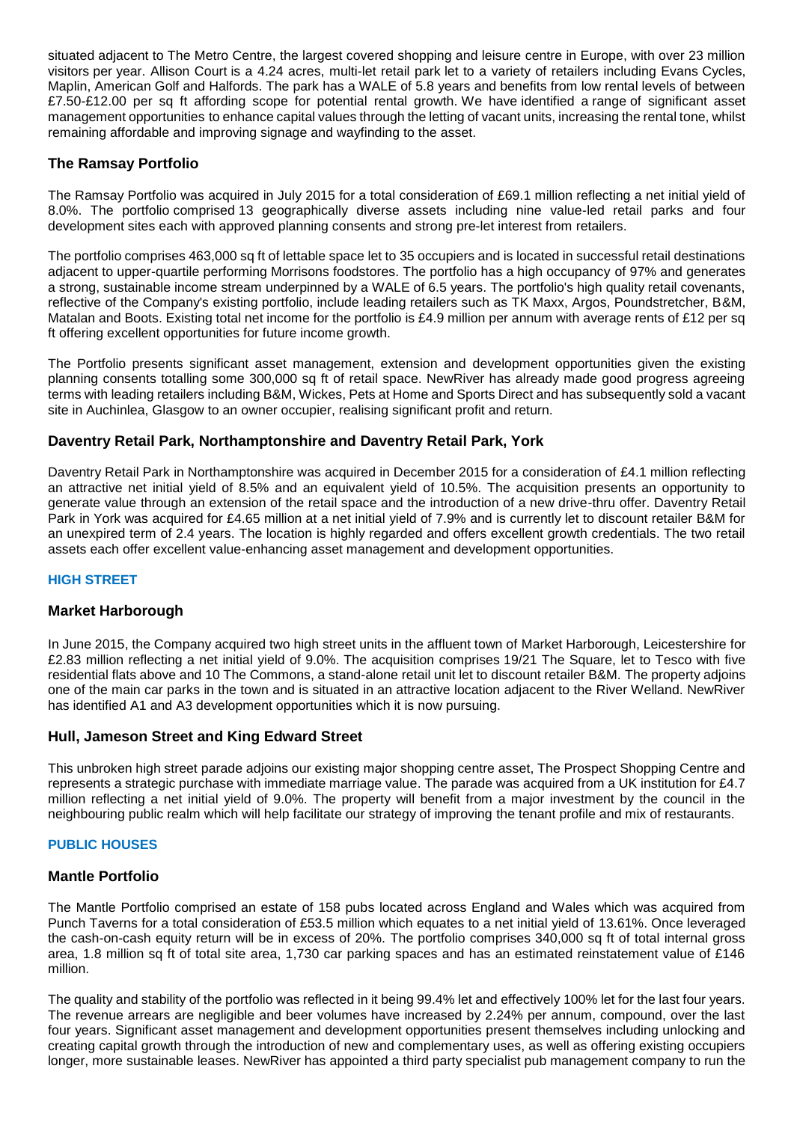situated adjacent to The Metro Centre, the largest covered shopping and leisure centre in Europe, with over 23 million visitors per year. Allison Court is a 4.24 acres, multi-let retail park let to a variety of retailers including Evans Cycles, Maplin, American Golf and Halfords. The park has a WALE of 5.8 years and benefits from low rental levels of between £7.50-£12.00 per sq ft affording scope for potential rental growth. We have identified a range of significant asset management opportunities to enhance capital values through the letting of vacant units, increasing the rental tone, whilst remaining affordable and improving signage and wayfinding to the asset.

# **The Ramsay Portfolio**

The Ramsay Portfolio was acquired in July 2015 for a total consideration of £69.1 million reflecting a net initial yield of 8.0%. The portfolio comprised 13 geographically diverse assets including nine value-led retail parks and four development sites each with approved planning consents and strong pre-let interest from retailers.

The portfolio comprises 463,000 sq ft of lettable space let to 35 occupiers and is located in successful retail destinations adjacent to upper-quartile performing Morrisons foodstores. The portfolio has a high occupancy of 97% and generates a strong, sustainable income stream underpinned by a WALE of 6.5 years. The portfolio's high quality retail covenants, reflective of the Company's existing portfolio, include leading retailers such as TK Maxx, Argos, Poundstretcher, B&M, Matalan and Boots. Existing total net income for the portfolio is £4.9 million per annum with average rents of £12 per sq ft offering excellent opportunities for future income growth.

The Portfolio presents significant asset management, extension and development opportunities given the existing planning consents totalling some 300,000 sq ft of retail space. NewRiver has already made good progress agreeing terms with leading retailers including B&M, Wickes, Pets at Home and Sports Direct and has subsequently sold a vacant site in Auchinlea, Glasgow to an owner occupier, realising significant profit and return.

# **Daventry Retail Park, Northamptonshire and Daventry Retail Park, York**

Daventry Retail Park in Northamptonshire was acquired in December 2015 for a consideration of £4.1 million reflecting an attractive net initial yield of 8.5% and an equivalent yield of 10.5%. The acquisition presents an opportunity to generate value through an extension of the retail space and the introduction of a new drive-thru offer. Daventry Retail Park in York was acquired for £4.65 million at a net initial yield of 7.9% and is currently let to discount retailer B&M for an unexpired term of 2.4 years. The location is highly regarded and offers excellent growth credentials. The two retail assets each offer excellent value-enhancing asset management and development opportunities.

# **HIGH STREET**

# **Market Harborough**

In June 2015, the Company acquired two high street units in the affluent town of Market Harborough, Leicestershire for £2.83 million reflecting a net initial yield of 9.0%. The acquisition comprises 19/21 The Square, let to Tesco with five residential flats above and 10 The Commons, a stand-alone retail unit let to discount retailer B&M. The property adjoins one of the main car parks in the town and is situated in an attractive location adjacent to the River Welland. NewRiver has identified A1 and A3 development opportunities which it is now pursuing.

# **Hull, Jameson Street and King Edward Street**

This unbroken high street parade adjoins our existing major shopping centre asset, The Prospect Shopping Centre and represents a strategic purchase with immediate marriage value. The parade was acquired from a UK institution for £4.7 million reflecting a net initial yield of 9.0%. The property will benefit from a major investment by the council in the neighbouring public realm which will help facilitate our strategy of improving the tenant profile and mix of restaurants.

## **PUBLIC HOUSES**

# **Mantle Portfolio**

The Mantle Portfolio comprised an estate of 158 pubs located across England and Wales which was acquired from Punch Taverns for a total consideration of £53.5 million which equates to a net initial yield of 13.61%. Once leveraged the cash-on-cash equity return will be in excess of 20%. The portfolio comprises 340,000 sq ft of total internal gross area, 1.8 million sq ft of total site area, 1,730 car parking spaces and has an estimated reinstatement value of £146 million.

The quality and stability of the portfolio was reflected in it being 99.4% let and effectively 100% let for the last four years. The revenue arrears are negligible and beer volumes have increased by 2.24% per annum, compound, over the last four years. Significant asset management and development opportunities present themselves including unlocking and creating capital growth through the introduction of new and complementary uses, as well as offering existing occupiers longer, more sustainable leases. NewRiver has appointed a third party specialist pub management company to run the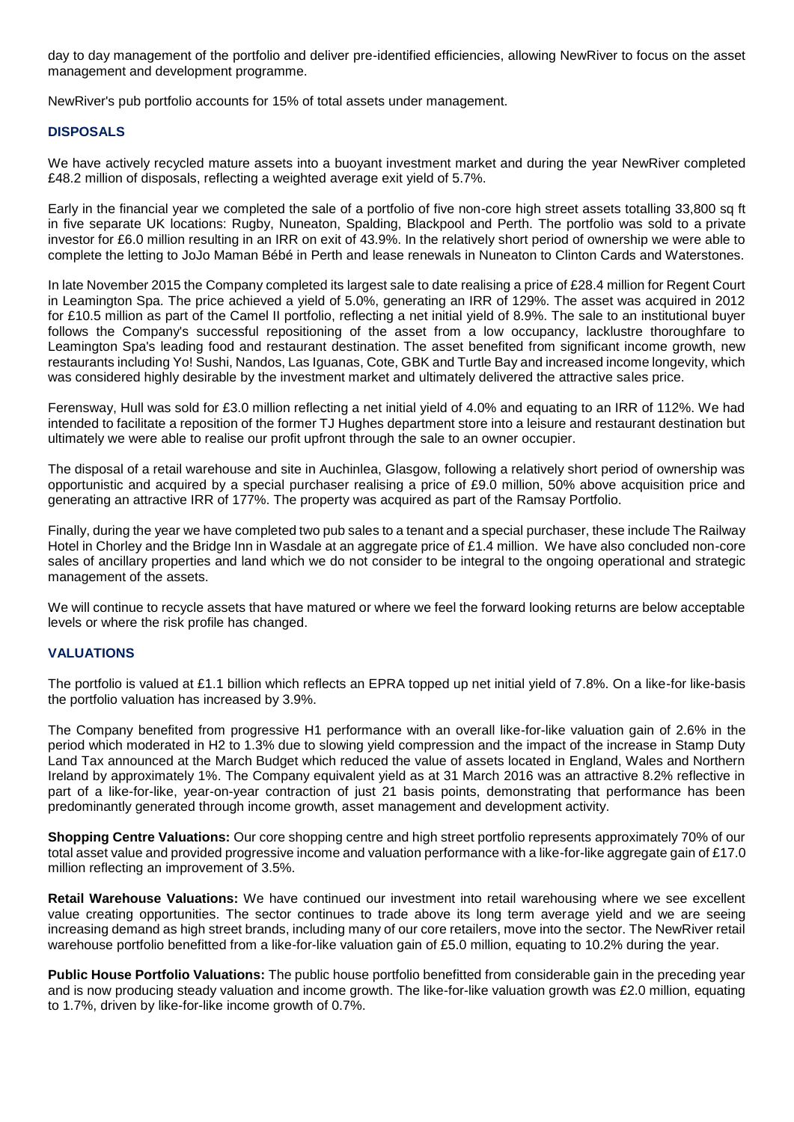day to day management of the portfolio and deliver pre-identified efficiencies, allowing NewRiver to focus on the asset management and development programme.

NewRiver's pub portfolio accounts for 15% of total assets under management.

# **DISPOSALS**

We have actively recycled mature assets into a buoyant investment market and during the year NewRiver completed £48.2 million of disposals, reflecting a weighted average exit yield of 5.7%.

Early in the financial year we completed the sale of a portfolio of five non-core high street assets totalling 33,800 sq ft in five separate UK locations: Rugby, Nuneaton, Spalding, Blackpool and Perth. The portfolio was sold to a private investor for £6.0 million resulting in an IRR on exit of 43.9%. In the relatively short period of ownership we were able to complete the letting to JoJo Maman Bébé in Perth and lease renewals in Nuneaton to Clinton Cards and Waterstones.

In late November 2015 the Company completed its largest sale to date realising a price of £28.4 million for Regent Court in Leamington Spa. The price achieved a yield of 5.0%, generating an IRR of 129%. The asset was acquired in 2012 for £10.5 million as part of the Camel II portfolio, reflecting a net initial yield of 8.9%. The sale to an institutional buyer follows the Company's successful repositioning of the asset from a low occupancy, lacklustre thoroughfare to Leamington Spa's leading food and restaurant destination. The asset benefited from significant income growth, new restaurants including Yo! Sushi, Nandos, Las Iguanas, Cote, GBK and Turtle Bay and increased income longevity, which was considered highly desirable by the investment market and ultimately delivered the attractive sales price.

Ferensway, Hull was sold for £3.0 million reflecting a net initial yield of 4.0% and equating to an IRR of 112%. We had intended to facilitate a reposition of the former TJ Hughes department store into a leisure and restaurant destination but ultimately we were able to realise our profit upfront through the sale to an owner occupier.

The disposal of a retail warehouse and site in Auchinlea, Glasgow, following a relatively short period of ownership was opportunistic and acquired by a special purchaser realising a price of £9.0 million, 50% above acquisition price and generating an attractive IRR of 177%. The property was acquired as part of the Ramsay Portfolio.

Finally, during the year we have completed two pub sales to a tenant and a special purchaser, these include The Railway Hotel in Chorley and the Bridge Inn in Wasdale at an aggregate price of £1.4 million. We have also concluded non-core sales of ancillary properties and land which we do not consider to be integral to the ongoing operational and strategic management of the assets.

We will continue to recycle assets that have matured or where we feel the forward looking returns are below acceptable levels or where the risk profile has changed.

# **VALUATIONS**

The portfolio is valued at £1.1 billion which reflects an EPRA topped up net initial yield of 7.8%. On a like-for like-basis the portfolio valuation has increased by 3.9%.

The Company benefited from progressive H1 performance with an overall like-for-like valuation gain of 2.6% in the period which moderated in H2 to 1.3% due to slowing yield compression and the impact of the increase in Stamp Duty Land Tax announced at the March Budget which reduced the value of assets located in England, Wales and Northern Ireland by approximately 1%. The Company equivalent yield as at 31 March 2016 was an attractive 8.2% reflective in part of a like-for-like, year-on-year contraction of just 21 basis points, demonstrating that performance has been predominantly generated through income growth, asset management and development activity.

**Shopping Centre Valuations:** Our core shopping centre and high street portfolio represents approximately 70% of our total asset value and provided progressive income and valuation performance with a like-for-like aggregate gain of £17.0 million reflecting an improvement of 3.5%.

**Retail Warehouse Valuations:** We have continued our investment into retail warehousing where we see excellent value creating opportunities. The sector continues to trade above its long term average yield and we are seeing increasing demand as high street brands, including many of our core retailers, move into the sector. The NewRiver retail warehouse portfolio benefitted from a like-for-like valuation gain of £5.0 million, equating to 10.2% during the year.

**Public House Portfolio Valuations:** The public house portfolio benefitted from considerable gain in the preceding year and is now producing steady valuation and income growth. The like-for-like valuation growth was £2.0 million, equating to 1.7%, driven by like-for-like income growth of 0.7%.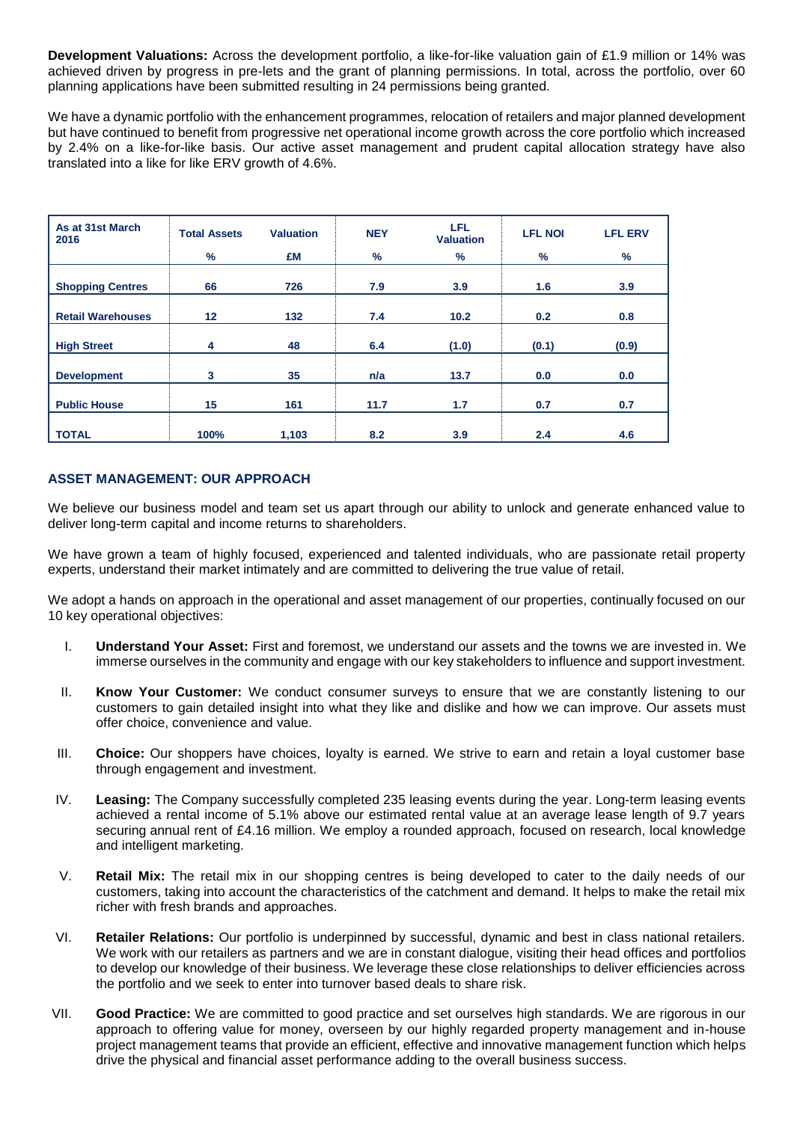**Development Valuations:** Across the development portfolio, a like-for-like valuation gain of £1.9 million or 14% was achieved driven by progress in pre-lets and the grant of planning permissions. In total, across the portfolio, over 60 planning applications have been submitted resulting in 24 permissions being granted.

We have a dynamic portfolio with the enhancement programmes, relocation of retailers and major planned development but have continued to benefit from progressive net operational income growth across the core portfolio which increased by 2.4% on a like-for-like basis. Our active asset management and prudent capital allocation strategy have also translated into a like for like ERV growth of 4.6%.

| As at 31st March<br>2016 | <b>Total Assets</b> | <b>Valuation</b> | <b>NEY</b> | <b>LFL</b><br><b>Valuation</b> | <b>LFL NOI</b> | <b>LFL ERV</b> |
|--------------------------|---------------------|------------------|------------|--------------------------------|----------------|----------------|
|                          | %                   | £M               | %          | %                              | %              | %              |
| <b>Shopping Centres</b>  | 66                  | 726              | 7.9        | 3.9                            | 1.6            | 3.9            |
| <b>Retail Warehouses</b> | 12                  | 132              | 7.4        | 10.2                           | 0.2            | 0.8            |
| <b>High Street</b>       | 4                   | 48               | 6.4        | (1.0)                          | (0.1)          | (0.9)          |
| <b>Development</b>       | 3                   | 35               | n/a        | 13.7                           | 0.0            | 0.0            |
| <b>Public House</b>      | 15                  | 161              | 11.7       | 1.7                            | 0.7            | 0.7            |
| <b>TOTAL</b>             | 100%                | 1,103            | 8.2        | 3.9                            | 2.4            | 4.6            |

# **ASSET MANAGEMENT: OUR APPROACH**

We believe our business model and team set us apart through our ability to unlock and generate enhanced value to deliver long-term capital and income returns to shareholders.

We have grown a team of highly focused, experienced and talented individuals, who are passionate retail property experts, understand their market intimately and are committed to delivering the true value of retail.

We adopt a hands on approach in the operational and asset management of our properties, continually focused on our 10 key operational objectives:

- I. **Understand Your Asset:** First and foremost, we understand our assets and the towns we are invested in. We immerse ourselves in the community and engage with our key stakeholders to influence and support investment.
- II. **Know Your Customer:** We conduct consumer surveys to ensure that we are constantly listening to our customers to gain detailed insight into what they like and dislike and how we can improve. Our assets must offer choice, convenience and value.
- III. **Choice:** Our shoppers have choices, loyalty is earned. We strive to earn and retain a loyal customer base through engagement and investment.
- IV. **Leasing:** The Company successfully completed 235 leasing events during the year. Long-term leasing events achieved a rental income of 5.1% above our estimated rental value at an average lease length of 9.7 years securing annual rent of £4.16 million. We employ a rounded approach, focused on research, local knowledge and intelligent marketing.
- V. **Retail Mix:** The retail mix in our shopping centres is being developed to cater to the daily needs of our customers, taking into account the characteristics of the catchment and demand. It helps to make the retail mix richer with fresh brands and approaches.
- VI. **Retailer Relations:** Our portfolio is underpinned by successful, dynamic and best in class national retailers. We work with our retailers as partners and we are in constant dialogue, visiting their head offices and portfolios to develop our knowledge of their business. We leverage these close relationships to deliver efficiencies across the portfolio and we seek to enter into turnover based deals to share risk.
- VII. **Good Practice:** We are committed to good practice and set ourselves high standards. We are rigorous in our approach to offering value for money, overseen by our highly regarded property management and in-house project management teams that provide an efficient, effective and innovative management function which helps drive the physical and financial asset performance adding to the overall business success.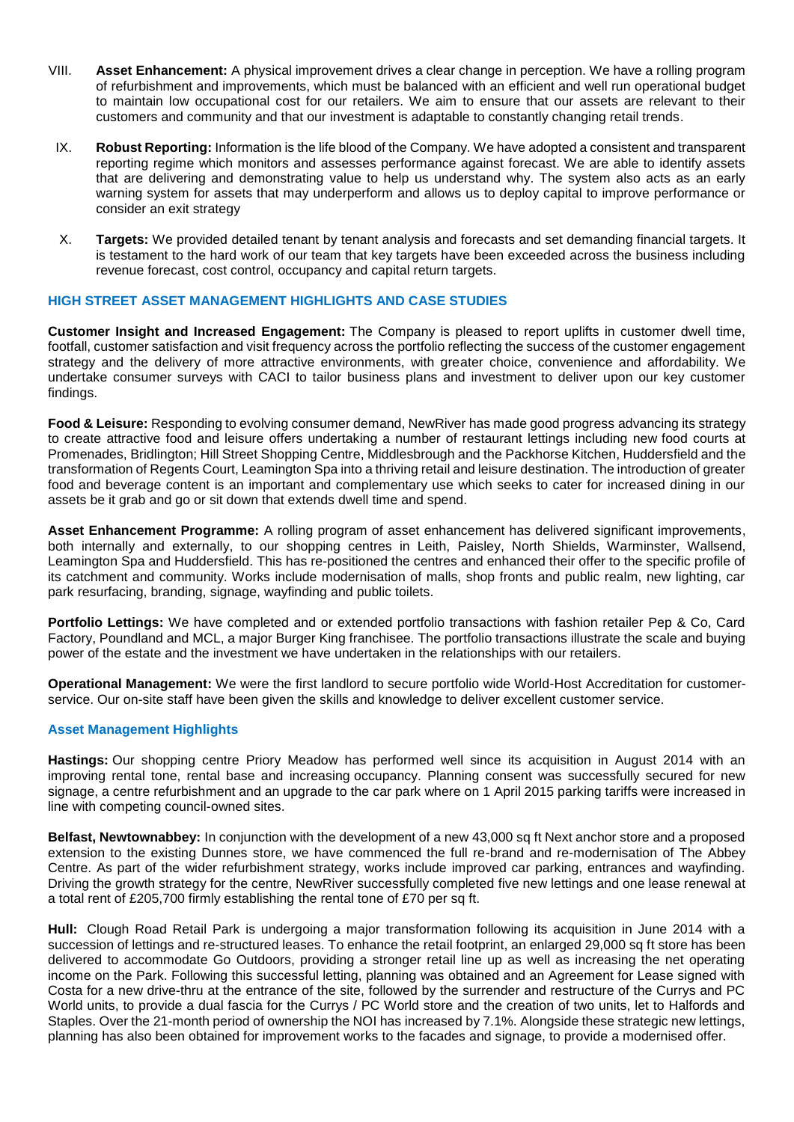- VIII. **Asset Enhancement:** A physical improvement drives a clear change in perception. We have a rolling program of refurbishment and improvements, which must be balanced with an efficient and well run operational budget to maintain low occupational cost for our retailers. We aim to ensure that our assets are relevant to their customers and community and that our investment is adaptable to constantly changing retail trends.
- IX. **Robust Reporting:** Information is the life blood of the Company. We have adopted a consistent and transparent reporting regime which monitors and assesses performance against forecast. We are able to identify assets that are delivering and demonstrating value to help us understand why. The system also acts as an early warning system for assets that may underperform and allows us to deploy capital to improve performance or consider an exit strategy
- X. **Targets:** We provided detailed tenant by tenant analysis and forecasts and set demanding financial targets. It is testament to the hard work of our team that key targets have been exceeded across the business including revenue forecast, cost control, occupancy and capital return targets.

# **HIGH STREET ASSET MANAGEMENT HIGHLIGHTS AND CASE STUDIES**

**Customer Insight and Increased Engagement:** The Company is pleased to report uplifts in customer dwell time, footfall, customer satisfaction and visit frequency across the portfolio reflecting the success of the customer engagement strategy and the delivery of more attractive environments, with greater choice, convenience and affordability. We undertake consumer surveys with CACI to tailor business plans and investment to deliver upon our key customer findings.

**Food & Leisure:** Responding to evolving consumer demand, NewRiver has made good progress advancing its strategy to create attractive food and leisure offers undertaking a number of restaurant lettings including new food courts at Promenades, Bridlington; Hill Street Shopping Centre, Middlesbrough and the Packhorse Kitchen, Huddersfield and the transformation of Regents Court, Leamington Spa into a thriving retail and leisure destination. The introduction of greater food and beverage content is an important and complementary use which seeks to cater for increased dining in our assets be it grab and go or sit down that extends dwell time and spend.

**Asset Enhancement Programme:** A rolling program of asset enhancement has delivered significant improvements, both internally and externally, to our shopping centres in Leith, Paisley, North Shields, Warminster, Wallsend, Leamington Spa and Huddersfield. This has re-positioned the centres and enhanced their offer to the specific profile of its catchment and community. Works include modernisation of malls, shop fronts and public realm, new lighting, car park resurfacing, branding, signage, wayfinding and public toilets.

**Portfolio Lettings:** We have completed and or extended portfolio transactions with fashion retailer Pep & Co, Card Factory, Poundland and MCL, a major Burger King franchisee. The portfolio transactions illustrate the scale and buying power of the estate and the investment we have undertaken in the relationships with our retailers.

**Operational Management:** We were the first landlord to secure portfolio wide World-Host Accreditation for customerservice. Our on-site staff have been given the skills and knowledge to deliver excellent customer service.

# **Asset Management Highlights**

**Hastings:** Our shopping centre Priory Meadow has performed well since its acquisition in August 2014 with an improving rental tone, rental base and increasing occupancy. Planning consent was successfully secured for new signage, a centre refurbishment and an upgrade to the car park where on 1 April 2015 parking tariffs were increased in line with competing council-owned sites.

**Belfast, Newtownabbey:** In conjunction with the development of a new 43,000 sq ft Next anchor store and a proposed extension to the existing Dunnes store, we have commenced the full re-brand and re-modernisation of The Abbey Centre. As part of the wider refurbishment strategy, works include improved car parking, entrances and wayfinding. Driving the growth strategy for the centre, NewRiver successfully completed five new lettings and one lease renewal at a total rent of £205,700 firmly establishing the rental tone of £70 per sq ft.

**Hull:** Clough Road Retail Park is undergoing a major transformation following its acquisition in June 2014 with a succession of lettings and re-structured leases. To enhance the retail footprint, an enlarged 29,000 sq ft store has been delivered to accommodate Go Outdoors, providing a stronger retail line up as well as increasing the net operating income on the Park. Following this successful letting, planning was obtained and an Agreement for Lease signed with Costa for a new drive-thru at the entrance of the site, followed by the surrender and restructure of the Currys and PC World units, to provide a dual fascia for the Currys / PC World store and the creation of two units, let to Halfords and Staples. Over the 21-month period of ownership the NOI has increased by 7.1%. Alongside these strategic new lettings, planning has also been obtained for improvement works to the facades and signage, to provide a modernised offer.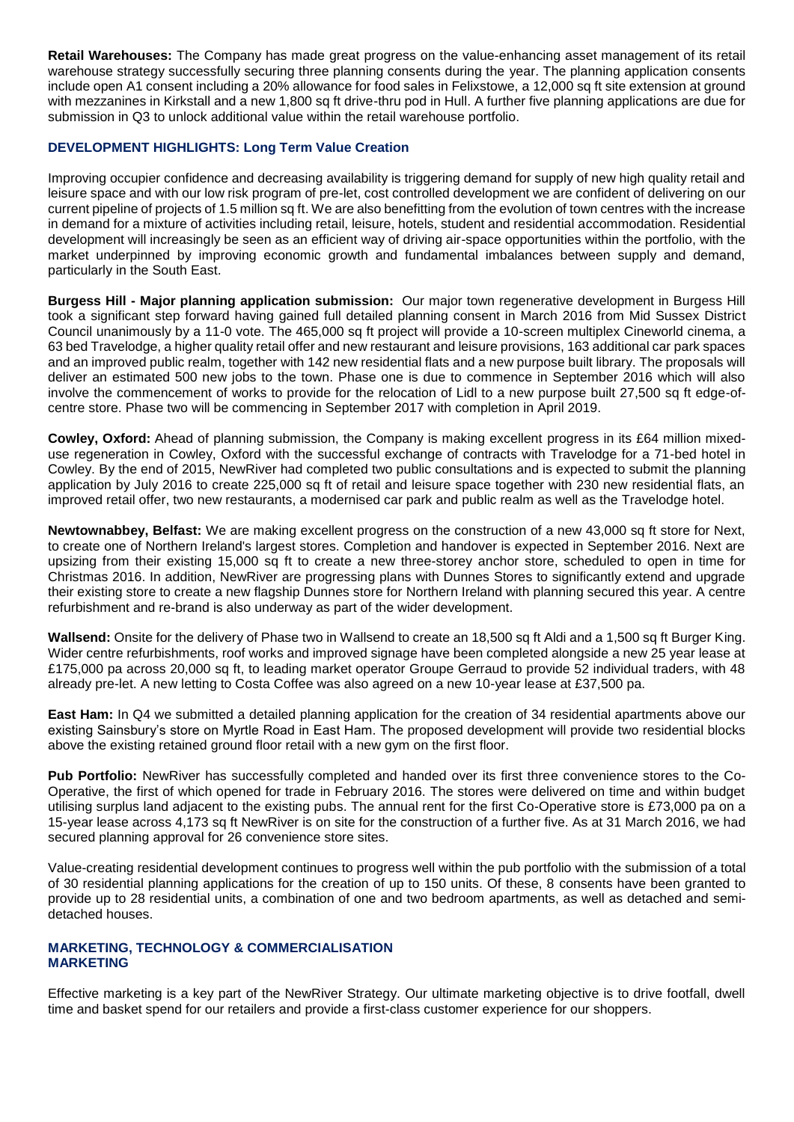**Retail Warehouses:** The Company has made great progress on the value-enhancing asset management of its retail warehouse strategy successfully securing three planning consents during the year. The planning application consents include open A1 consent including a 20% allowance for food sales in Felixstowe, a 12,000 sq ft site extension at ground with mezzanines in Kirkstall and a new 1,800 sq ft drive-thru pod in Hull. A further five planning applications are due for submission in Q3 to unlock additional value within the retail warehouse portfolio.

# **DEVELOPMENT HIGHLIGHTS: Long Term Value Creation**

Improving occupier confidence and decreasing availability is triggering demand for supply of new high quality retail and leisure space and with our low risk program of pre-let, cost controlled development we are confident of delivering on our current pipeline of projects of 1.5 million sq ft. We are also benefitting from the evolution of town centres with the increase in demand for a mixture of activities including retail, leisure, hotels, student and residential accommodation. Residential development will increasingly be seen as an efficient way of driving air-space opportunities within the portfolio, with the market underpinned by improving economic growth and fundamental imbalances between supply and demand, particularly in the South East.

**Burgess Hill - Major planning application submission:** Our major town regenerative development in Burgess Hill took a significant step forward having gained full detailed planning consent in March 2016 from Mid Sussex District Council unanimously by a 11-0 vote. The 465,000 sq ft project will provide a 10-screen multiplex Cineworld cinema, a 63 bed Travelodge, a higher quality retail offer and new restaurant and leisure provisions, 163 additional car park spaces and an improved public realm, together with 142 new residential flats and a new purpose built library. The proposals will deliver an estimated 500 new jobs to the town. Phase one is due to commence in September 2016 which will also involve the commencement of works to provide for the relocation of Lidl to a new purpose built 27,500 sq ft edge-ofcentre store. Phase two will be commencing in September 2017 with completion in April 2019.

**Cowley, Oxford:** Ahead of planning submission, the Company is making excellent progress in its £64 million mixeduse regeneration in Cowley, Oxford with the successful exchange of contracts with Travelodge for a 71-bed hotel in Cowley. By the end of 2015, NewRiver had completed two public consultations and is expected to submit the planning application by July 2016 to create 225,000 sq ft of retail and leisure space together with 230 new residential flats, an improved retail offer, two new restaurants, a modernised car park and public realm as well as the Travelodge hotel.

**Newtownabbey, Belfast:** We are making excellent progress on the construction of a new 43,000 sq ft store for Next, to create one of Northern Ireland's largest stores. Completion and handover is expected in September 2016. Next are upsizing from their existing 15,000 sq ft to create a new three-storey anchor store, scheduled to open in time for Christmas 2016. In addition, NewRiver are progressing plans with Dunnes Stores to significantly extend and upgrade their existing store to create a new flagship Dunnes store for Northern Ireland with planning secured this year. A centre refurbishment and re-brand is also underway as part of the wider development.

**Wallsend:** Onsite for the delivery of Phase two in Wallsend to create an 18,500 sq ft Aldi and a 1,500 sq ft Burger King. Wider centre refurbishments, roof works and improved signage have been completed alongside a new 25 year lease at £175,000 pa across 20,000 sq ft, to leading market operator Groupe Gerraud to provide 52 individual traders, with 48 already pre-let. A new letting to Costa Coffee was also agreed on a new 10-year lease at £37,500 pa.

**East Ham:** In Q4 we submitted a detailed planning application for the creation of 34 residential apartments above our existing Sainsbury's store on Myrtle Road in East Ham. The proposed development will provide two residential blocks above the existing retained ground floor retail with a new gym on the first floor.

**Pub Portfolio:** NewRiver has successfully completed and handed over its first three convenience stores to the Co-Operative, the first of which opened for trade in February 2016. The stores were delivered on time and within budget utilising surplus land adjacent to the existing pubs. The annual rent for the first Co-Operative store is £73,000 pa on a 15-year lease across 4,173 sq ft NewRiver is on site for the construction of a further five. As at 31 March 2016, we had secured planning approval for 26 convenience store sites.

Value-creating residential development continues to progress well within the pub portfolio with the submission of a total of 30 residential planning applications for the creation of up to 150 units. Of these, 8 consents have been granted to provide up to 28 residential units, a combination of one and two bedroom apartments, as well as detached and semidetached houses.

# **MARKETING, TECHNOLOGY & COMMERCIALISATION MARKETING**

Effective marketing is a key part of the NewRiver Strategy. Our ultimate marketing objective is to drive footfall, dwell time and basket spend for our retailers and provide a first-class customer experience for our shoppers.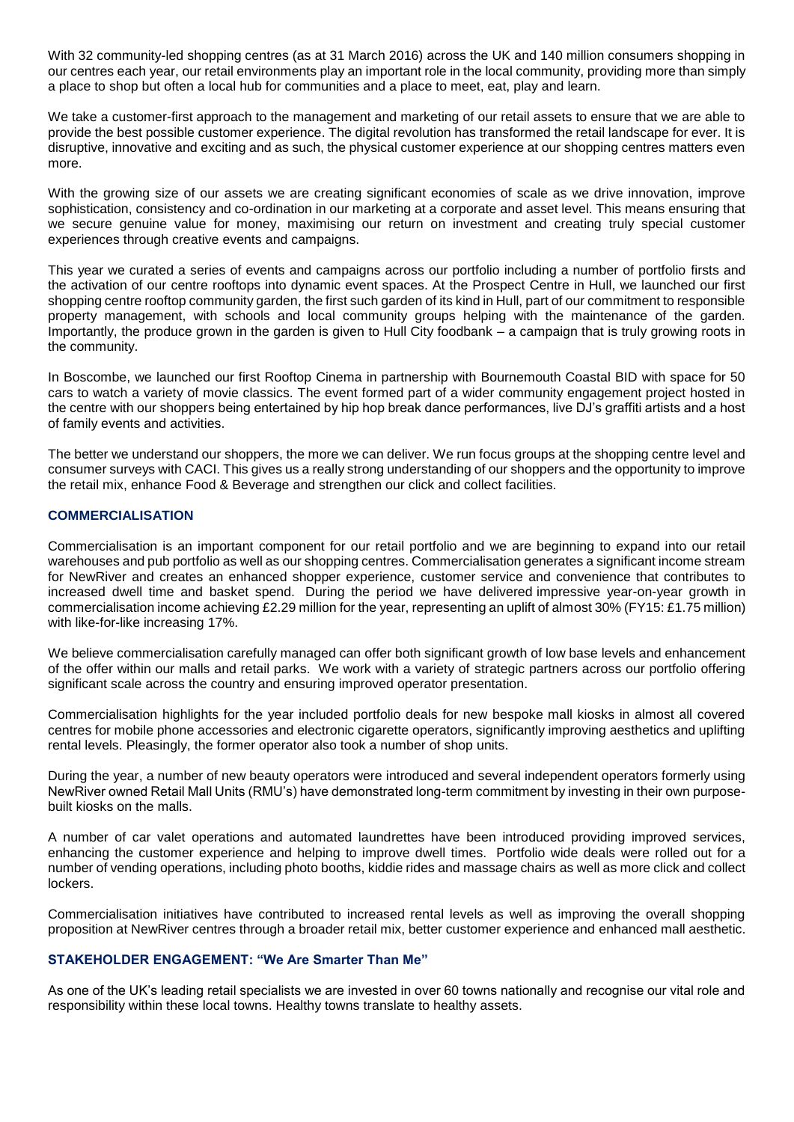With 32 community-led shopping centres (as at 31 March 2016) across the UK and 140 million consumers shopping in our centres each year, our retail environments play an important role in the local community, providing more than simply a place to shop but often a local hub for communities and a place to meet, eat, play and learn.

We take a customer-first approach to the management and marketing of our retail assets to ensure that we are able to provide the best possible customer experience. The digital revolution has transformed the retail landscape for ever. It is disruptive, innovative and exciting and as such, the physical customer experience at our shopping centres matters even more.

With the growing size of our assets we are creating significant economies of scale as we drive innovation, improve sophistication, consistency and co-ordination in our marketing at a corporate and asset level. This means ensuring that we secure genuine value for money, maximising our return on investment and creating truly special customer experiences through creative events and campaigns.

This year we curated a series of events and campaigns across our portfolio including a number of portfolio firsts and the activation of our centre rooftops into dynamic event spaces. At the Prospect Centre in Hull, we launched our first shopping centre rooftop community garden, the first such garden of its kind in Hull, part of our commitment to responsible property management, with schools and local community groups helping with the maintenance of the garden. Importantly, the produce grown in the garden is given to Hull City foodbank – a campaign that is truly growing roots in the community.

In Boscombe, we launched our first Rooftop Cinema in partnership with Bournemouth Coastal BID with space for 50 cars to watch a variety of movie classics. The event formed part of a wider community engagement project hosted in the centre with our shoppers being entertained by hip hop break dance performances, live DJ's graffiti artists and a host of family events and activities.

The better we understand our shoppers, the more we can deliver. We run focus groups at the shopping centre level and consumer surveys with CACI. This gives us a really strong understanding of our shoppers and the opportunity to improve the retail mix, enhance Food & Beverage and strengthen our click and collect facilities.

# **COMMERCIALISATION**

Commercialisation is an important component for our retail portfolio and we are beginning to expand into our retail warehouses and pub portfolio as well as our shopping centres. Commercialisation generates a significant income stream for NewRiver and creates an enhanced shopper experience, customer service and convenience that contributes to increased dwell time and basket spend. During the period we have delivered impressive year-on-year growth in commercialisation income achieving £2.29 million for the year, representing an uplift of almost 30% (FY15: £1.75 million) with like-for-like increasing 17%.

We believe commercialisation carefully managed can offer both significant growth of low base levels and enhancement of the offer within our malls and retail parks. We work with a variety of strategic partners across our portfolio offering significant scale across the country and ensuring improved operator presentation.

Commercialisation highlights for the year included portfolio deals for new bespoke mall kiosks in almost all covered centres for mobile phone accessories and electronic cigarette operators, significantly improving aesthetics and uplifting rental levels. Pleasingly, the former operator also took a number of shop units.

During the year, a number of new beauty operators were introduced and several independent operators formerly using NewRiver owned Retail Mall Units (RMU's) have demonstrated long-term commitment by investing in their own purposebuilt kiosks on the malls.

A number of car valet operations and automated laundrettes have been introduced providing improved services, enhancing the customer experience and helping to improve dwell times. Portfolio wide deals were rolled out for a number of vending operations, including photo booths, kiddie rides and massage chairs as well as more click and collect lockers.

Commercialisation initiatives have contributed to increased rental levels as well as improving the overall shopping proposition at NewRiver centres through a broader retail mix, better customer experience and enhanced mall aesthetic.

# **STAKEHOLDER ENGAGEMENT: "We Are Smarter Than Me"**

As one of the UK's leading retail specialists we are invested in over 60 towns nationally and recognise our vital role and responsibility within these local towns. Healthy towns translate to healthy assets.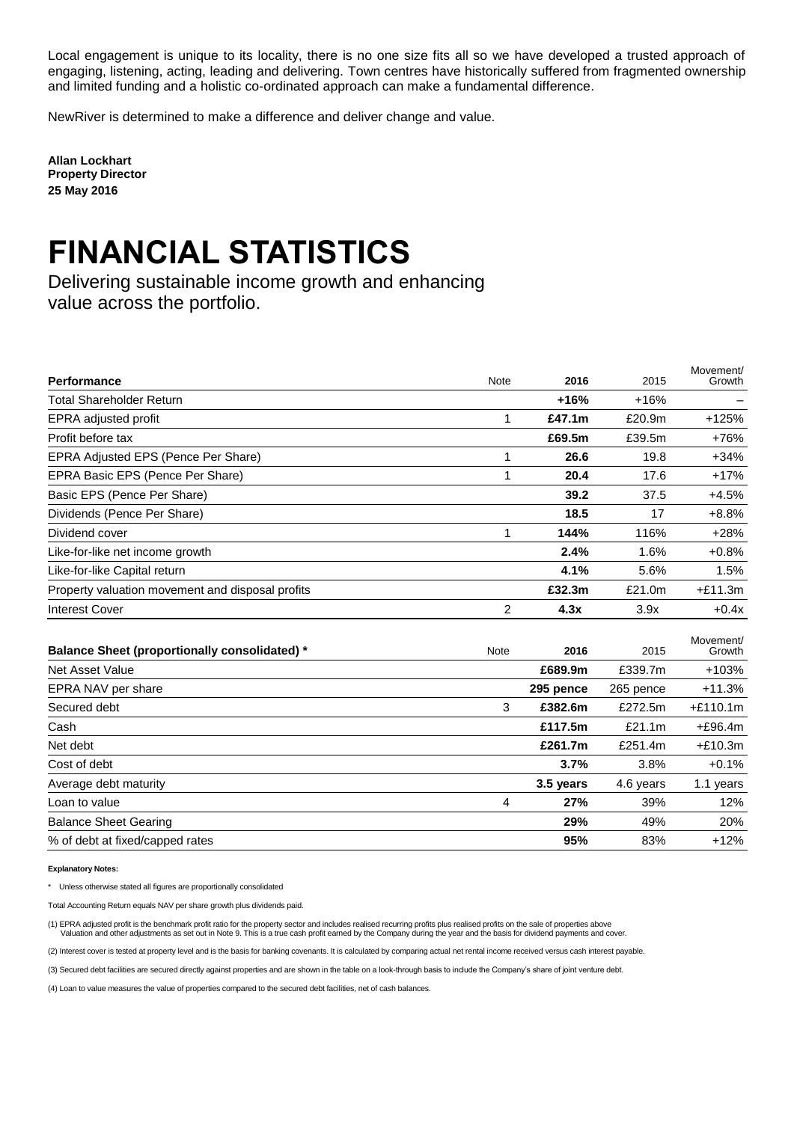Local engagement is unique to its locality, there is no one size fits all so we have developed a trusted approach of engaging, listening, acting, leading and delivering. Town centres have historically suffered from fragmented ownership and limited funding and a holistic co-ordinated approach can make a fundamental difference.

NewRiver is determined to make a difference and deliver change and value.

**Allan Lockhart Property Director 25 May 2016**

# **FINANCIAL STATISTICS**

Delivering sustainable income growth and enhancing value across the portfolio.

| <b>Performance</b>                                   | Note           | 2016      | 2015      | Movement/<br>Growth |
|------------------------------------------------------|----------------|-----------|-----------|---------------------|
| <b>Total Shareholder Return</b>                      |                | $+16%$    | $+16%$    |                     |
| EPRA adjusted profit                                 | 1              | £47.1m    | £20.9m    | $+125%$             |
| Profit before tax                                    |                | £69.5m    | £39.5m    | +76%                |
| EPRA Adjusted EPS (Pence Per Share)                  | 1              | 26.6      | 19.8      | $+34%$              |
| EPRA Basic EPS (Pence Per Share)                     | 1              | 20.4      | 17.6      | $+17%$              |
| Basic EPS (Pence Per Share)                          |                | 39.2      | 37.5      | $+4.5%$             |
| Dividends (Pence Per Share)                          |                | 18.5      | 17        | $+8.8%$             |
| Dividend cover                                       | 1              | 144%      | 116%      | $+28%$              |
| Like-for-like net income growth                      |                | 2.4%      | 1.6%      | $+0.8%$             |
| Like-for-like Capital return                         |                | 4.1%      | 5.6%      | 1.5%                |
| Property valuation movement and disposal profits     |                | £32.3m    | £21.0m    | $+£11.3m$           |
| <b>Interest Cover</b>                                | $\overline{2}$ | 4.3x      | 3.9x      | $+0.4x$             |
| <b>Balance Sheet (proportionally consolidated)</b> * | <b>Note</b>    | 2016      | 2015      | Movement/<br>Growth |
| <b>Net Asset Value</b>                               |                | £689.9m   | £339.7m   | $+103%$             |
| EPRA NAV per share                                   |                | 295 pence | 265 pence | $+11.3%$            |
| Secured debt                                         | 3              | £382.6m   | £272.5m   | $+£110.1m$          |
| Cash                                                 |                | £117.5m   | £21.1m    | $+£96.4m$           |
| Net debt                                             |                | £261.7m   | £251.4m   | $+£10.3m$           |
| Cost of debt                                         |                | 3.7%      | 3.8%      | $+0.1%$             |
| Average debt maturity                                |                | 3.5 years | 4.6 years | 1.1 years           |
| Loan to value                                        | 4              | 27%       | 39%       | 12%                 |
| <b>Balance Sheet Gearing</b>                         |                | 29%       | 49%       | 20%                 |
| % of debt at fixed/capped rates                      |                | 95%       | 83%       | $+12%$              |

**Explanatory Notes:**

\* Unless otherwise stated all figures are proportionally consolidated

Total Accounting Return equals NAV per share growth plus dividends paid.

(1) EPRA adjusted profit is the benchmark profit ratio for the property sector and includes realised recurring profits plus realised profits on the sale of properties above Valuation and other adjustments as set out in Note 9. This is a true cash profit earned by the Company during the year and the basis for dividend payments and cover.

(2) Interest cover is tested at property level and is the basis for banking covenants. It is calculated by comparing actual net rental income received versus cash interest payable.

(3) Secured debt facilities are secured directly against properties and are shown in the table on a look-through basis to include the Company's share of joint venture debt.

(4) Loan to value measures the value of properties compared to the secured debt facilities, net of cash balances.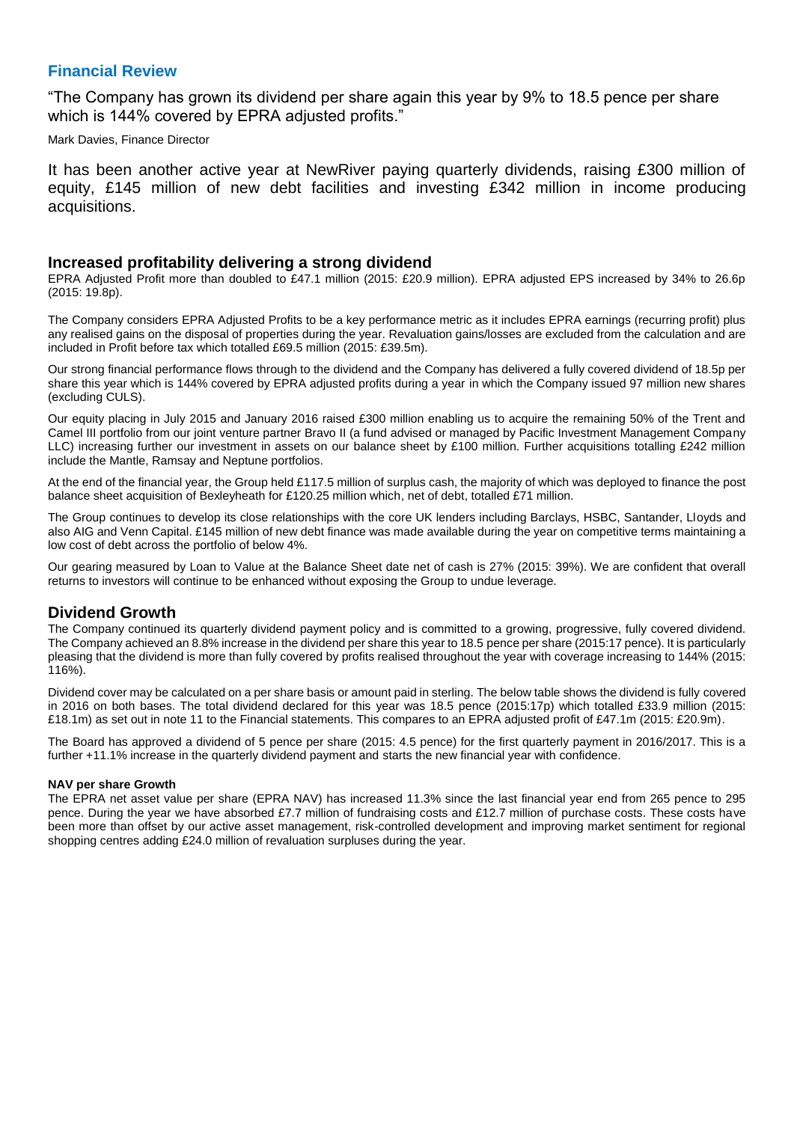# **Financial Review**

"The Company has grown its dividend per share again this year by 9% to 18.5 pence per share which is 144% covered by EPRA adjusted profits."

Mark Davies, Finance Director

It has been another active year at NewRiver paying quarterly dividends, raising £300 million of equity, £145 million of new debt facilities and investing £342 million in income producing acquisitions.

# **Increased profitability delivering a strong dividend**

EPRA Adjusted Profit more than doubled to £47.1 million (2015: £20.9 million). EPRA adjusted EPS increased by 34% to 26.6p (2015: 19.8p).

The Company considers EPRA Adjusted Profits to be a key performance metric as it includes EPRA earnings (recurring profit) plus any realised gains on the disposal of properties during the year. Revaluation gains/losses are excluded from the calculation and are included in Profit before tax which totalled £69.5 million (2015: £39.5m).

Our strong financial performance flows through to the dividend and the Company has delivered a fully covered dividend of 18.5p per share this year which is 144% covered by EPRA adjusted profits during a year in which the Company issued 97 million new shares (excluding CULS).

Our equity placing in July 2015 and January 2016 raised £300 million enabling us to acquire the remaining 50% of the Trent and Camel III portfolio from our joint venture partner Bravo II (a fund advised or managed by Pacific Investment Management Company LLC) increasing further our investment in assets on our balance sheet by £100 million. Further acquisitions totalling £242 million include the Mantle, Ramsay and Neptune portfolios.

At the end of the financial year, the Group held £117.5 million of surplus cash, the majority of which was deployed to finance the post balance sheet acquisition of Bexleyheath for £120.25 million which, net of debt, totalled £71 million.

The Group continues to develop its close relationships with the core UK lenders including Barclays, HSBC, Santander, Lloyds and also AIG and Venn Capital. £145 million of new debt finance was made available during the year on competitive terms maintaining a low cost of debt across the portfolio of below 4%.

Our gearing measured by Loan to Value at the Balance Sheet date net of cash is 27% (2015: 39%). We are confident that overall returns to investors will continue to be enhanced without exposing the Group to undue leverage.

# **Dividend Growth**

The Company continued its quarterly dividend payment policy and is committed to a growing, progressive, fully covered dividend. The Company achieved an 8.8% increase in the dividend per share this year to 18.5 pence per share (2015:17 pence). It is particularly pleasing that the dividend is more than fully covered by profits realised throughout the year with coverage increasing to 144% (2015: 116%).

Dividend cover may be calculated on a per share basis or amount paid in sterling. The below table shows the dividend is fully covered in 2016 on both bases. The total dividend declared for this year was 18.5 pence (2015:17p) which totalled £33.9 million (2015: £18.1m) as set out in note 11 to the Financial statements. This compares to an EPRA adjusted profit of £47.1m (2015: £20.9m).

The Board has approved a dividend of 5 pence per share (2015: 4.5 pence) for the first quarterly payment in 2016/2017. This is a further +11.1% increase in the quarterly dividend payment and starts the new financial year with confidence.

## **NAV per share Growth**

The EPRA net asset value per share (EPRA NAV) has increased 11.3% since the last financial year end from 265 pence to 295 pence. During the year we have absorbed £7.7 million of fundraising costs and £12.7 million of purchase costs. These costs have been more than offset by our active asset management, risk-controlled development and improving market sentiment for regional shopping centres adding £24.0 million of revaluation surpluses during the year.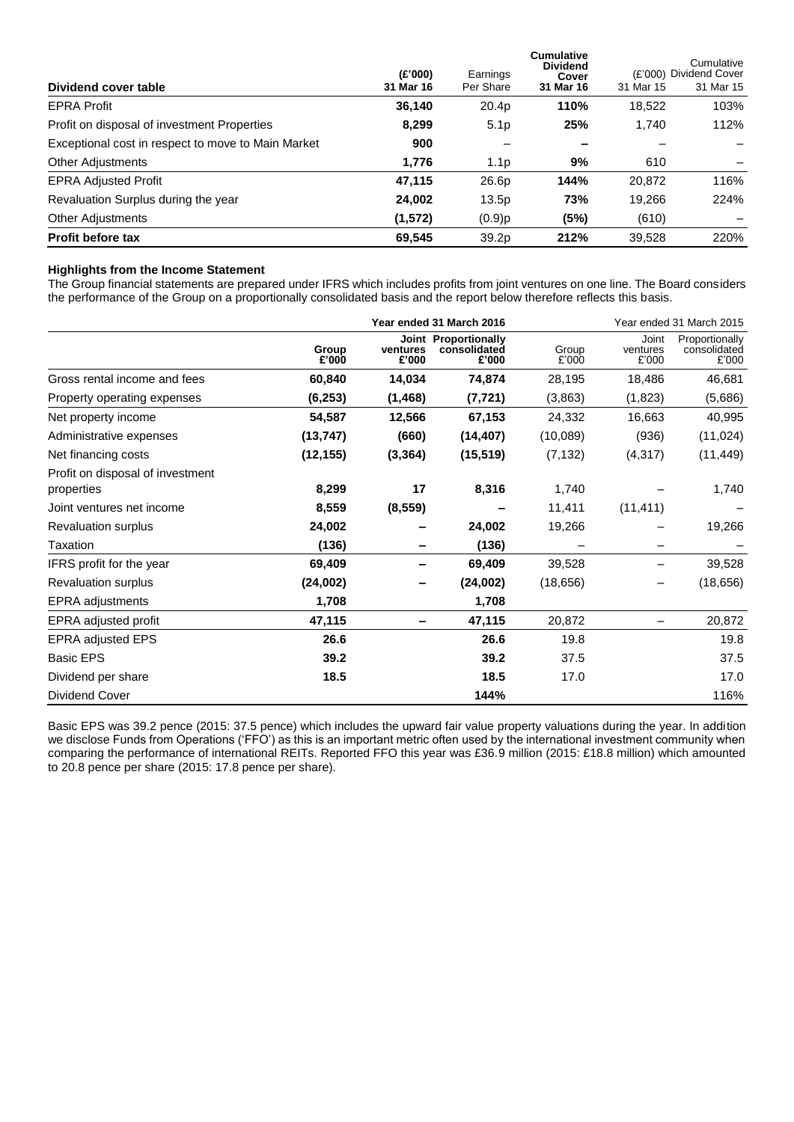| Dividend cover table                               | (E'000)<br>31 Mar 16 | Earnings<br>Per Share | <b>Cumulative</b><br><b>Dividend</b><br>Cover<br>31 Mar 16 | 31 Mar 15 | Cumulative<br>(£'000) Dividend Cover<br>31 Mar 15 |
|----------------------------------------------------|----------------------|-----------------------|------------------------------------------------------------|-----------|---------------------------------------------------|
| <b>EPRA Profit</b>                                 | 36,140               | 20.4p                 | 110%                                                       | 18,522    | 103%                                              |
| Profit on disposal of investment Properties        | 8,299                | 5.1 <sub>p</sub>      | 25%                                                        | 1.740     | 112%                                              |
| Exceptional cost in respect to move to Main Market | 900                  |                       |                                                            |           |                                                   |
| <b>Other Adjustments</b>                           | 1,776                | 1.1 <sub>p</sub>      | 9%                                                         | 610       |                                                   |
| <b>EPRA Adjusted Profit</b>                        | 47,115               | 26.6p                 | 144%                                                       | 20,872    | 116%                                              |
| Revaluation Surplus during the year                | 24,002               | 13.5p                 | 73%                                                        | 19,266    | 224%                                              |
| <b>Other Adjustments</b>                           | (1,572)              | $(0.9)$ p             | (5%)                                                       | (610)     |                                                   |
| <b>Profit before tax</b>                           | 69,545               | 39.2p                 | 212%                                                       | 39,528    | 220%                                              |

## **Highlights from the Income Statement**

The Group financial statements are prepared under IFRS which includes profits from joint ventures on one line. The Board considers the performance of the Group on a proportionally consolidated basis and the report below therefore reflects this basis.

|                                  | Year ended 31 March 2016 |                   |                                               |                |                            | Year ended 31 March 2015                |
|----------------------------------|--------------------------|-------------------|-----------------------------------------------|----------------|----------------------------|-----------------------------------------|
|                                  | Group<br>£'000           | ventures<br>£'000 | Joint Proportionally<br>consolidated<br>£'000 | Group<br>£'000 | Joint<br>ventures<br>£'000 | Proportionally<br>consolidated<br>£'000 |
| Gross rental income and fees     | 60,840                   | 14,034            | 74,874                                        | 28,195         | 18,486                     | 46,681                                  |
| Property operating expenses      | (6, 253)                 | (1,468)           | (7, 721)                                      | (3,863)        | (1,823)                    | (5,686)                                 |
| Net property income              | 54,587                   | 12,566            | 67,153                                        | 24,332         | 16,663                     | 40,995                                  |
| Administrative expenses          | (13, 747)                | (660)             | (14, 407)                                     | (10,089)       | (936)                      | (11, 024)                               |
| Net financing costs              | (12, 155)                | (3, 364)          | (15, 519)                                     | (7, 132)       | (4, 317)                   | (11, 449)                               |
| Profit on disposal of investment |                          |                   |                                               |                |                            |                                         |
| properties                       | 8,299                    | 17                | 8,316                                         | 1,740          |                            | 1,740                                   |
| Joint ventures net income        | 8,559                    | (8, 559)          |                                               | 11,411         | (11, 411)                  |                                         |
| Revaluation surplus              | 24,002                   |                   | 24,002                                        | 19,266         |                            | 19,266                                  |
| Taxation                         | (136)                    |                   | (136)                                         |                |                            |                                         |
| IFRS profit for the year         | 69,409                   |                   | 69,409                                        | 39,528         |                            | 39,528                                  |
| <b>Revaluation surplus</b>       | (24,002)                 |                   | (24,002)                                      | (18, 656)      | —                          | (18, 656)                               |
| EPRA adjustments                 | 1,708                    |                   | 1,708                                         |                |                            |                                         |
| EPRA adjusted profit             | 47,115                   |                   | 47,115                                        | 20,872         |                            | 20,872                                  |
| <b>EPRA adjusted EPS</b>         | 26.6                     |                   | 26.6                                          | 19.8           |                            | 19.8                                    |
| <b>Basic EPS</b>                 | 39.2                     |                   | 39.2                                          | 37.5           |                            | 37.5                                    |
| Dividend per share               | 18.5                     |                   | 18.5                                          | 17.0           |                            | 17.0                                    |
| Dividend Cover                   |                          |                   | 144%                                          |                |                            | 116%                                    |

Basic EPS was 39.2 pence (2015: 37.5 pence) which includes the upward fair value property valuations during the year. In addition we disclose Funds from Operations ('FFO') as this is an important metric often used by the international investment community when comparing the performance of international REITs. Reported FFO this year was £36.9 million (2015: £18.8 million) which amounted to 20.8 pence per share (2015: 17.8 pence per share).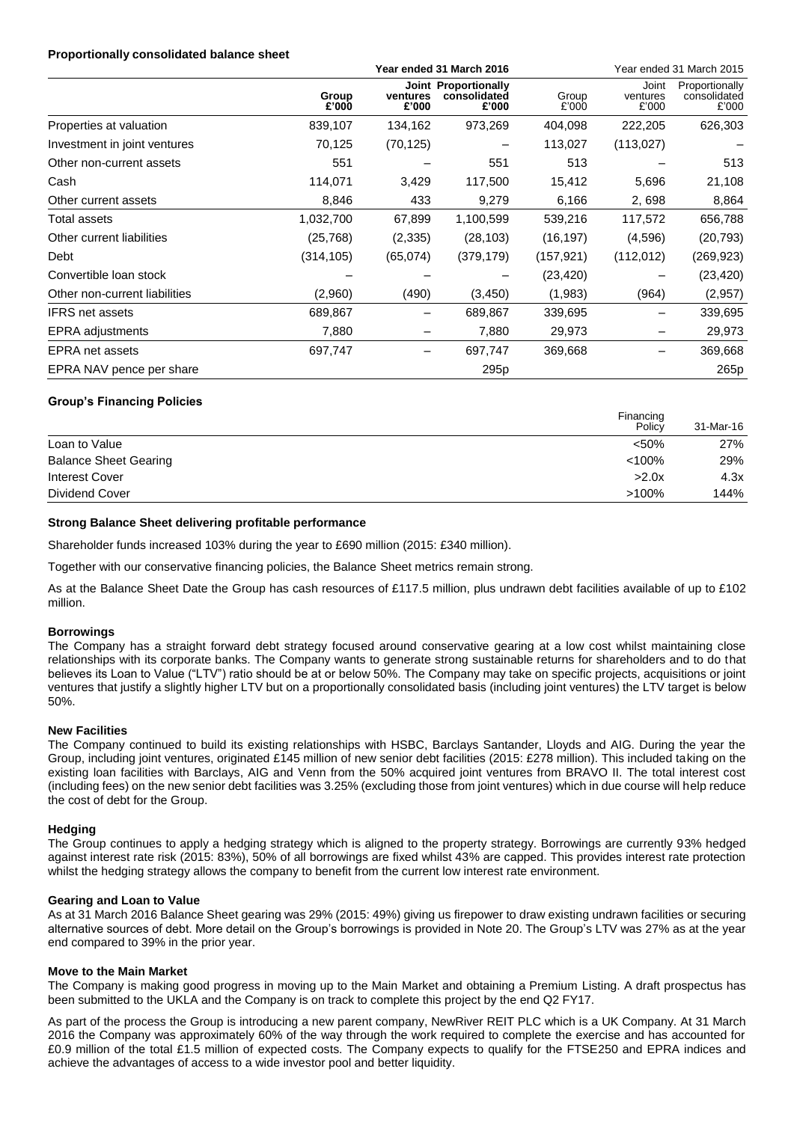## **Proportionally consolidated balance sheet**

|                               | Year ended 31 March 2016 |                   |                                               |                |                            | Year ended 31 March 2015                |
|-------------------------------|--------------------------|-------------------|-----------------------------------------------|----------------|----------------------------|-----------------------------------------|
|                               | Group<br>£'000           | ventures<br>£'000 | Joint Proportionally<br>consolidated<br>£'000 | Group<br>£'000 | Joint<br>ventures<br>£'000 | Proportionally<br>consolidated<br>£'000 |
| Properties at valuation       | 839,107                  | 134,162           | 973,269                                       | 404,098        | 222,205                    | 626,303                                 |
| Investment in joint ventures  | 70,125                   | (70, 125)         |                                               | 113,027        | (113, 027)                 |                                         |
| Other non-current assets      | 551                      | -                 | 551                                           | 513            |                            | 513                                     |
| Cash                          | 114,071                  | 3,429             | 117,500                                       | 15,412         | 5,696                      | 21,108                                  |
| Other current assets          | 8,846                    | 433               | 9,279                                         | 6,166          | 2,698                      | 8,864                                   |
| Total assets                  | 1,032,700                | 67,899            | 1,100,599                                     | 539,216        | 117,572                    | 656,788                                 |
| Other current liabilities     | (25, 768)                | (2, 335)          | (28, 103)                                     | (16, 197)      | (4,596)                    | (20, 793)                               |
| Debt                          | (314,105)                | (65,074)          | (379, 179)                                    | (157, 921)     | (112, 012)                 | (269, 923)                              |
| Convertible Ioan stock        |                          |                   |                                               | (23, 420)      |                            | (23,420)                                |
| Other non-current liabilities | (2,960)                  | (490)             | (3, 450)                                      | (1,983)        | (964)                      | (2,957)                                 |
| <b>IFRS</b> net assets        | 689,867                  |                   | 689,867                                       | 339,695        |                            | 339,695                                 |
| <b>EPRA</b> adjustments       | 7,880                    |                   | 7,880                                         | 29,973         |                            | 29,973                                  |
| <b>EPRA</b> net assets        | 697,747                  |                   | 697,747                                       | 369,668        |                            | 369,668                                 |
| EPRA NAV pence per share      |                          |                   | 295 <sub>p</sub>                              |                |                            | 265p                                    |

# **Group's Financing Policies**

|                              | Financing<br>Policy | 31-Mar-16 |
|------------------------------|---------------------|-----------|
| Loan to Value                | < 50%               | 27%       |
| <b>Balance Sheet Gearing</b> | < 100%              | 29%       |
| <b>Interest Cover</b>        | >2.0x               | 4.3x      |
| Dividend Cover               | $>100\%$            | 144%      |

## **Strong Balance Sheet delivering profitable performance**

Shareholder funds increased 103% during the year to £690 million (2015: £340 million).

Together with our conservative financing policies, the Balance Sheet metrics remain strong.

As at the Balance Sheet Date the Group has cash resources of £117.5 million, plus undrawn debt facilities available of up to £102 million.

## **Borrowings**

The Company has a straight forward debt strategy focused around conservative gearing at a low cost whilst maintaining close relationships with its corporate banks. The Company wants to generate strong sustainable returns for shareholders and to do that believes its Loan to Value ("LTV") ratio should be at or below 50%. The Company may take on specific projects, acquisitions or joint ventures that justify a slightly higher LTV but on a proportionally consolidated basis (including joint ventures) the LTV target is below 50%.

## **New Facilities**

The Company continued to build its existing relationships with HSBC, Barclays Santander, Lloyds and AIG. During the year the Group, including joint ventures, originated £145 million of new senior debt facilities (2015: £278 million). This included taking on the existing loan facilities with Barclays, AIG and Venn from the 50% acquired joint ventures from BRAVO II. The total interest cost (including fees) on the new senior debt facilities was 3.25% (excluding those from joint ventures) which in due course will help reduce the cost of debt for the Group.

## **Hedging**

The Group continues to apply a hedging strategy which is aligned to the property strategy. Borrowings are currently 93% hedged against interest rate risk (2015: 83%), 50% of all borrowings are fixed whilst 43% are capped. This provides interest rate protection whilst the hedging strategy allows the company to benefit from the current low interest rate environment.

## **Gearing and Loan to Value**

As at 31 March 2016 Balance Sheet gearing was 29% (2015: 49%) giving us firepower to draw existing undrawn facilities or securing alternative sources of debt. More detail on the Group's borrowings is provided in Note 20. The Group's LTV was 27% as at the year end compared to 39% in the prior year.

## **Move to the Main Market**

The Company is making good progress in moving up to the Main Market and obtaining a Premium Listing. A draft prospectus has been submitted to the UKLA and the Company is on track to complete this project by the end Q2 FY17.

As part of the process the Group is introducing a new parent company, NewRiver REIT PLC which is a UK Company. At 31 March 2016 the Company was approximately 60% of the way through the work required to complete the exercise and has accounted for £0.9 million of the total £1.5 million of expected costs. The Company expects to qualify for the FTSE250 and EPRA indices and achieve the advantages of access to a wide investor pool and better liquidity.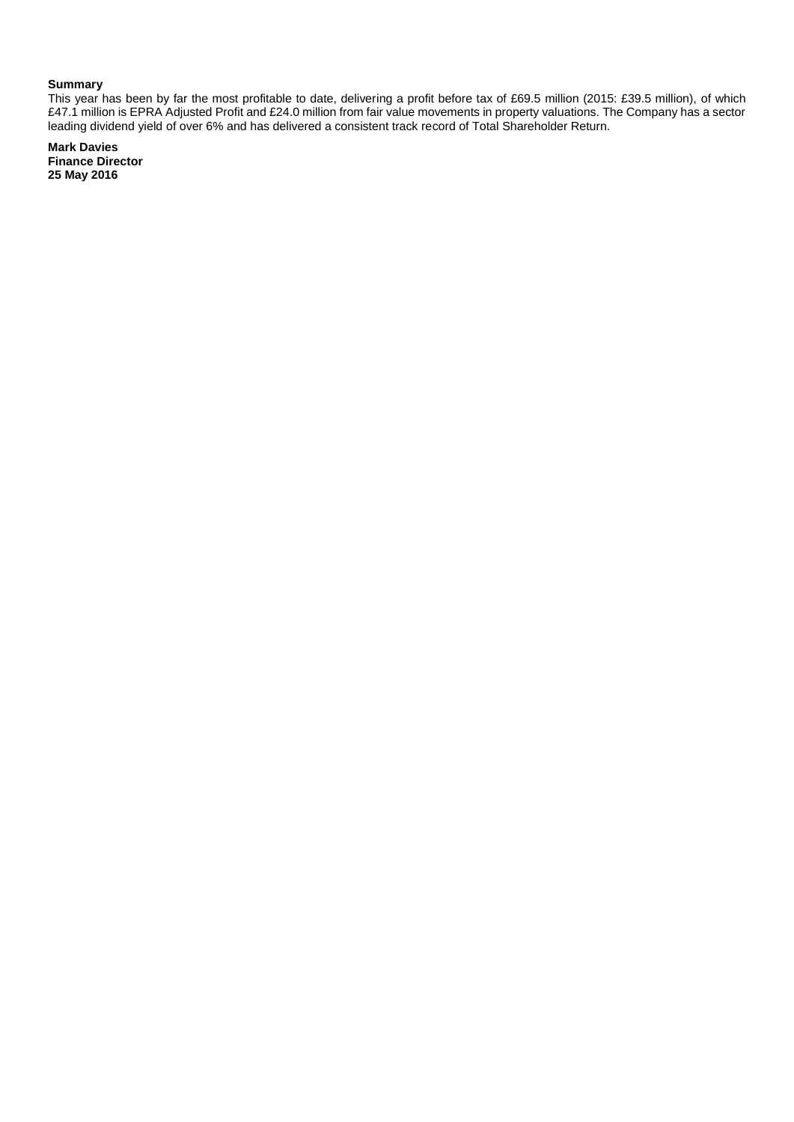## **Summary**

This year has been by far the most profitable to date, delivering a profit before tax of £69.5 million (2015: £39.5 million), of which £47.1 million is EPRA Adjusted Profit and £24.0 million from fair value movements in property valuations. The Company has a sector leading dividend yield of over 6% and has delivered a consistent track record of Total Shareholder Return.

**Mark Davies Finance Director 25 May 2016**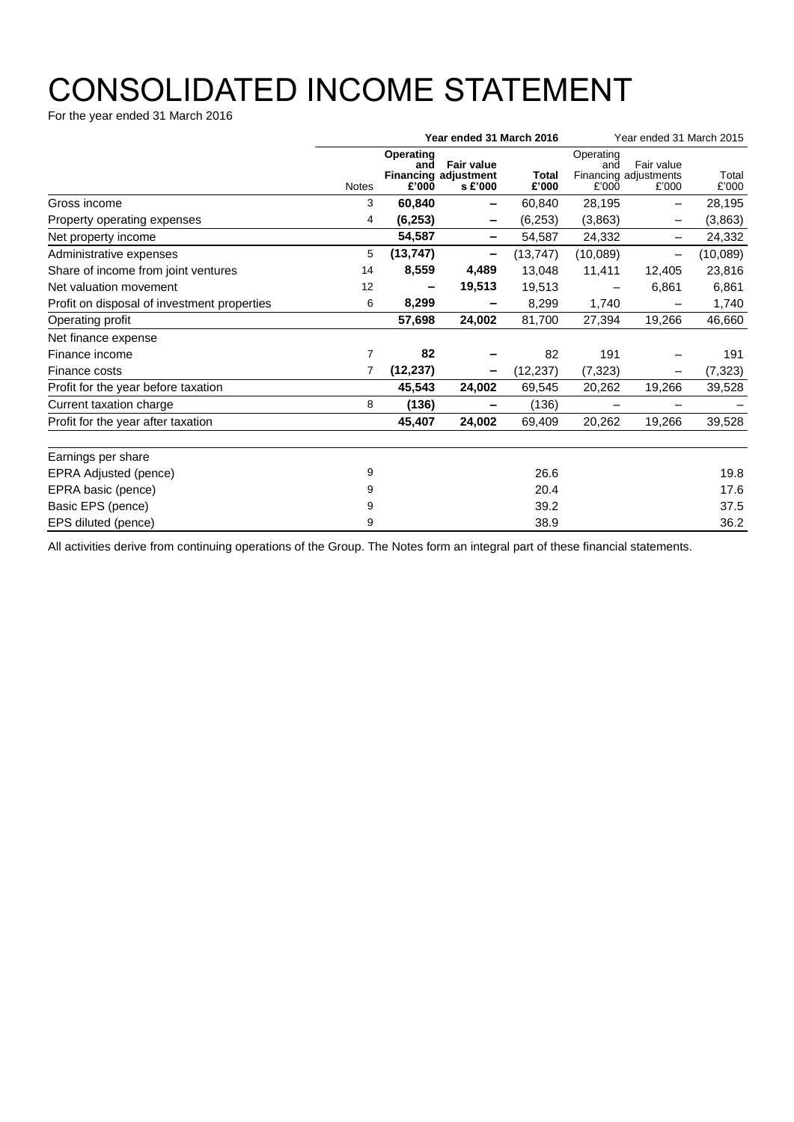# CONSOLIDATED INCOME STATEMENT

For the year ended 31 March 2016

|                                             | Year ended 31 March 2016 |                           |                                                             |                       | Year ended 31 March 2015  |                                              |                |
|---------------------------------------------|--------------------------|---------------------------|-------------------------------------------------------------|-----------------------|---------------------------|----------------------------------------------|----------------|
|                                             | <b>Notes</b>             | Operating<br>and<br>£'000 | <b>Fair value</b><br><b>Financing adjustment</b><br>s £'000 | <b>Total</b><br>£'000 | Operating<br>and<br>£'000 | Fair value<br>Financing adjustments<br>£'000 | Total<br>£'000 |
| Gross income                                | 3                        | 60,840                    | $\overline{\phantom{0}}$                                    | 60,840                | 28,195                    |                                              | 28,195         |
| Property operating expenses                 | 4                        | (6, 253)                  | -                                                           | (6, 253)              | (3,863)                   |                                              | (3,863)        |
| Net property income                         |                          | 54,587                    | $\overline{\phantom{0}}$                                    | 54,587                | 24,332                    |                                              | 24,332         |
| Administrative expenses                     | 5                        | (13, 747)                 | $\qquad \qquad$                                             | (13, 747)             | (10,089)                  |                                              | (10,089)       |
| Share of income from joint ventures         | 14                       | 8,559                     | 4,489                                                       | 13,048                | 11,411                    | 12,405                                       | 23,816         |
| Net valuation movement                      | 12                       |                           | 19,513                                                      | 19,513                |                           | 6,861                                        | 6,861          |
| Profit on disposal of investment properties | 6                        | 8,299                     |                                                             | 8,299                 | 1,740                     |                                              | 1,740          |
| Operating profit                            |                          | 57,698                    | 24,002                                                      | 81,700                | 27,394                    | 19,266                                       | 46,660         |
| Net finance expense                         |                          |                           |                                                             |                       |                           |                                              |                |
| Finance income                              | 7                        | 82                        |                                                             | 82                    | 191                       |                                              | 191            |
| Finance costs                               | 7                        | (12, 237)                 |                                                             | (12, 237)             | (7, 323)                  |                                              | (7, 323)       |
| Profit for the year before taxation         |                          | 45,543                    | 24,002                                                      | 69,545                | 20,262                    | 19,266                                       | 39,528         |
| Current taxation charge                     | 8                        | (136)                     | -                                                           | (136)                 |                           |                                              |                |
| Profit for the year after taxation          |                          | 45,407                    | 24,002                                                      | 69,409                | 20,262                    | 19,266                                       | 39,528         |
| Earnings per share                          |                          |                           |                                                             |                       |                           |                                              |                |
| EPRA Adjusted (pence)                       | 9                        |                           |                                                             | 26.6                  |                           |                                              | 19.8           |
| EPRA basic (pence)                          | 9                        |                           |                                                             | 20.4                  |                           |                                              | 17.6           |
| Basic EPS (pence)                           | 9                        |                           |                                                             | 39.2                  |                           |                                              | 37.5           |
| EPS diluted (pence)                         | 9                        |                           |                                                             | 38.9                  |                           |                                              | 36.2           |

All activities derive from continuing operations of the Group. The Notes form an integral part of these financial statements.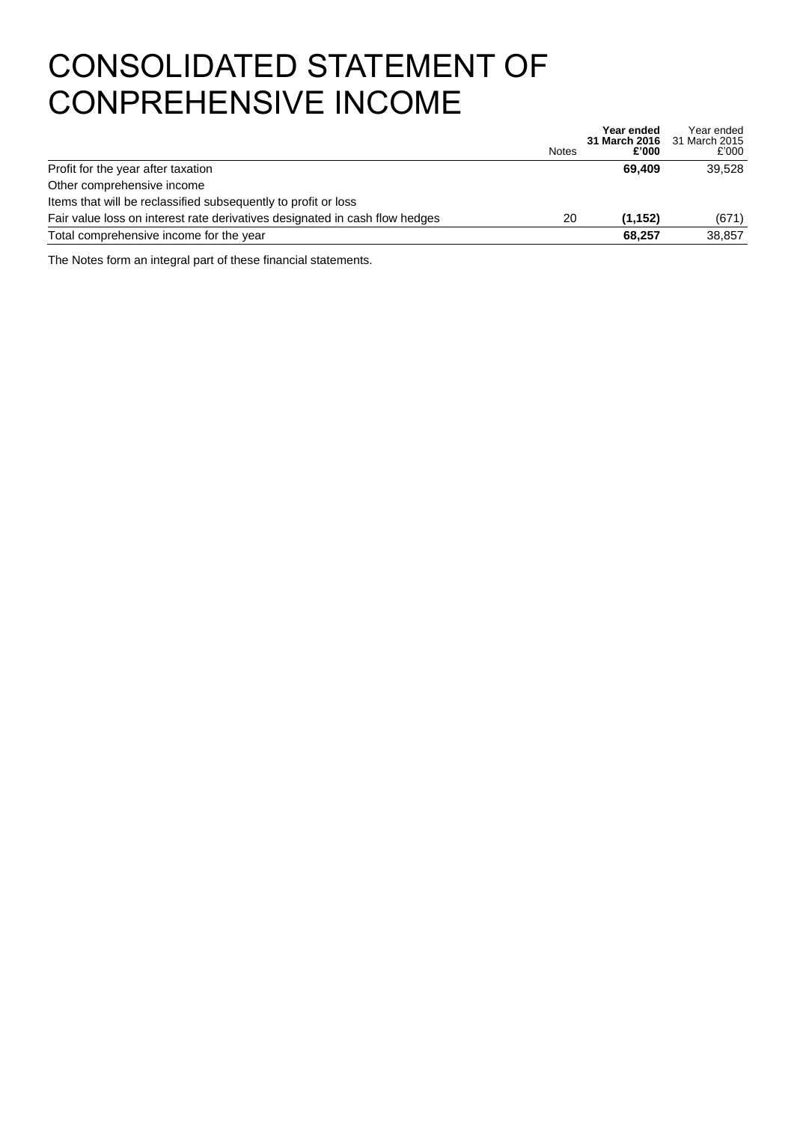# CONSOLIDATED STATEMENT OF CONPREHENSIVE INCOME

|                                                                             |              | Year ended<br>31 March 2016 31 March 2015 | Year ended |
|-----------------------------------------------------------------------------|--------------|-------------------------------------------|------------|
|                                                                             | <b>Notes</b> | £'000                                     | £'000      |
| Profit for the year after taxation                                          |              | 69.409                                    | 39.528     |
| Other comprehensive income                                                  |              |                                           |            |
| Items that will be reclassified subsequently to profit or loss              |              |                                           |            |
| Fair value loss on interest rate derivatives designated in cash flow hedges | 20           | (1, 152)                                  | (671)      |
| Total comprehensive income for the year                                     |              | 68,257                                    | 38,857     |

The Notes form an integral part of these financial statements.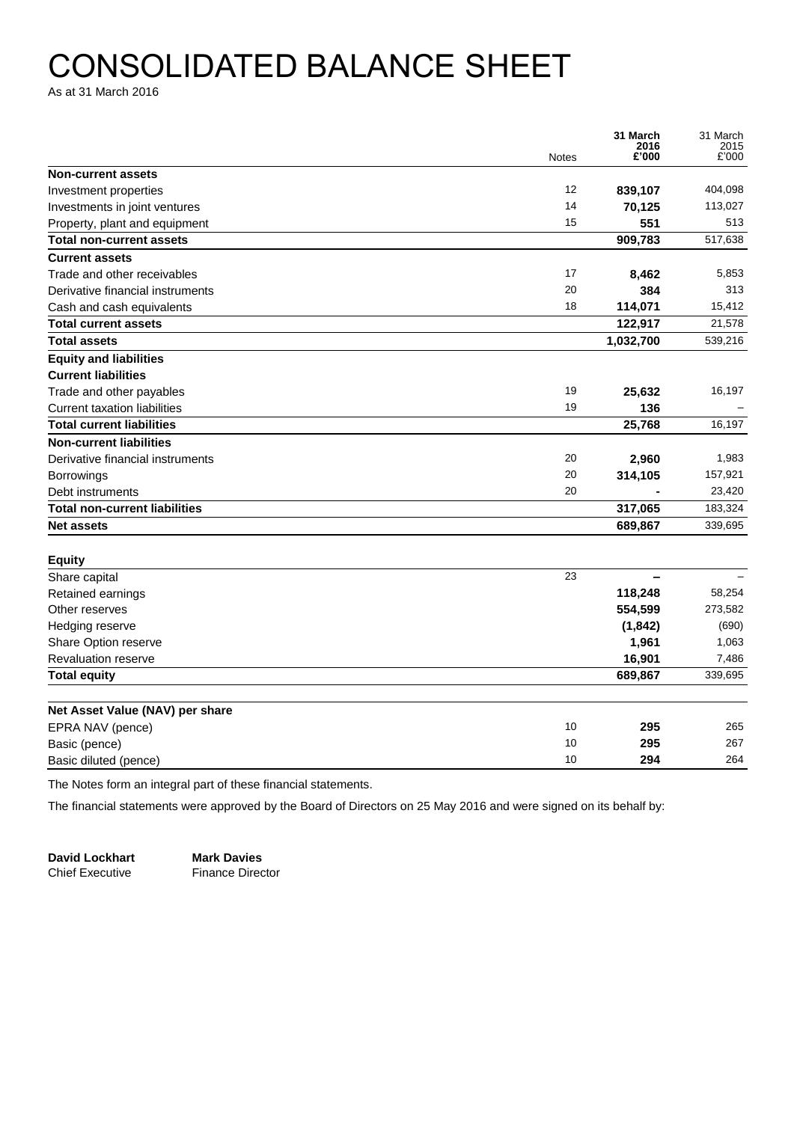# CONSOLIDATED BALANCE SHEET

As at 31 March 2016

|                                      | <b>Notes</b> | 31 March<br>2016<br>£'000 | 31 March<br>2015<br>£'000 |
|--------------------------------------|--------------|---------------------------|---------------------------|
| <b>Non-current assets</b>            |              |                           |                           |
| Investment properties                | 12           | 839,107                   | 404,098                   |
| Investments in joint ventures        | 14           | 70,125                    | 113,027                   |
| Property, plant and equipment        | 15           | 551                       | 513                       |
| <b>Total non-current assets</b>      |              | 909,783                   | 517,638                   |
| <b>Current assets</b>                |              |                           |                           |
| Trade and other receivables          | 17           | 8,462                     | 5,853                     |
| Derivative financial instruments     | 20           | 384                       | 313                       |
| Cash and cash equivalents            | 18           | 114,071                   | 15,412                    |
| <b>Total current assets</b>          |              | 122,917                   | 21,578                    |
| <b>Total assets</b>                  |              | 1,032,700                 | 539,216                   |
| <b>Equity and liabilities</b>        |              |                           |                           |
| <b>Current liabilities</b>           |              |                           |                           |
| Trade and other payables             | 19           | 25,632                    | 16,197                    |
| <b>Current taxation liabilities</b>  | 19           | 136                       |                           |
| <b>Total current liabilities</b>     |              | 25,768                    | 16,197                    |
| <b>Non-current liabilities</b>       |              |                           |                           |
| Derivative financial instruments     | 20           | 2,960                     | 1,983                     |
| <b>Borrowings</b>                    | 20           | 314,105                   | 157,921                   |
| Debt instruments                     | 20           |                           | 23,420                    |
| <b>Total non-current liabilities</b> |              | 317,065                   | 183,324                   |
| <b>Net assets</b>                    |              | 689,867                   | 339,695                   |
| <b>Equity</b>                        |              |                           |                           |
| Share capital                        | 23           |                           |                           |
| Retained earnings                    |              | 118,248                   | 58,254                    |
| Other reserves                       |              | 554,599                   | 273,582                   |
| Hedging reserve                      |              | (1, 842)                  | (690)                     |
| Share Option reserve                 |              | 1,961                     | 1,063                     |
| <b>Revaluation reserve</b>           |              | 16,901                    | 7,486                     |
| <b>Total equity</b>                  |              | 689,867                   | 339,695                   |
| Net Asset Value (NAV) per share      |              |                           |                           |
| EPRA NAV (pence)                     | 10           | 295                       | 265                       |
| Basic (pence)                        | 10           | 295                       | 267                       |
| Basic diluted (pence)                | 10           | 294                       | 264                       |
|                                      |              |                           |                           |

The Notes form an integral part of these financial statements.

The financial statements were approved by the Board of Directors on 25 May 2016 and were signed on its behalf by:

**David Lockhart Mark Davies** Chief Executive Finance Director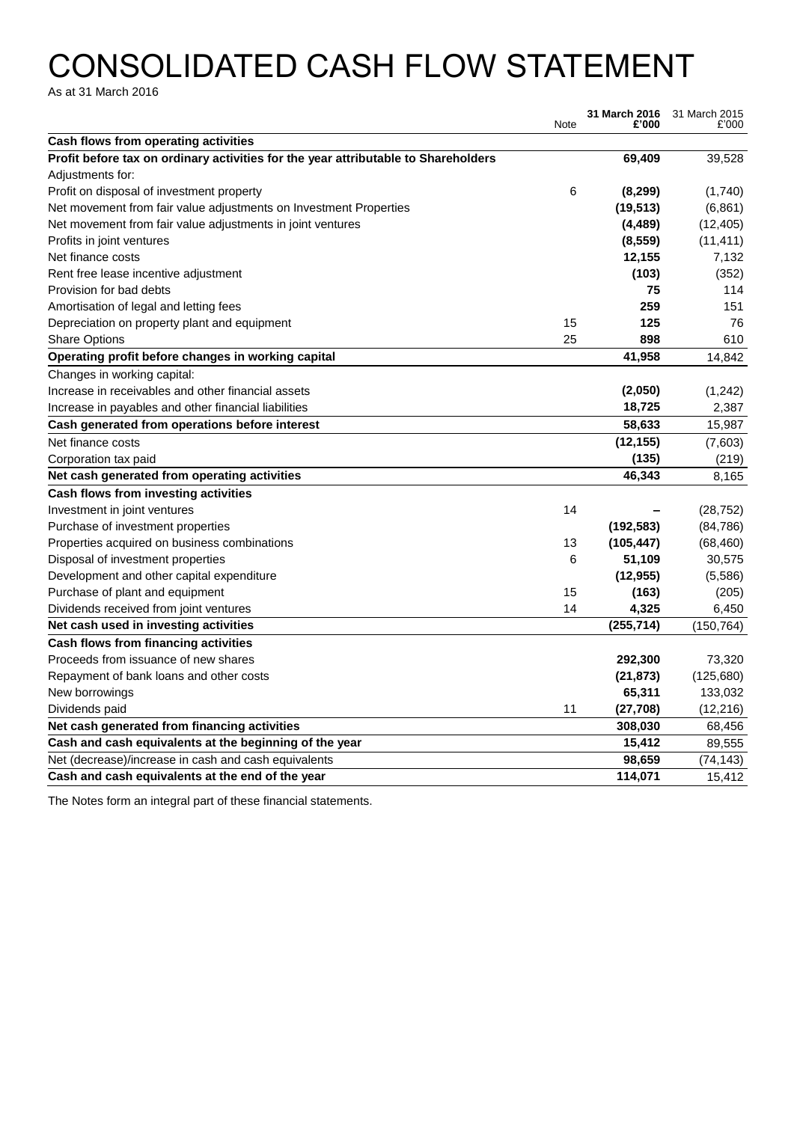# CONSOLIDATED CASH FLOW STATEMENT

As at 31 March 2016

|                                                                                    | Note | 31 March 2016<br>£'000 | 31 March 2015<br>£'000 |
|------------------------------------------------------------------------------------|------|------------------------|------------------------|
| Cash flows from operating activities                                               |      |                        |                        |
| Profit before tax on ordinary activities for the year attributable to Shareholders |      | 69,409                 | 39,528                 |
| Adjustments for:                                                                   |      |                        |                        |
| Profit on disposal of investment property                                          | 6    | (8, 299)               | (1,740)                |
| Net movement from fair value adjustments on Investment Properties                  |      | (19, 513)              | (6, 861)               |
| Net movement from fair value adjustments in joint ventures                         |      | (4, 489)               | (12, 405)              |
| Profits in joint ventures                                                          |      | (8, 559)               | (11, 411)              |
| Net finance costs                                                                  |      | 12,155                 | 7,132                  |
| Rent free lease incentive adjustment                                               |      | (103)                  | (352)                  |
| Provision for bad debts                                                            |      | 75                     | 114                    |
| Amortisation of legal and letting fees                                             |      | 259                    | 151                    |
| Depreciation on property plant and equipment                                       | 15   | 125                    | 76                     |
| <b>Share Options</b>                                                               | 25   | 898                    | 610                    |
| Operating profit before changes in working capital                                 |      | 41,958                 | 14,842                 |
| Changes in working capital:                                                        |      |                        |                        |
| Increase in receivables and other financial assets                                 |      | (2,050)                | (1,242)                |
| Increase in payables and other financial liabilities                               |      | 18,725                 | 2,387                  |
| Cash generated from operations before interest                                     |      | 58,633                 | 15,987                 |
| Net finance costs                                                                  |      | (12, 155)              | (7,603)                |
| Corporation tax paid                                                               |      | (135)                  | (219)                  |
| Net cash generated from operating activities                                       |      | 46,343                 | 8,165                  |
| Cash flows from investing activities                                               |      |                        |                        |
| Investment in joint ventures                                                       | 14   |                        | (28, 752)              |
| Purchase of investment properties                                                  |      | (192, 583)             | (84, 786)              |
| Properties acquired on business combinations                                       | 13   | (105, 447)             | (68, 460)              |
| Disposal of investment properties                                                  | 6    | 51,109                 | 30,575                 |
| Development and other capital expenditure                                          |      | (12, 955)              | (5,586)                |
| Purchase of plant and equipment                                                    | 15   | (163)                  | (205)                  |
| Dividends received from joint ventures                                             | 14   | 4,325                  | 6,450                  |
| Net cash used in investing activities                                              |      | (255, 714)             | (150, 764)             |
| Cash flows from financing activities                                               |      |                        |                        |
| Proceeds from issuance of new shares                                               |      | 292,300                | 73,320                 |
| Repayment of bank loans and other costs                                            |      | (21, 873)              | (125, 680)             |
| New borrowings                                                                     |      | 65,311                 | 133,032                |
| Dividends paid                                                                     | 11   | (27, 708)              | (12, 216)              |
| Net cash generated from financing activities                                       |      | 308,030                | 68,456                 |
| Cash and cash equivalents at the beginning of the year                             |      | 15,412                 | 89,555                 |
| Net (decrease)/increase in cash and cash equivalents                               |      | 98,659                 | (74, 143)              |
| Cash and cash equivalents at the end of the year                                   |      | 114,071                | 15,412                 |

The Notes form an integral part of these financial statements.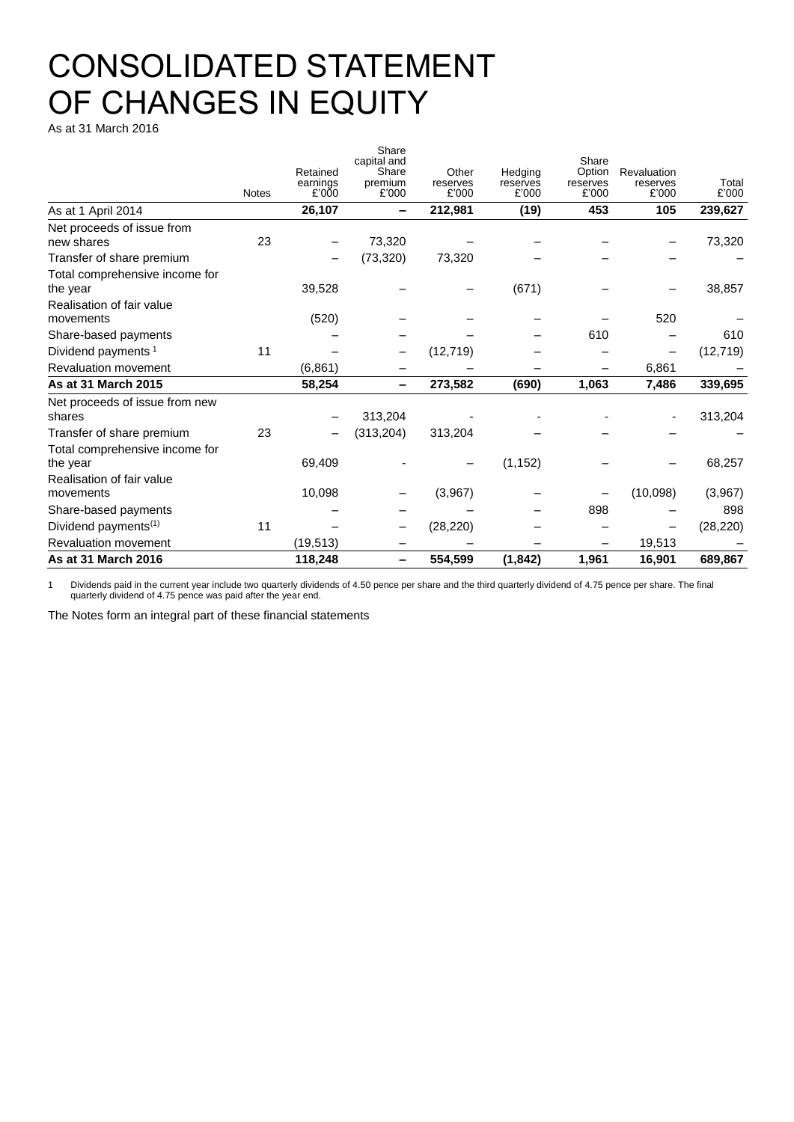# CONSOLIDATED STATEMENT OF CHANGES IN EQUITY

As at 31 March 2016

|                                            |              |                               | Share                                            |                            |                              |                                      |                                  |                |
|--------------------------------------------|--------------|-------------------------------|--------------------------------------------------|----------------------------|------------------------------|--------------------------------------|----------------------------------|----------------|
|                                            | <b>Notes</b> | Retained<br>earnings<br>£'000 | capital and<br>Share<br>premium<br>$\pounds$ 000 | Other<br>reserves<br>£'000 | Hedging<br>reserves<br>£'000 | Share<br>Option<br>reserves<br>£'000 | Revaluation<br>reserves<br>£'000 | Total<br>£'000 |
| As at 1 April 2014                         |              | 26,107                        |                                                  | 212,981                    | (19)                         | 453                                  | 105                              | 239,627        |
| Net proceeds of issue from<br>new shares   | 23           |                               | 73,320                                           |                            |                              |                                      |                                  | 73,320         |
| Transfer of share premium                  |              |                               | (73, 320)                                        | 73,320                     |                              |                                      |                                  |                |
| Total comprehensive income for<br>the year |              | 39,528                        |                                                  |                            | (671)                        |                                      |                                  | 38,857         |
| Realisation of fair value<br>movements     |              | (520)                         |                                                  |                            |                              |                                      | 520                              |                |
| Share-based payments                       |              |                               |                                                  |                            |                              | 610                                  |                                  | 610            |
| Dividend payments <sup>1</sup>             | 11           |                               |                                                  | (12, 719)                  |                              |                                      | -                                | (12, 719)      |
| <b>Revaluation movement</b>                |              | (6, 861)                      |                                                  |                            |                              |                                      | 6,861                            |                |
| As at 31 March 2015                        |              | 58,254                        | Ξ.                                               | 273,582                    | (690)                        | 1,063                                | 7,486                            | 339,695        |
| Net proceeds of issue from new<br>shares   |              |                               | 313,204                                          |                            |                              |                                      |                                  | 313,204        |
| Transfer of share premium                  | 23           |                               | (313, 204)                                       | 313,204                    |                              |                                      |                                  |                |
| Total comprehensive income for<br>the year |              | 69,409                        |                                                  |                            | (1, 152)                     |                                      |                                  | 68,257         |
| Realisation of fair value<br>movements     |              | 10,098                        |                                                  | (3,967)                    |                              |                                      | (10,098)                         | (3,967)        |
| Share-based payments                       |              |                               |                                                  |                            |                              | 898                                  |                                  | 898            |
| Dividend payments <sup>(1)</sup>           | 11           |                               |                                                  | (28, 220)                  |                              |                                      |                                  | (28, 220)      |
| Revaluation movement                       |              | (19, 513)                     |                                                  |                            |                              |                                      | 19,513                           |                |
| As at 31 March 2016                        |              | 118,248                       | -                                                | 554,599                    | (1, 842)                     | 1,961                                | 16,901                           | 689,867        |

1 Dividends paid in the current year include two quarterly dividends of 4.50 pence per share and the third quarterly dividend of 4.75 pence per share. The final quarterly dividend of 4.75 pence was paid after the year end.

The Notes form an integral part of these financial statements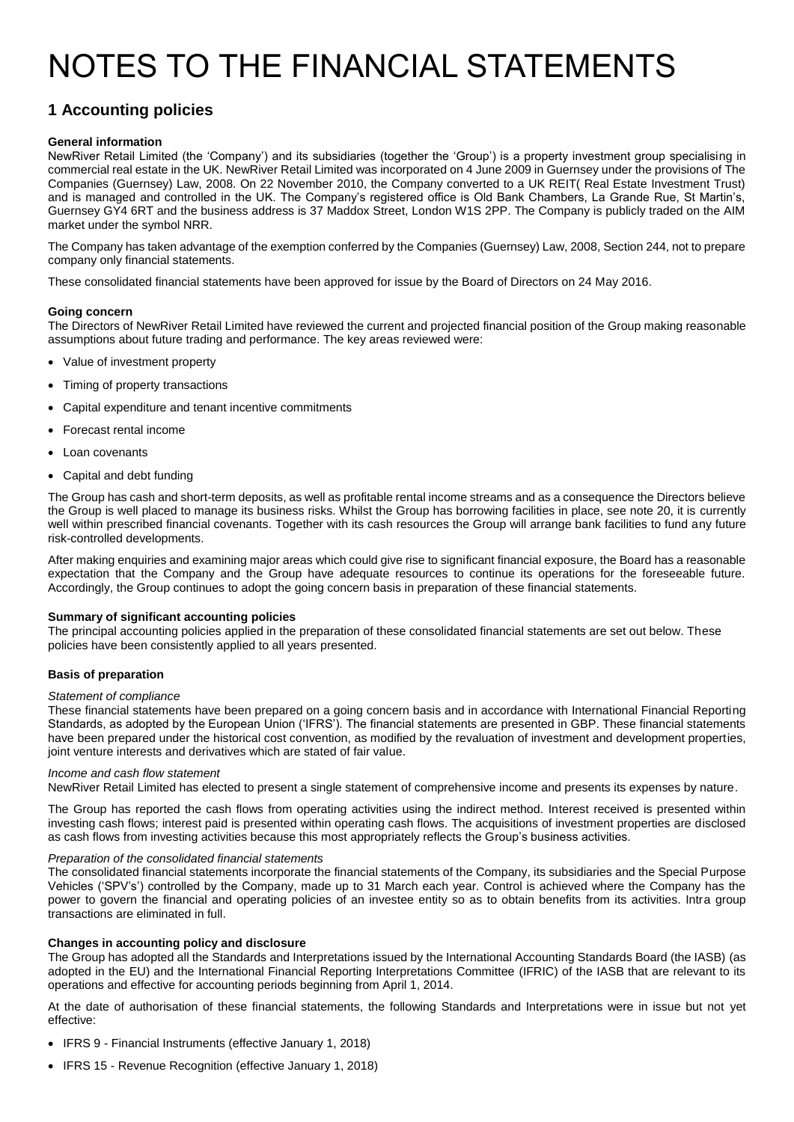# NOTES TO THE FINANCIAL STATEMENTS

# **1 Accounting policies**

## **General information**

NewRiver Retail Limited (the 'Company') and its subsidiaries (together the 'Group') is a property investment group specialising in commercial real estate in the UK. NewRiver Retail Limited was incorporated on 4 June 2009 in Guernsey under the provisions of The Companies (Guernsey) Law, 2008. On 22 November 2010, the Company converted to a UK REIT( Real Estate Investment Trust) and is managed and controlled in the UK. The Company's registered office is Old Bank Chambers, La Grande Rue, St Martin's, Guernsey GY4 6RT and the business address is 37 Maddox Street, London W1S 2PP. The Company is publicly traded on the AIM market under the symbol NRR.

The Company has taken advantage of the exemption conferred by the Companies (Guernsey) Law, 2008, Section 244, not to prepare company only financial statements.

These consolidated financial statements have been approved for issue by the Board of Directors on 24 May 2016.

## **Going concern**

The Directors of NewRiver Retail Limited have reviewed the current and projected financial position of the Group making reasonable assumptions about future trading and performance. The key areas reviewed were:

- Value of investment property
- Timing of property transactions
- Capital expenditure and tenant incentive commitments
- Forecast rental income
- Loan covenants
- Capital and debt funding

The Group has cash and short-term deposits, as well as profitable rental income streams and as a consequence the Directors believe the Group is well placed to manage its business risks. Whilst the Group has borrowing facilities in place, see note 20, it is currently well within prescribed financial covenants. Together with its cash resources the Group will arrange bank facilities to fund any future risk-controlled developments.

After making enquiries and examining major areas which could give rise to significant financial exposure, the Board has a reasonable expectation that the Company and the Group have adequate resources to continue its operations for the foreseeable future. Accordingly, the Group continues to adopt the going concern basis in preparation of these financial statements.

## **Summary of significant accounting policies**

The principal accounting policies applied in the preparation of these consolidated financial statements are set out below. These policies have been consistently applied to all years presented.

## **Basis of preparation**

#### *Statement of compliance*

These financial statements have been prepared on a going concern basis and in accordance with International Financial Reporting Standards, as adopted by the European Union ('IFRS'). The financial statements are presented in GBP. These financial statements have been prepared under the historical cost convention, as modified by the revaluation of investment and development properties, joint venture interests and derivatives which are stated of fair value.

#### *Income and cash flow statement*

NewRiver Retail Limited has elected to present a single statement of comprehensive income and presents its expenses by nature.

The Group has reported the cash flows from operating activities using the indirect method. Interest received is presented within investing cash flows; interest paid is presented within operating cash flows. The acquisitions of investment properties are disclosed as cash flows from investing activities because this most appropriately reflects the Group's business activities.

#### *Preparation of the consolidated financial statements*

The consolidated financial statements incorporate the financial statements of the Company, its subsidiaries and the Special Purpose Vehicles ('SPV's') controlled by the Company, made up to 31 March each year. Control is achieved where the Company has the power to govern the financial and operating policies of an investee entity so as to obtain benefits from its activities. Intra group transactions are eliminated in full.

## **Changes in accounting policy and disclosure**

The Group has adopted all the Standards and Interpretations issued by the International Accounting Standards Board (the IASB) (as adopted in the EU) and the International Financial Reporting Interpretations Committee (IFRIC) of the IASB that are relevant to its operations and effective for accounting periods beginning from April 1, 2014.

At the date of authorisation of these financial statements, the following Standards and Interpretations were in issue but not yet effective:

- IFRS 9 Financial Instruments (effective January 1, 2018)
- IFRS 15 Revenue Recognition (effective January 1, 2018)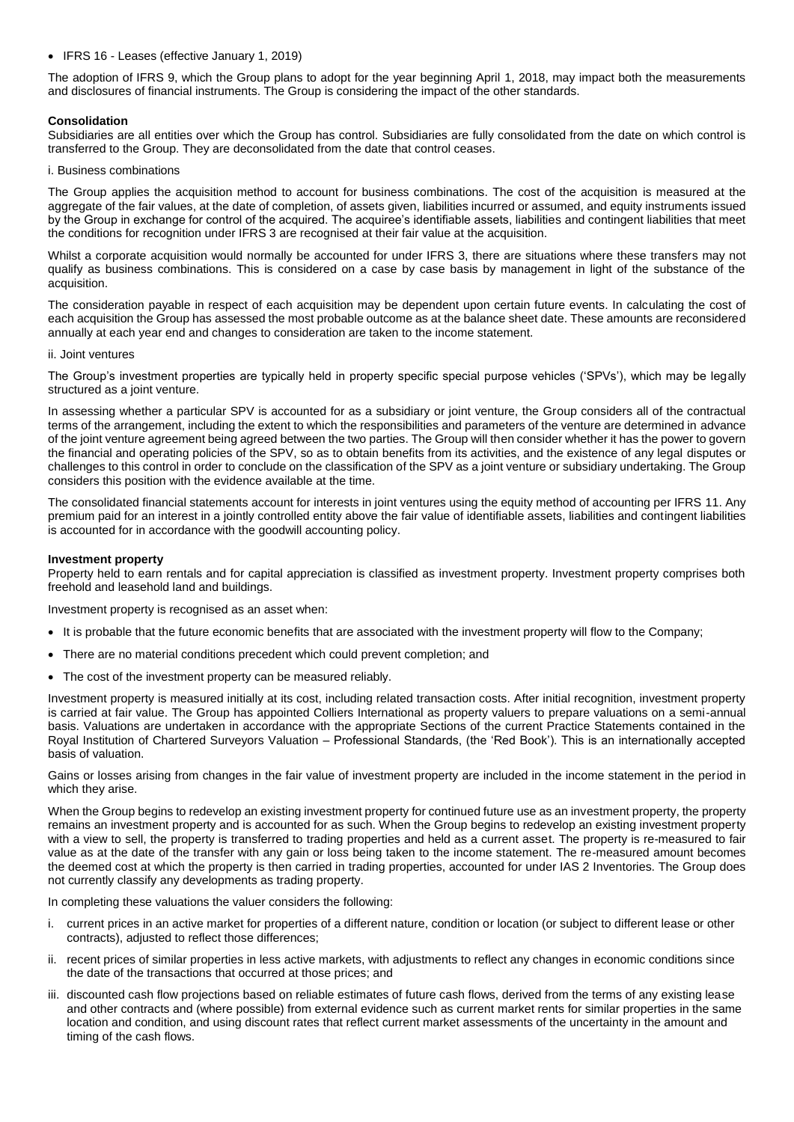• IFRS 16 - Leases (effective January 1, 2019)

The adoption of IFRS 9, which the Group plans to adopt for the year beginning April 1, 2018, may impact both the measurements and disclosures of financial instruments. The Group is considering the impact of the other standards.

## **Consolidation**

Subsidiaries are all entities over which the Group has control. Subsidiaries are fully consolidated from the date on which control is transferred to the Group. They are deconsolidated from the date that control ceases.

#### i. Business combinations

The Group applies the acquisition method to account for business combinations. The cost of the acquisition is measured at the aggregate of the fair values, at the date of completion, of assets given, liabilities incurred or assumed, and equity instruments issued by the Group in exchange for control of the acquired. The acquiree's identifiable assets, liabilities and contingent liabilities that meet the conditions for recognition under IFRS 3 are recognised at their fair value at the acquisition.

Whilst a corporate acquisition would normally be accounted for under IFRS 3, there are situations where these transfers may not qualify as business combinations. This is considered on a case by case basis by management in light of the substance of the acquisition.

The consideration payable in respect of each acquisition may be dependent upon certain future events. In calculating the cost of each acquisition the Group has assessed the most probable outcome as at the balance sheet date. These amounts are reconsidered annually at each year end and changes to consideration are taken to the income statement.

#### ii. Joint ventures

The Group's investment properties are typically held in property specific special purpose vehicles ('SPVs'), which may be legally structured as a joint venture.

In assessing whether a particular SPV is accounted for as a subsidiary or joint venture, the Group considers all of the contractual terms of the arrangement, including the extent to which the responsibilities and parameters of the venture are determined in advance of the joint venture agreement being agreed between the two parties. The Group will then consider whether it has the power to govern the financial and operating policies of the SPV, so as to obtain benefits from its activities, and the existence of any legal disputes or challenges to this control in order to conclude on the classification of the SPV as a joint venture or subsidiary undertaking. The Group considers this position with the evidence available at the time.

The consolidated financial statements account for interests in joint ventures using the equity method of accounting per IFRS 11. Any premium paid for an interest in a jointly controlled entity above the fair value of identifiable assets, liabilities and contingent liabilities is accounted for in accordance with the goodwill accounting policy.

#### **Investment property**

Property held to earn rentals and for capital appreciation is classified as investment property. Investment property comprises both freehold and leasehold land and buildings.

Investment property is recognised as an asset when:

- It is probable that the future economic benefits that are associated with the investment property will flow to the Company;
- There are no material conditions precedent which could prevent completion; and
- The cost of the investment property can be measured reliably.

Investment property is measured initially at its cost, including related transaction costs. After initial recognition, investment property is carried at fair value. The Group has appointed Colliers International as property valuers to prepare valuations on a semi-annual basis. Valuations are undertaken in accordance with the appropriate Sections of the current Practice Statements contained in the Royal Institution of Chartered Surveyors Valuation – Professional Standards, (the 'Red Book'). This is an internationally accepted basis of valuation.

Gains or losses arising from changes in the fair value of investment property are included in the income statement in the period in which they arise.

When the Group begins to redevelop an existing investment property for continued future use as an investment property, the property remains an investment property and is accounted for as such. When the Group begins to redevelop an existing investment property with a view to sell, the property is transferred to trading properties and held as a current asset. The property is re-measured to fair value as at the date of the transfer with any gain or loss being taken to the income statement. The re-measured amount becomes the deemed cost at which the property is then carried in trading properties, accounted for under IAS 2 Inventories. The Group does not currently classify any developments as trading property.

In completing these valuations the valuer considers the following:

- i. current prices in an active market for properties of a different nature, condition or location (or subject to different lease or other contracts), adjusted to reflect those differences;
- ii. recent prices of similar properties in less active markets, with adjustments to reflect any changes in economic conditions since the date of the transactions that occurred at those prices; and
- iii. discounted cash flow projections based on reliable estimates of future cash flows, derived from the terms of any existing lease and other contracts and (where possible) from external evidence such as current market rents for similar properties in the same location and condition, and using discount rates that reflect current market assessments of the uncertainty in the amount and timing of the cash flows.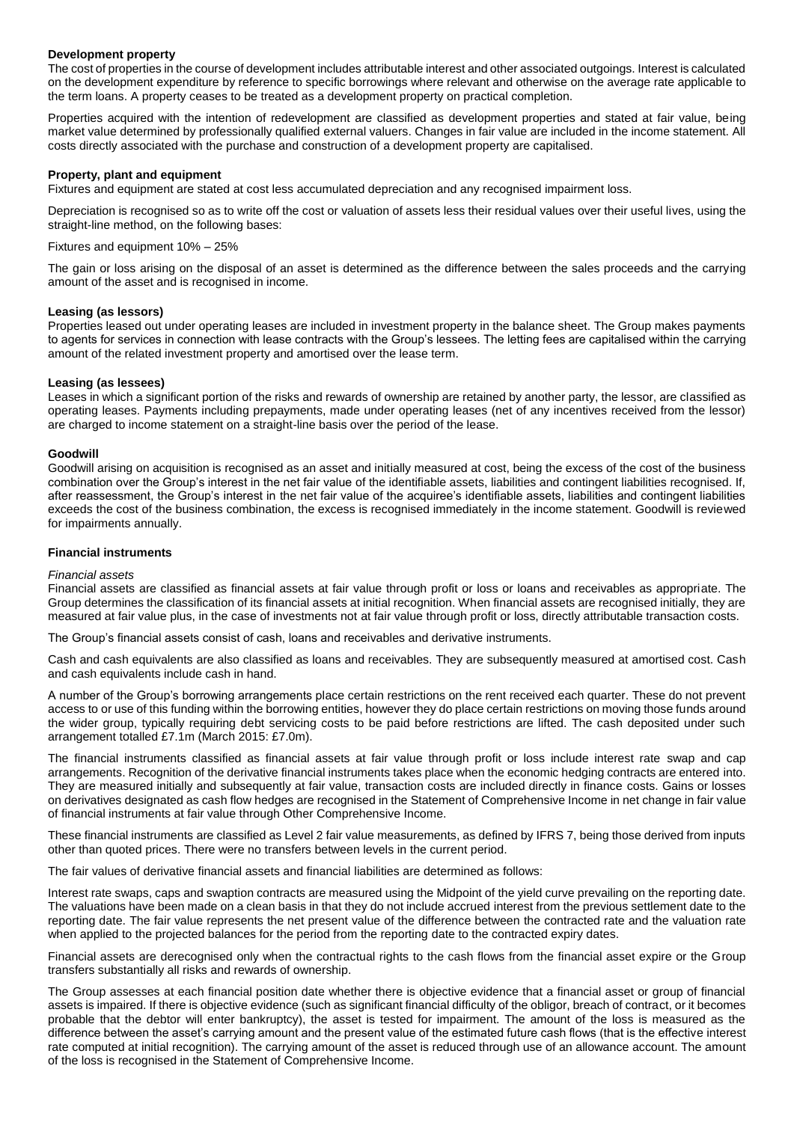## **Development property**

The cost of properties in the course of development includes attributable interest and other associated outgoings. Interest is calculated on the development expenditure by reference to specific borrowings where relevant and otherwise on the average rate applicable to the term loans. A property ceases to be treated as a development property on practical completion.

Properties acquired with the intention of redevelopment are classified as development properties and stated at fair value, being market value determined by professionally qualified external valuers. Changes in fair value are included in the income statement. All costs directly associated with the purchase and construction of a development property are capitalised.

## **Property, plant and equipment**

Fixtures and equipment are stated at cost less accumulated depreciation and any recognised impairment loss.

Depreciation is recognised so as to write off the cost or valuation of assets less their residual values over their useful lives, using the straight-line method, on the following bases:

Fixtures and equipment 10% – 25%

The gain or loss arising on the disposal of an asset is determined as the difference between the sales proceeds and the carrying amount of the asset and is recognised in income.

## **Leasing (as lessors)**

Properties leased out under operating leases are included in investment property in the balance sheet. The Group makes payments to agents for services in connection with lease contracts with the Group's lessees. The letting fees are capitalised within the carrying amount of the related investment property and amortised over the lease term.

## **Leasing (as lessees)**

Leases in which a significant portion of the risks and rewards of ownership are retained by another party, the lessor, are classified as operating leases. Payments including prepayments, made under operating leases (net of any incentives received from the lessor) are charged to income statement on a straight-line basis over the period of the lease.

#### **Goodwill**

Goodwill arising on acquisition is recognised as an asset and initially measured at cost, being the excess of the cost of the business combination over the Group's interest in the net fair value of the identifiable assets, liabilities and contingent liabilities recognised. If, after reassessment, the Group's interest in the net fair value of the acquiree's identifiable assets, liabilities and contingent liabilities exceeds the cost of the business combination, the excess is recognised immediately in the income statement. Goodwill is reviewed for impairments annually.

#### **Financial instruments**

#### *Financial assets*

Financial assets are classified as financial assets at fair value through profit or loss or loans and receivables as appropriate. The Group determines the classification of its financial assets at initial recognition. When financial assets are recognised initially, they are measured at fair value plus, in the case of investments not at fair value through profit or loss, directly attributable transaction costs.

The Group's financial assets consist of cash, loans and receivables and derivative instruments.

Cash and cash equivalents are also classified as loans and receivables. They are subsequently measured at amortised cost. Cash and cash equivalents include cash in hand.

A number of the Group's borrowing arrangements place certain restrictions on the rent received each quarter. These do not prevent access to or use of this funding within the borrowing entities, however they do place certain restrictions on moving those funds around the wider group, typically requiring debt servicing costs to be paid before restrictions are lifted. The cash deposited under such arrangement totalled £7.1m (March 2015: £7.0m).

The financial instruments classified as financial assets at fair value through profit or loss include interest rate swap and cap arrangements. Recognition of the derivative financial instruments takes place when the economic hedging contracts are entered into. They are measured initially and subsequently at fair value, transaction costs are included directly in finance costs. Gains or losses on derivatives designated as cash flow hedges are recognised in the Statement of Comprehensive Income in net change in fair value of financial instruments at fair value through Other Comprehensive Income.

These financial instruments are classified as Level 2 fair value measurements, as defined by IFRS 7, being those derived from inputs other than quoted prices. There were no transfers between levels in the current period.

The fair values of derivative financial assets and financial liabilities are determined as follows:

Interest rate swaps, caps and swaption contracts are measured using the Midpoint of the yield curve prevailing on the reporting date. The valuations have been made on a clean basis in that they do not include accrued interest from the previous settlement date to the reporting date. The fair value represents the net present value of the difference between the contracted rate and the valuation rate when applied to the projected balances for the period from the reporting date to the contracted expiry dates.

Financial assets are derecognised only when the contractual rights to the cash flows from the financial asset expire or the Group transfers substantially all risks and rewards of ownership.

The Group assesses at each financial position date whether there is objective evidence that a financial asset or group of financial assets is impaired. If there is objective evidence (such as significant financial difficulty of the obligor, breach of contract, or it becomes probable that the debtor will enter bankruptcy), the asset is tested for impairment. The amount of the loss is measured as the difference between the asset's carrying amount and the present value of the estimated future cash flows (that is the effective interest rate computed at initial recognition). The carrying amount of the asset is reduced through use of an allowance account. The amount of the loss is recognised in the Statement of Comprehensive Income.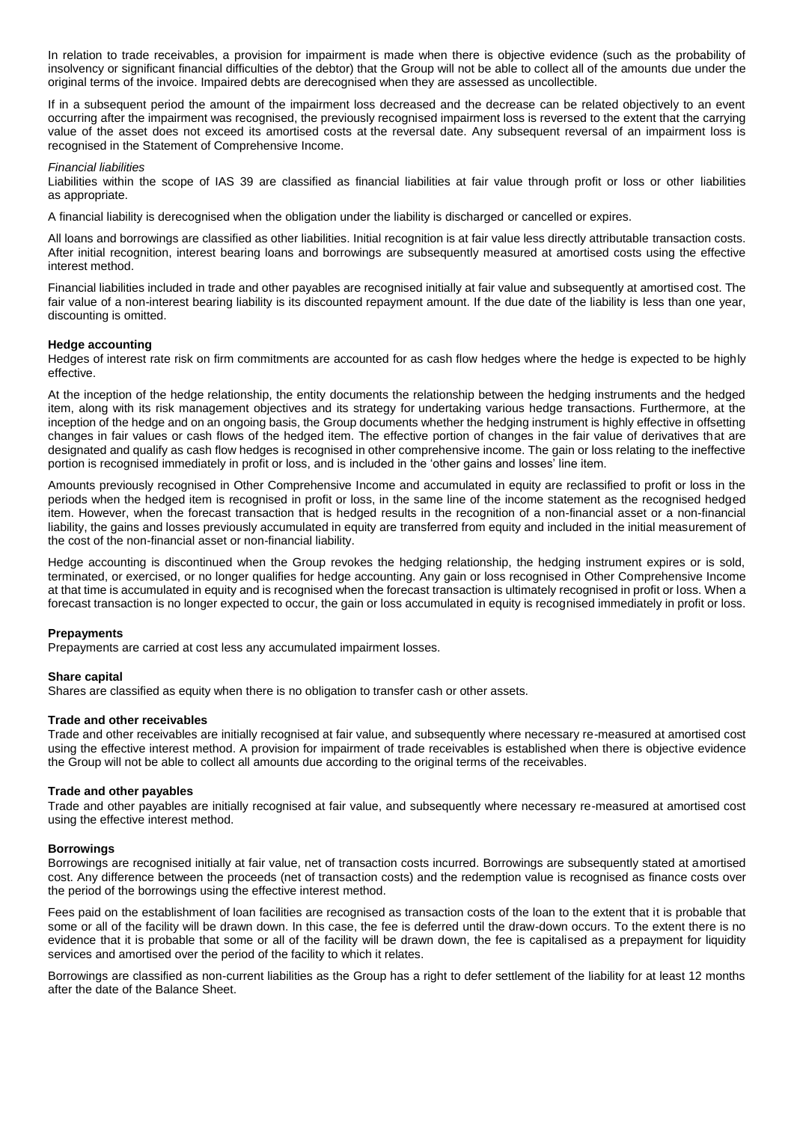In relation to trade receivables, a provision for impairment is made when there is objective evidence (such as the probability of insolvency or significant financial difficulties of the debtor) that the Group will not be able to collect all of the amounts due under the original terms of the invoice. Impaired debts are derecognised when they are assessed as uncollectible.

If in a subsequent period the amount of the impairment loss decreased and the decrease can be related objectively to an event occurring after the impairment was recognised, the previously recognised impairment loss is reversed to the extent that the carrying value of the asset does not exceed its amortised costs at the reversal date. Any subsequent reversal of an impairment loss is recognised in the Statement of Comprehensive Income.

#### *Financial liabilities*

Liabilities within the scope of IAS 39 are classified as financial liabilities at fair value through profit or loss or other liabilities as appropriate.

A financial liability is derecognised when the obligation under the liability is discharged or cancelled or expires.

All loans and borrowings are classified as other liabilities. Initial recognition is at fair value less directly attributable transaction costs. After initial recognition, interest bearing loans and borrowings are subsequently measured at amortised costs using the effective interest method.

Financial liabilities included in trade and other payables are recognised initially at fair value and subsequently at amortised cost. The fair value of a non-interest bearing liability is its discounted repayment amount. If the due date of the liability is less than one year. discounting is omitted.

#### **Hedge accounting**

Hedges of interest rate risk on firm commitments are accounted for as cash flow hedges where the hedge is expected to be highly effective.

At the inception of the hedge relationship, the entity documents the relationship between the hedging instruments and the hedged item, along with its risk management objectives and its strategy for undertaking various hedge transactions. Furthermore, at the inception of the hedge and on an ongoing basis, the Group documents whether the hedging instrument is highly effective in offsetting changes in fair values or cash flows of the hedged item. The effective portion of changes in the fair value of derivatives that are designated and qualify as cash flow hedges is recognised in other comprehensive income. The gain or loss relating to the ineffective portion is recognised immediately in profit or loss, and is included in the 'other gains and losses' line item.

Amounts previously recognised in Other Comprehensive Income and accumulated in equity are reclassified to profit or loss in the periods when the hedged item is recognised in profit or loss, in the same line of the income statement as the recognised hedged item. However, when the forecast transaction that is hedged results in the recognition of a non-financial asset or a non-financial liability, the gains and losses previously accumulated in equity are transferred from equity and included in the initial measurement of the cost of the non-financial asset or non-financial liability.

Hedge accounting is discontinued when the Group revokes the hedging relationship, the hedging instrument expires or is sold, terminated, or exercised, or no longer qualifies for hedge accounting. Any gain or loss recognised in Other Comprehensive Income at that time is accumulated in equity and is recognised when the forecast transaction is ultimately recognised in profit or loss. When a forecast transaction is no longer expected to occur, the gain or loss accumulated in equity is recognised immediately in profit or loss.

## **Prepayments**

Prepayments are carried at cost less any accumulated impairment losses.

## **Share capital**

Shares are classified as equity when there is no obligation to transfer cash or other assets.

## **Trade and other receivables**

Trade and other receivables are initially recognised at fair value, and subsequently where necessary re-measured at amortised cost using the effective interest method. A provision for impairment of trade receivables is established when there is objective evidence the Group will not be able to collect all amounts due according to the original terms of the receivables.

## **Trade and other payables**

Trade and other payables are initially recognised at fair value, and subsequently where necessary re-measured at amortised cost using the effective interest method.

## **Borrowings**

Borrowings are recognised initially at fair value, net of transaction costs incurred. Borrowings are subsequently stated at amortised cost. Any difference between the proceeds (net of transaction costs) and the redemption value is recognised as finance costs over the period of the borrowings using the effective interest method.

Fees paid on the establishment of loan facilities are recognised as transaction costs of the loan to the extent that it is probable that some or all of the facility will be drawn down. In this case, the fee is deferred until the draw-down occurs. To the extent there is no evidence that it is probable that some or all of the facility will be drawn down, the fee is capitalised as a prepayment for liquidity services and amortised over the period of the facility to which it relates.

Borrowings are classified as non-current liabilities as the Group has a right to defer settlement of the liability for at least 12 months after the date of the Balance Sheet.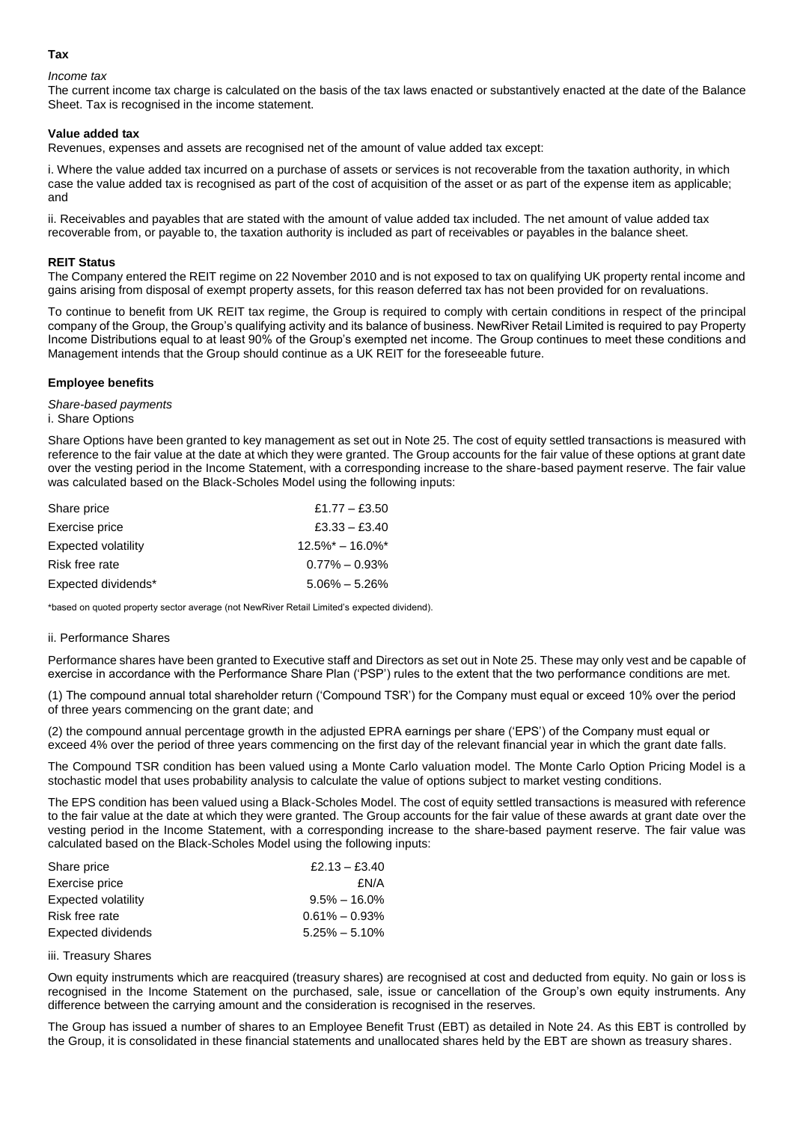## **Tax**

## *Income tax*

The current income tax charge is calculated on the basis of the tax laws enacted or substantively enacted at the date of the Balance Sheet. Tax is recognised in the income statement.

## **Value added tax**

Revenues, expenses and assets are recognised net of the amount of value added tax except:

i. Where the value added tax incurred on a purchase of assets or services is not recoverable from the taxation authority, in which case the value added tax is recognised as part of the cost of acquisition of the asset or as part of the expense item as applicable; and

ii. Receivables and payables that are stated with the amount of value added tax included. The net amount of value added tax recoverable from, or payable to, the taxation authority is included as part of receivables or payables in the balance sheet.

## **REIT Status**

The Company entered the REIT regime on 22 November 2010 and is not exposed to tax on qualifying UK property rental income and gains arising from disposal of exempt property assets, for this reason deferred tax has not been provided for on revaluations.

To continue to benefit from UK REIT tax regime, the Group is required to comply with certain conditions in respect of the principal company of the Group, the Group's qualifying activity and its balance of business. NewRiver Retail Limited is required to pay Property Income Distributions equal to at least 90% of the Group's exempted net income. The Group continues to meet these conditions and Management intends that the Group should continue as a UK REIT for the foreseeable future.

## **Employee benefits**

*Share-based payments*  i. Share Options

Share Options have been granted to key management as set out in Note 25. The cost of equity settled transactions is measured with reference to the fair value at the date at which they were granted. The Group accounts for the fair value of these options at grant date over the vesting period in the Income Statement, with a corresponding increase to the share-based payment reserve. The fair value was calculated based on the Black-Scholes Model using the following inputs:

| Share price         | £1.77 – £3.50       |
|---------------------|---------------------|
| Exercise price      | £3.33 $-$ £3.40     |
| Expected volatility | $12.5\%$ * - 16.0%* |
| Risk free rate      | $0.77\% - 0.93\%$   |
| Expected dividends* | $5.06\% - 5.26\%$   |

\*based on quoted property sector average (not NewRiver Retail Limited's expected dividend).

## ii. Performance Shares

Performance shares have been granted to Executive staff and Directors as set out in Note 25. These may only vest and be capable of exercise in accordance with the Performance Share Plan ('PSP') rules to the extent that the two performance conditions are met.

(1) The compound annual total shareholder return ('Compound TSR') for the Company must equal or exceed 10% over the period of three years commencing on the grant date; and

(2) the compound annual percentage growth in the adjusted EPRA earnings per share ('EPS') of the Company must equal or exceed 4% over the period of three years commencing on the first day of the relevant financial year in which the grant date falls.

The Compound TSR condition has been valued using a Monte Carlo valuation model. The Monte Carlo Option Pricing Model is a stochastic model that uses probability analysis to calculate the value of options subject to market vesting conditions.

The EPS condition has been valued using a Black-Scholes Model. The cost of equity settled transactions is measured with reference to the fair value at the date at which they were granted. The Group accounts for the fair value of these awards at grant date over the vesting period in the Income Statement, with a corresponding increase to the share-based payment reserve. The fair value was calculated based on the Black-Scholes Model using the following inputs:

| Share price         | £2.13 – £3.40     |
|---------------------|-------------------|
| Exercise price      | £N/A              |
| Expected volatility | $9.5\% - 16.0\%$  |
| Risk free rate      | $0.61\% - 0.93\%$ |
| Expected dividends  | $5.25\% - 5.10\%$ |
|                     |                   |

#### iii. Treasury Shares

Own equity instruments which are reacquired (treasury shares) are recognised at cost and deducted from equity. No gain or loss is recognised in the Income Statement on the purchased, sale, issue or cancellation of the Group's own equity instruments. Any difference between the carrying amount and the consideration is recognised in the reserves.

The Group has issued a number of shares to an Employee Benefit Trust (EBT) as detailed in Note 24. As this EBT is controlled by the Group, it is consolidated in these financial statements and unallocated shares held by the EBT are shown as treasury shares.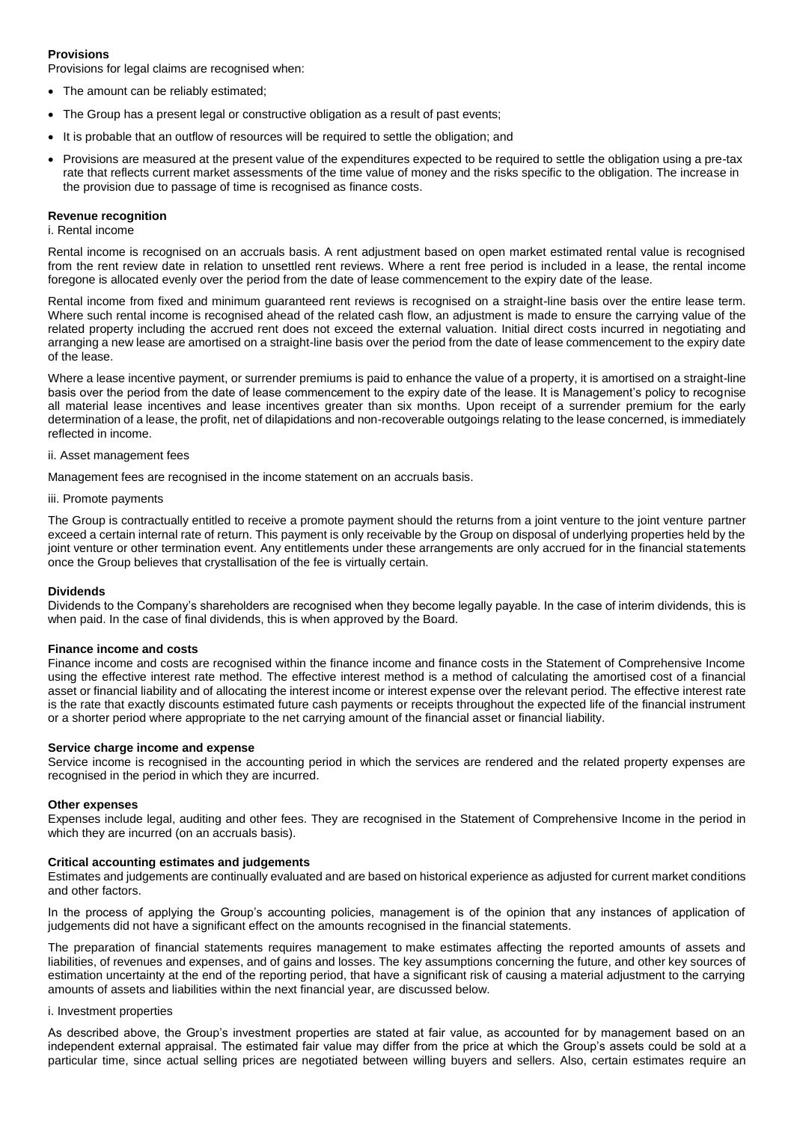## **Provisions**

Provisions for legal claims are recognised when:

- The amount can be reliably estimated;
- The Group has a present legal or constructive obligation as a result of past events;
- It is probable that an outflow of resources will be required to settle the obligation; and
- Provisions are measured at the present value of the expenditures expected to be required to settle the obligation using a pre-tax rate that reflects current market assessments of the time value of money and the risks specific to the obligation. The increase in the provision due to passage of time is recognised as finance costs.

#### **Revenue recognition**

#### i. Rental income

Rental income is recognised on an accruals basis. A rent adjustment based on open market estimated rental value is recognised from the rent review date in relation to unsettled rent reviews. Where a rent free period is included in a lease, the rental income foregone is allocated evenly over the period from the date of lease commencement to the expiry date of the lease.

Rental income from fixed and minimum guaranteed rent reviews is recognised on a straight-line basis over the entire lease term. Where such rental income is recognised ahead of the related cash flow, an adjustment is made to ensure the carrying value of the related property including the accrued rent does not exceed the external valuation. Initial direct costs incurred in negotiating and arranging a new lease are amortised on a straight-line basis over the period from the date of lease commencement to the expiry date of the lease.

Where a lease incentive payment, or surrender premiums is paid to enhance the value of a property, it is amortised on a straight-line basis over the period from the date of lease commencement to the expiry date of the lease. It is Management's policy to recognise all material lease incentives and lease incentives greater than six months. Upon receipt of a surrender premium for the early determination of a lease, the profit, net of dilapidations and non-recoverable outgoings relating to the lease concerned, is immediately reflected in income.

#### ii. Asset management fees

Management fees are recognised in the income statement on an accruals basis.

#### iii. Promote payments

The Group is contractually entitled to receive a promote payment should the returns from a joint venture to the joint venture partner exceed a certain internal rate of return. This payment is only receivable by the Group on disposal of underlying properties held by the joint venture or other termination event. Any entitlements under these arrangements are only accrued for in the financial statements once the Group believes that crystallisation of the fee is virtually certain.

## **Dividends**

Dividends to the Company's shareholders are recognised when they become legally payable. In the case of interim dividends, this is when paid. In the case of final dividends, this is when approved by the Board.

#### **Finance income and costs**

Finance income and costs are recognised within the finance income and finance costs in the Statement of Comprehensive Income using the effective interest rate method. The effective interest method is a method of calculating the amortised cost of a financial asset or financial liability and of allocating the interest income or interest expense over the relevant period. The effective interest rate is the rate that exactly discounts estimated future cash payments or receipts throughout the expected life of the financial instrument or a shorter period where appropriate to the net carrying amount of the financial asset or financial liability.

#### **Service charge income and expense**

Service income is recognised in the accounting period in which the services are rendered and the related property expenses are recognised in the period in which they are incurred.

## **Other expenses**

Expenses include legal, auditing and other fees. They are recognised in the Statement of Comprehensive Income in the period in which they are incurred (on an accruals basis).

## **Critical accounting estimates and judgements**

Estimates and judgements are continually evaluated and are based on historical experience as adjusted for current market conditions and other factors.

In the process of applying the Group's accounting policies, management is of the opinion that any instances of application of judgements did not have a significant effect on the amounts recognised in the financial statements.

The preparation of financial statements requires management to make estimates affecting the reported amounts of assets and liabilities, of revenues and expenses, and of gains and losses. The key assumptions concerning the future, and other key sources of estimation uncertainty at the end of the reporting period, that have a significant risk of causing a material adjustment to the carrying amounts of assets and liabilities within the next financial year, are discussed below.

#### i. Investment properties

As described above, the Group's investment properties are stated at fair value, as accounted for by management based on an independent external appraisal. The estimated fair value may differ from the price at which the Group's assets could be sold at a particular time, since actual selling prices are negotiated between willing buyers and sellers. Also, certain estimates require an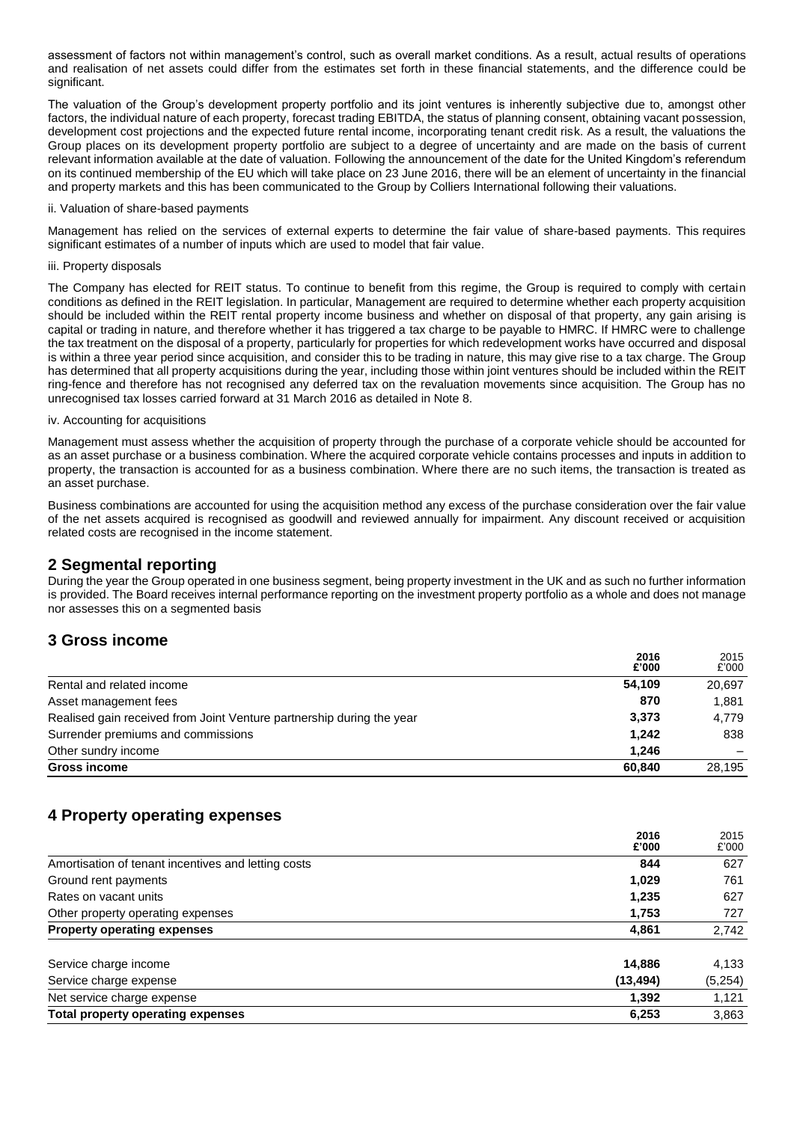assessment of factors not within management's control, such as overall market conditions. As a result, actual results of operations and realisation of net assets could differ from the estimates set forth in these financial statements, and the difference could be significant.

The valuation of the Group's development property portfolio and its joint ventures is inherently subjective due to, amongst other factors, the individual nature of each property, forecast trading EBITDA, the status of planning consent, obtaining vacant possession, development cost projections and the expected future rental income, incorporating tenant credit risk. As a result, the valuations the Group places on its development property portfolio are subject to a degree of uncertainty and are made on the basis of current relevant information available at the date of valuation. Following the announcement of the date for the United Kingdom's referendum on its continued membership of the EU which will take place on 23 June 2016, there will be an element of uncertainty in the financial and property markets and this has been communicated to the Group by Colliers International following their valuations.

#### ii. Valuation of share-based payments

Management has relied on the services of external experts to determine the fair value of share-based payments. This requires significant estimates of a number of inputs which are used to model that fair value.

#### iii. Property disposals

The Company has elected for REIT status. To continue to benefit from this regime, the Group is required to comply with certain conditions as defined in the REIT legislation. In particular, Management are required to determine whether each property acquisition should be included within the REIT rental property income business and whether on disposal of that property, any gain arising is capital or trading in nature, and therefore whether it has triggered a tax charge to be payable to HMRC. If HMRC were to challenge the tax treatment on the disposal of a property, particularly for properties for which redevelopment works have occurred and disposal is within a three year period since acquisition, and consider this to be trading in nature, this may give rise to a tax charge. The Group has determined that all property acquisitions during the year, including those within joint ventures should be included within the REIT ring-fence and therefore has not recognised any deferred tax on the revaluation movements since acquisition. The Group has no unrecognised tax losses carried forward at 31 March 2016 as detailed in Note 8.

#### iv. Accounting for acquisitions

Management must assess whether the acquisition of property through the purchase of a corporate vehicle should be accounted for as an asset purchase or a business combination. Where the acquired corporate vehicle contains processes and inputs in addition to property, the transaction is accounted for as a business combination. Where there are no such items, the transaction is treated as an asset purchase.

Business combinations are accounted for using the acquisition method any excess of the purchase consideration over the fair value of the net assets acquired is recognised as goodwill and reviewed annually for impairment. Any discount received or acquisition related costs are recognised in the income statement.

# **2 Segmental reporting**

During the year the Group operated in one business segment, being property investment in the UK and as such no further information is provided. The Board receives internal performance reporting on the investment property portfolio as a whole and does not manage nor assesses this on a segmented basis

# **3 Gross income**

| 2016<br>£'000                                                                  | 2015<br>£'000 |
|--------------------------------------------------------------------------------|---------------|
| 54.109<br>Rental and related income                                            | 20,697        |
| 870<br>Asset management fees                                                   | 1.881         |
| 3,373<br>Realised gain received from Joint Venture partnership during the year | 4.779         |
| Surrender premiums and commissions<br>1.242                                    | 838           |
| Other sundry income<br>1,246                                                   |               |
| <b>Gross income</b><br>60.840                                                  | 28,195        |

# **4 Property operating expenses**

|                                                     | 2016<br>£'000 | 2015<br>£'000 |
|-----------------------------------------------------|---------------|---------------|
| Amortisation of tenant incentives and letting costs | 844           | 627           |
| Ground rent payments                                | 1,029         | 761           |
| Rates on vacant units                               | 1,235         | 627           |
| Other property operating expenses                   | 1,753         | 727           |
| <b>Property operating expenses</b>                  | 4,861         | 2,742         |
| Service charge income                               | 14,886        | 4,133         |
| Service charge expense                              | (13, 494)     | (5,254)       |
| Net service charge expense                          | 1,392         | 1.121         |
| <b>Total property operating expenses</b>            | 6,253         | 3,863         |
|                                                     |               |               |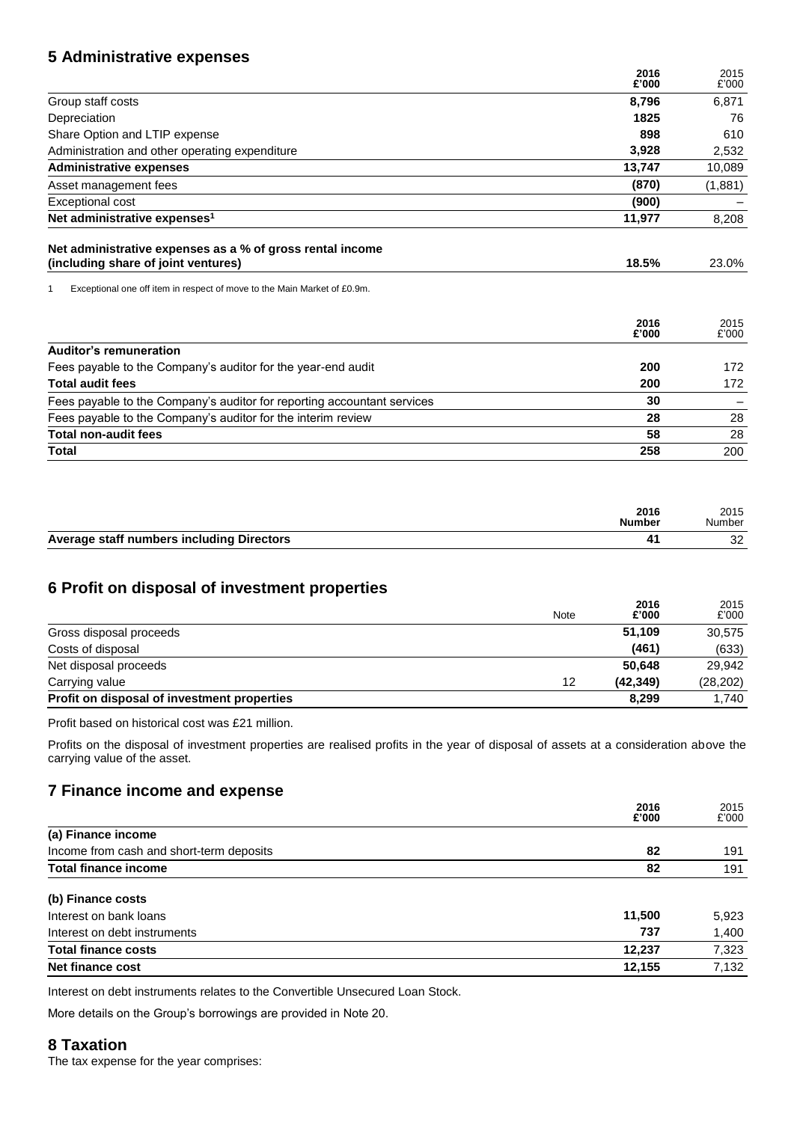# **5 Administrative expenses**

|                                                                                                  | 2016<br>£'000 | 2015<br>£'000 |
|--------------------------------------------------------------------------------------------------|---------------|---------------|
| Group staff costs                                                                                | 8,796         | 6,871         |
| Depreciation                                                                                     | 1825          | 76            |
| Share Option and LTIP expense                                                                    | 898           | 610           |
| Administration and other operating expenditure                                                   | 3,928         | 2,532         |
| <b>Administrative expenses</b>                                                                   | 13,747        | 10,089        |
| Asset management fees                                                                            | (870)         | (1,881)       |
| Exceptional cost                                                                                 | (900)         |               |
| Net administrative expenses <sup>1</sup>                                                         | 11,977        | 8,208         |
| Net administrative expenses as a % of gross rental income<br>(including share of joint ventures) | 18.5%         | 23.0%         |
| Exceptional one off item in respect of move to the Main Market of £0.9m.                         | 2016          | 2015          |
| Auditor's remuneration                                                                           | £'000         | £'000         |
| Fees payable to the Company's auditor for the year-end audit                                     | 200           | 172           |
| <b>Total audit fees</b>                                                                          | 200           | 172           |
| Fees payable to the Company's auditor for reporting accountant services                          | 30            |               |
| Fees payable to the Company's auditor for the interim review                                     | 28            | 28            |
| <b>Total non-audit fees</b>                                                                      | 58            | 28            |
| Total                                                                                            | 258           | 200           |

| 2016                                             | 2015    |
|--------------------------------------------------|---------|
| <b>Number</b>                                    | Number  |
| <b>Average staff numbers including Directors</b> | ົ<br>ےت |

# **6 Profit on disposal of investment properties**

| Profit on disposal of investment properties |      | 8.299         | 1.740         |
|---------------------------------------------|------|---------------|---------------|
| Carrying value                              | 12   | (42.349)      | (28, 202)     |
| Net disposal proceeds                       |      | 50.648        | 29.942        |
| Costs of disposal                           |      | (461)         | (633)         |
| Gross disposal proceeds                     |      | 51.109        | 30,575        |
|                                             | Note | 2016<br>£'000 | 2015<br>£'000 |

Profit based on historical cost was £21 million.

Profits on the disposal of investment properties are realised profits in the year of disposal of assets at a consideration above the carrying value of the asset.

# **7 Finance income and expense**

|                                          | 2016<br>£'000 | 2015<br>£'000 |
|------------------------------------------|---------------|---------------|
| (a) Finance income                       |               |               |
| Income from cash and short-term deposits | 82            | 191           |
| <b>Total finance income</b>              | 82            | 191           |
| (b) Finance costs                        |               |               |
| Interest on bank loans                   | 11,500        | 5,923         |
| Interest on debt instruments             | 737           | 1,400         |
| <b>Total finance costs</b>               | 12,237        | 7,323         |
| <b>Net finance cost</b>                  | 12,155        | 7,132         |

Interest on debt instruments relates to the Convertible Unsecured Loan Stock.

More details on the Group's borrowings are provided in Note 20.

# **8 Taxation**

The tax expense for the year comprises: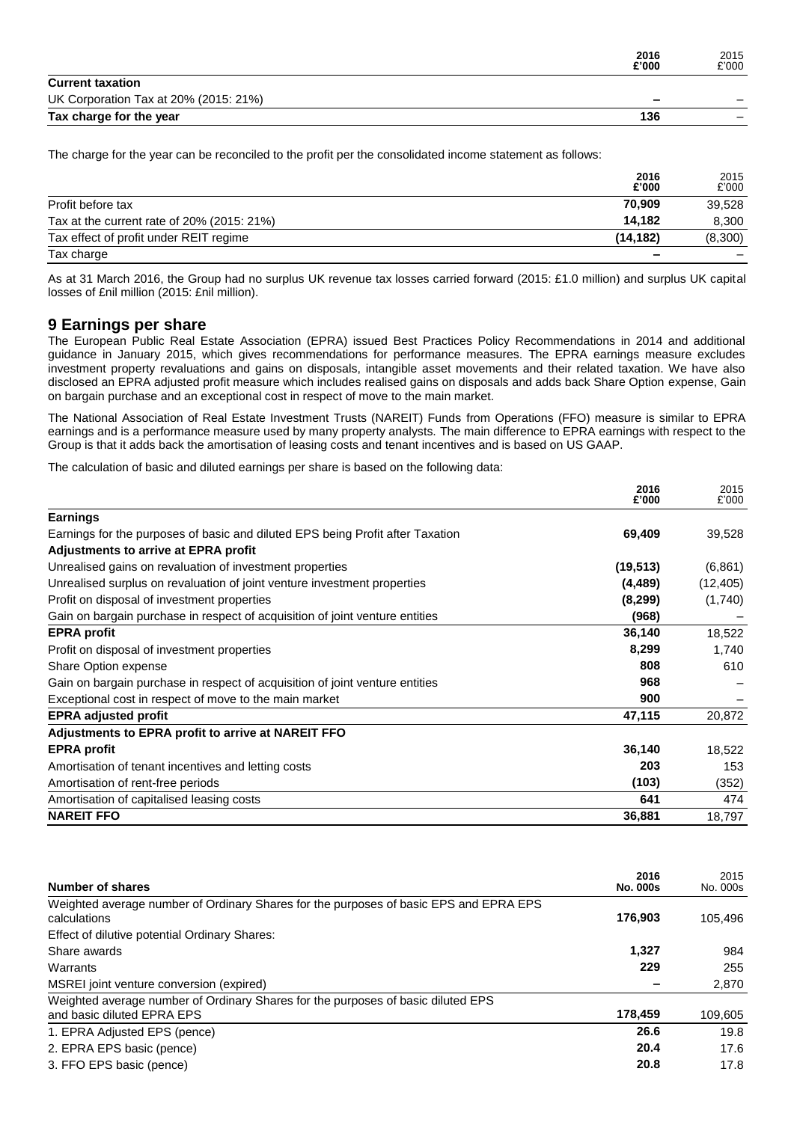|                                       | 2016<br>£'000            | 2015<br>£'000 |
|---------------------------------------|--------------------------|---------------|
| <b>Current taxation</b>               |                          |               |
| UK Corporation Tax at 20% (2015: 21%) | $\overline{\phantom{a}}$ |               |
| Tax charge for the year               | 136                      |               |

The charge for the year can be reconciled to the profit per the consolidated income statement as follows:

|                                            | 2016<br>£'000            | 2015<br>£'000 |
|--------------------------------------------|--------------------------|---------------|
| Profit before tax                          | 70.909                   | 39.528        |
| Tax at the current rate of 20% (2015: 21%) | 14.182                   | 8.300         |
| Tax effect of profit under REIT regime     | (14.182)                 | (8,300)       |
| Tax charge                                 | $\overline{\phantom{0}}$ |               |

As at 31 March 2016, the Group had no surplus UK revenue tax losses carried forward (2015: £1.0 million) and surplus UK capital losses of £nil million (2015: £nil million).

# **9 Earnings per share**

The European Public Real Estate Association (EPRA) issued Best Practices Policy Recommendations in 2014 and additional guidance in January 2015, which gives recommendations for performance measures. The EPRA earnings measure excludes investment property revaluations and gains on disposals, intangible asset movements and their related taxation. We have also disclosed an EPRA adjusted profit measure which includes realised gains on disposals and adds back Share Option expense, Gain on bargain purchase and an exceptional cost in respect of move to the main market.

The National Association of Real Estate Investment Trusts (NAREIT) Funds from Operations (FFO) measure is similar to EPRA earnings and is a performance measure used by many property analysts. The main difference to EPRA earnings with respect to the Group is that it adds back the amortisation of leasing costs and tenant incentives and is based on US GAAP.

The calculation of basic and diluted earnings per share is based on the following data:

|                                                                                | 2016<br>£'000 | 2015<br>£'000 |
|--------------------------------------------------------------------------------|---------------|---------------|
| <b>Earnings</b>                                                                |               |               |
| Earnings for the purposes of basic and diluted EPS being Profit after Taxation | 69,409        | 39,528        |
| <b>Adjustments to arrive at EPRA profit</b>                                    |               |               |
| Unrealised gains on revaluation of investment properties                       | (19, 513)     | (6, 861)      |
| Unrealised surplus on revaluation of joint venture investment properties       | (4, 489)      | (12, 405)     |
| Profit on disposal of investment properties                                    | (8, 299)      | (1,740)       |
| Gain on bargain purchase in respect of acquisition of joint venture entities   | (968)         |               |
| <b>EPRA</b> profit                                                             | 36,140        | 18,522        |
| Profit on disposal of investment properties                                    | 8,299         | 1,740         |
| Share Option expense                                                           | 808           | 610           |
| Gain on bargain purchase in respect of acquisition of joint venture entities   | 968           |               |
| Exceptional cost in respect of move to the main market                         | 900           |               |
| <b>EPRA adjusted profit</b>                                                    | 47,115        | 20,872        |
| Adjustments to EPRA profit to arrive at NAREIT FFO                             |               |               |
| <b>EPRA</b> profit                                                             | 36,140        | 18,522        |
| Amortisation of tenant incentives and letting costs                            | 203           | 153           |
| Amortisation of rent-free periods                                              | (103)         | (352)         |
| Amortisation of capitalised leasing costs                                      | 641           | 474           |
| <b>NAREIT FFO</b>                                                              | 36,881        | 18,797        |

| Number of shares                                                                                      | 2016<br><b>No. 000s</b> | 2015<br>No. 000s |
|-------------------------------------------------------------------------------------------------------|-------------------------|------------------|
| Weighted average number of Ordinary Shares for the purposes of basic EPS and EPRA EPS<br>calculations | 176.903                 | 105.496          |
| Effect of dilutive potential Ordinary Shares:                                                         |                         |                  |
| Share awards                                                                                          | 1.327                   | 984              |
| Warrants                                                                                              | 229                     | 255              |
| MSREI joint venture conversion (expired)                                                              |                         | 2,870            |
| Weighted average number of Ordinary Shares for the purposes of basic diluted EPS                      |                         |                  |
| and basic diluted EPRA EPS                                                                            | 178,459                 | 109.605          |
| 1. EPRA Adjusted EPS (pence)                                                                          | 26.6                    | 19.8             |
| 2. EPRA EPS basic (pence)                                                                             | 20.4                    | 17.6             |
| 3. FFO EPS basic (pence)                                                                              | 20.8                    | 17.8             |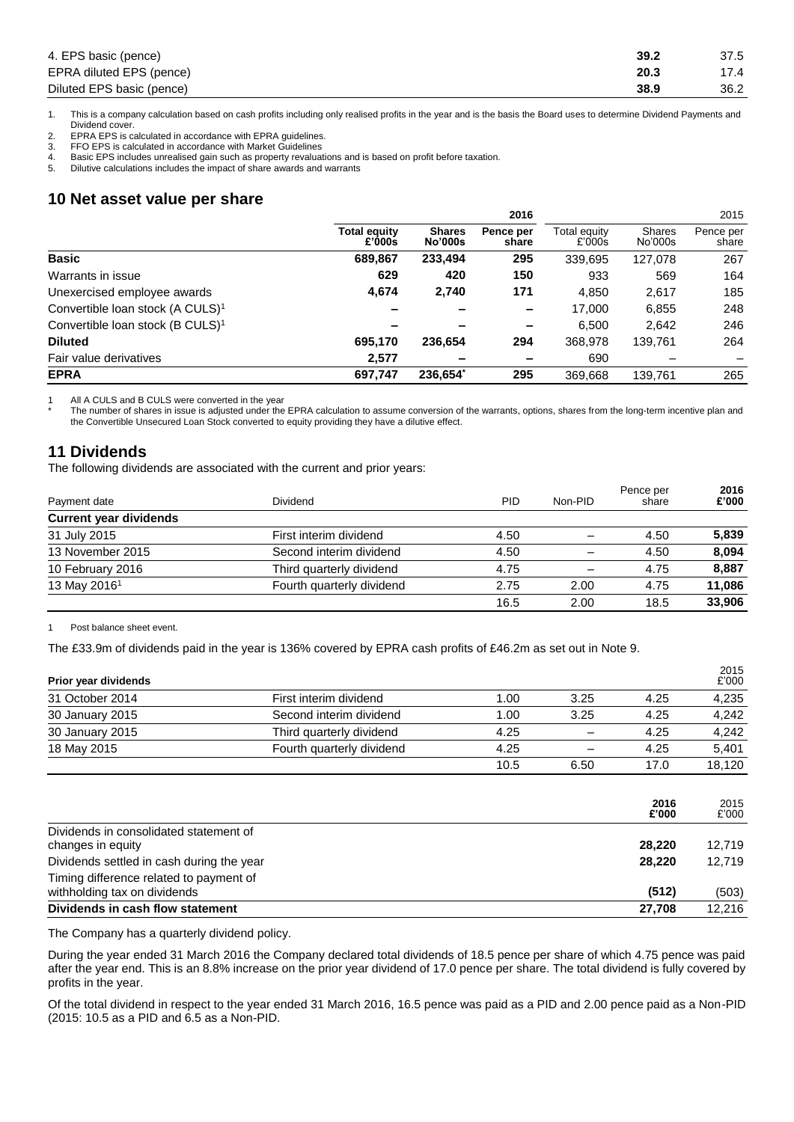| 4. EPS basic (pence)      | 39.2 | 37.5 |
|---------------------------|------|------|
| EPRA diluted EPS (pence)  | 20.3 | 17.4 |
| Diluted EPS basic (pence) | 38.9 | 36.2 |

1. This is a company calculation based on cash profits including only realised profits in the year and is the basis the Board uses to determine Dividend Payments and Dividend cover.

2. EPRA EPS is calculated in accordance with EPRA guidelines.<br>3. FFO EPS is calculated in accordance with Market Guidelines FFO EPS is calculated in accordance with Market Guidelines

4. Basic EPS includes unrealised gain such as property revaluations and is based on profit before taxation.<br>5. Dilutive calculations includes the impact of share awards and warrants

Dilutive calculations includes the impact of share awards and warrants

# **10 Net asset value per share**

|                                              |                               |                                 |                          | 2015                   |                          |                    |
|----------------------------------------------|-------------------------------|---------------------------------|--------------------------|------------------------|--------------------------|--------------------|
|                                              | <b>Total equity</b><br>£'000s | <b>Shares</b><br><b>No'000s</b> | Pence per<br>share       | Total equity<br>£'000s | <b>Shares</b><br>No'000s | Pence per<br>share |
| <b>Basic</b>                                 | 689,867                       | 233,494                         | 295                      | 339,695                | 127.078                  | 267                |
| Warrants in issue                            | 629                           | 420                             | 150                      | 933                    | 569                      | 164                |
| Unexercised employee awards                  | 4,674                         | 2,740                           | 171                      | 4,850                  | 2,617                    | 185                |
| Convertible Ioan stock (A CULS) <sup>1</sup> |                               |                                 | -                        | 17,000                 | 6,855                    | 248                |
| Convertible Ioan stock (B CULS) <sup>1</sup> |                               |                                 | $\overline{\phantom{0}}$ | 6.500                  | 2.642                    | 246                |
| <b>Diluted</b>                               | 695.170                       | 236.654                         | 294                      | 368,978                | 139,761                  | 264                |
| Fair value derivatives                       | 2,577                         |                                 |                          | 690                    |                          |                    |
| <b>EPRA</b>                                  | 697.747                       | 236.654                         | 295                      | 369,668                | 139.761                  | 265                |

1 All A CULS and B CULS were converted in the year

The number of shares in issue is adjusted under the EPRA calculation to assume conversion of the warrants, options, shares from the long-term incentive plan and the Convertible Unsecured Loan Stock converted to equity providing they have a dilutive effect.

# **11 Dividends**

The following dividends are associated with the current and prior years:

| Payment date                  | Dividend                  | <b>PID</b> | Non-PID | Pence per<br>share | 2016<br>£'000 |
|-------------------------------|---------------------------|------------|---------|--------------------|---------------|
| <b>Current year dividends</b> |                           |            |         |                    |               |
| 31 July 2015                  | First interim dividend    | 4.50       |         | 4.50               | 5,839         |
| 13 November 2015              | Second interim dividend   | 4.50       |         | 4.50               | 8,094         |
| 10 February 2016              | Third quarterly dividend  | 4.75       |         | 4.75               | 8,887         |
| 13 May 2016 <sup>1</sup>      | Fourth quarterly dividend | 2.75       | 2.00    | 4.75               | 11,086        |
|                               |                           | 16.5       | 2.00    | 18.5               | 33.906        |

Post balance sheet event.

The £33.9m of dividends paid in the year is 136% covered by EPRA cash profits of £46.2m as set out in Note 9.

| Prior year dividends                                                    |                           |      |      |               | 2015<br>£'000 |
|-------------------------------------------------------------------------|---------------------------|------|------|---------------|---------------|
| 31 October 2014                                                         | First interim dividend    | 1.00 | 3.25 | 4.25          | 4,235         |
| 30 January 2015                                                         | Second interim dividend   | 1.00 | 3.25 | 4.25          | 4,242         |
| 30 January 2015                                                         | Third quarterly dividend  | 4.25 |      | 4.25          | 4,242         |
| 18 May 2015                                                             | Fourth quarterly dividend | 4.25 |      | 4.25          | 5,401         |
|                                                                         |                           | 10.5 | 6.50 | 17.0          | 18,120        |
|                                                                         |                           |      |      | 2016<br>£'000 | 2015<br>£'000 |
| Dividends in consolidated statement of<br>changes in equity             |                           |      |      | 28,220        | 12,719        |
| Dividends settled in cash during the year                               |                           |      |      | 28,220        | 12,719        |
| Timing difference related to payment of<br>withholding tax on dividends |                           |      |      | (512)         | (503)         |

The Company has a quarterly dividend policy.

During the year ended 31 March 2016 the Company declared total dividends of 18.5 pence per share of which 4.75 pence was paid after the year end. This is an 8.8% increase on the prior year dividend of 17.0 pence per share. The total dividend is fully covered by profits in the year.

**Dividends in cash flow statement 27,708** 12,216

Of the total dividend in respect to the year ended 31 March 2016, 16.5 pence was paid as a PID and 2.00 pence paid as a Non-PID (2015: 10.5 as a PID and 6.5 as a Non-PID.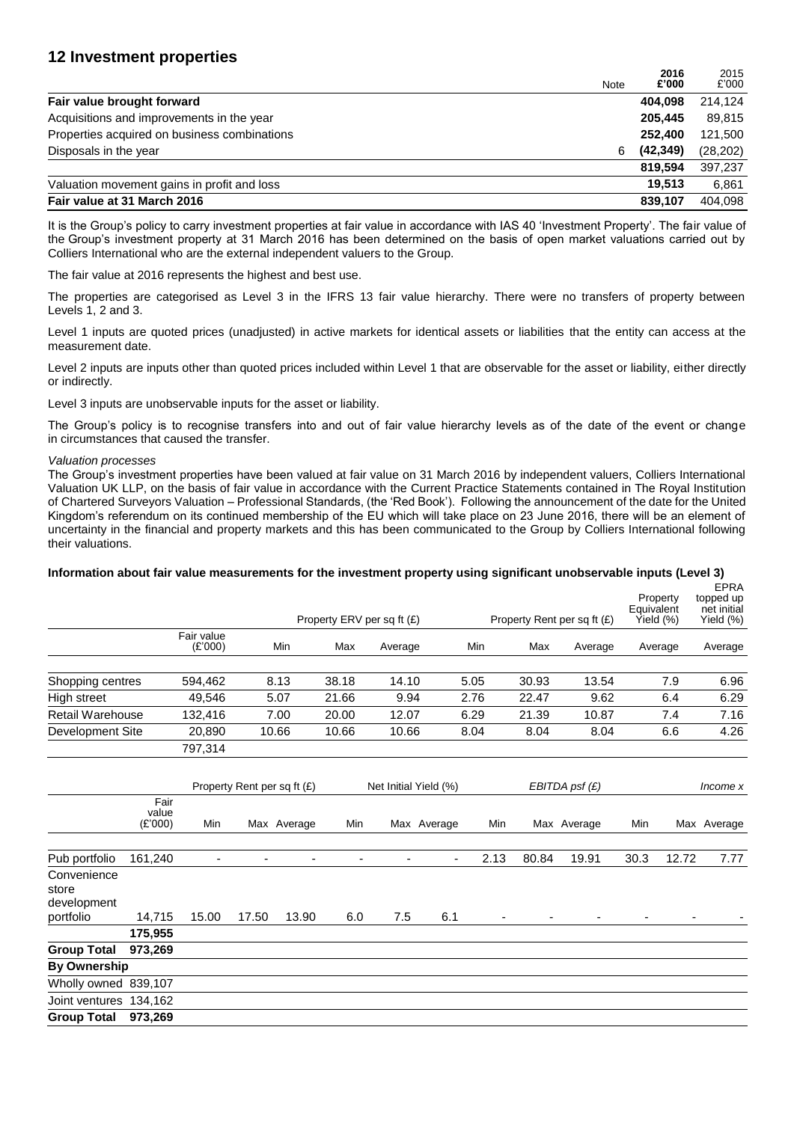# **12 Investment properties**

|                                              | Note | 2016<br>£'000 | 2015<br>£'000 |
|----------------------------------------------|------|---------------|---------------|
| Fair value brought forward                   |      | 404.098       | 214.124       |
| Acquisitions and improvements in the year    |      | 205.445       | 89,815        |
| Properties acquired on business combinations |      | 252.400       | 121,500       |
| Disposals in the year                        | 6    | (42, 349)     | (28, 202)     |
|                                              |      | 819.594       | 397,237       |
| Valuation movement gains in profit and loss  |      | 19.513        | 6,861         |
| Fair value at 31 March 2016                  |      | 839.107       | 404.098       |

It is the Group's policy to carry investment properties at fair value in accordance with IAS 40 'Investment Property'. The fair value of the Group's investment property at 31 March 2016 has been determined on the basis of open market valuations carried out by Colliers International who are the external independent valuers to the Group.

The fair value at 2016 represents the highest and best use.

The properties are categorised as Level 3 in the IFRS 13 fair value hierarchy. There were no transfers of property between Levels 1, 2 and 3.

Level 1 inputs are quoted prices (unadjusted) in active markets for identical assets or liabilities that the entity can access at the measurement date.

Level 2 inputs are inputs other than quoted prices included within Level 1 that are observable for the asset or liability, either directly or indirectly.

Level 3 inputs are unobservable inputs for the asset or liability.

The Group's policy is to recognise transfers into and out of fair value hierarchy levels as of the date of the event or change in circumstances that caused the transfer.

## *Valuation processes*

The Group's investment properties have been valued at fair value on 31 March 2016 by independent valuers, Colliers International Valuation UK LLP, on the basis of fair value in accordance with the Current Practice Statements contained in The Royal Institution of Chartered Surveyors Valuation – Professional Standards, (the 'Red Book'). Following the announcement of the date for the United Kingdom's referendum on its continued membership of the EU which will take place on 23 June 2016, there will be an element of uncertainty in the financial and property markets and this has been communicated to the Group by Colliers International following their valuations.

## **Information about fair value measurements for the investment property using significant unobservable inputs (Level 3)**

|                                     |                          |                       |                          |                             |                          | Property ERV per sq ft (£) |                          |                          |       | Property Rent per sq ft (£) | Property<br>Equivalent<br>Yield (%) |                          | <b>EPRA</b><br>topped up<br>net initial<br>Yield (%) |
|-------------------------------------|--------------------------|-----------------------|--------------------------|-----------------------------|--------------------------|----------------------------|--------------------------|--------------------------|-------|-----------------------------|-------------------------------------|--------------------------|------------------------------------------------------|
|                                     |                          | Fair value<br>(E'000) |                          | Min                         | Max                      | Average                    |                          | Min                      | Max   | Average                     | Average                             |                          | Average                                              |
|                                     |                          |                       |                          |                             |                          |                            |                          |                          |       |                             |                                     |                          |                                                      |
| Shopping centres                    |                          | 594,462               |                          | 8.13                        | 38.18                    | 14.10                      |                          | 5.05                     | 30.93 | 13.54                       |                                     | 7.9                      | 6.96                                                 |
| High street                         |                          | 49,546                |                          | 5.07                        | 21.66                    | 9.94                       |                          | 2.76                     | 22.47 | 9.62                        |                                     | 6.4                      | 6.29                                                 |
| <b>Retail Warehouse</b>             |                          | 132,416               |                          | 7.00                        | 20.00                    | 12.07                      |                          | 6.29                     | 21.39 | 10.87                       |                                     | 7.4                      | 7.16                                                 |
| Development Site                    |                          | 20,890                |                          | 10.66                       | 10.66                    | 10.66                      |                          | 8.04                     | 8.04  | 8.04                        |                                     | 6.6                      | 4.26                                                 |
|                                     |                          | 797,314               |                          |                             |                          |                            |                          |                          |       |                             |                                     |                          |                                                      |
|                                     |                          |                       |                          | Property Rent per sq ft (£) |                          | Net Initial Yield (%)      |                          |                          |       | $EBITDA$ psf $(E)$          |                                     |                          | Income x                                             |
|                                     | Fair<br>value<br>(E'000) | Min                   |                          | Max Average                 | Min                      |                            | Max Average              | Min                      |       | Max Average                 | <b>Min</b>                          |                          | Max Average                                          |
| Pub portfolio                       | 161,240                  | $\blacksquare$        | $\overline{\phantom{a}}$ | $\overline{\phantom{a}}$    | $\overline{\phantom{a}}$ | $\overline{a}$             | $\overline{\phantom{a}}$ | 2.13                     | 80.84 | 19.91                       | 30.3                                | 12.72                    | 7.77                                                 |
| Convenience<br>store<br>development |                          |                       |                          |                             |                          |                            |                          |                          |       |                             |                                     |                          |                                                      |
| portfolio                           | 14,715                   | 15.00                 | 17.50                    | 13.90                       | 6.0                      | 7.5                        | 6.1                      | $\overline{\phantom{a}}$ |       |                             |                                     | $\overline{\phantom{0}}$ |                                                      |
|                                     | 175,955                  |                       |                          |                             |                          |                            |                          |                          |       |                             |                                     |                          |                                                      |
| <b>Group Total</b>                  | 973,269                  |                       |                          |                             |                          |                            |                          |                          |       |                             |                                     |                          |                                                      |
| <b>By Ownership</b>                 |                          |                       |                          |                             |                          |                            |                          |                          |       |                             |                                     |                          |                                                      |
| Wholly owned 839,107                |                          |                       |                          |                             |                          |                            |                          |                          |       |                             |                                     |                          |                                                      |
| Joint ventures 134,162              |                          |                       |                          |                             |                          |                            |                          |                          |       |                             |                                     |                          |                                                      |
| <b>Group Total</b>                  | 973,269                  |                       |                          |                             |                          |                            |                          |                          |       |                             |                                     |                          |                                                      |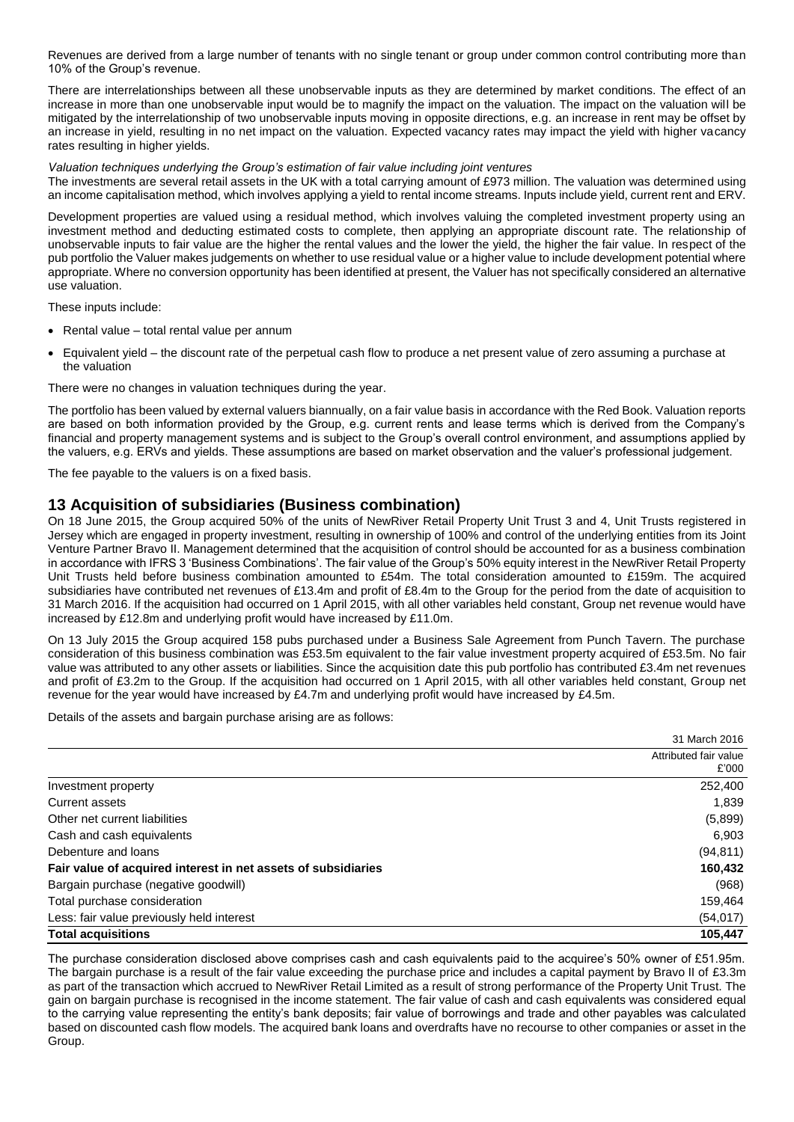Revenues are derived from a large number of tenants with no single tenant or group under common control contributing more than 10% of the Group's revenue.

There are interrelationships between all these unobservable inputs as they are determined by market conditions. The effect of an increase in more than one unobservable input would be to magnify the impact on the valuation. The impact on the valuation will be mitigated by the interrelationship of two unobservable inputs moving in opposite directions, e.g. an increase in rent may be offset by an increase in yield, resulting in no net impact on the valuation. Expected vacancy rates may impact the yield with higher vacancy rates resulting in higher yields.

## *Valuation techniques underlying the Group's estimation of fair value including joint ventures*

The investments are several retail assets in the UK with a total carrying amount of £973 million. The valuation was determined using an income capitalisation method, which involves applying a yield to rental income streams. Inputs include yield, current rent and ERV.

Development properties are valued using a residual method, which involves valuing the completed investment property using an investment method and deducting estimated costs to complete, then applying an appropriate discount rate. The relationship of unobservable inputs to fair value are the higher the rental values and the lower the yield, the higher the fair value. In respect of the pub portfolio the Valuer makes judgements on whether to use residual value or a higher value to include development potential where appropriate. Where no conversion opportunity has been identified at present, the Valuer has not specifically considered an alternative use valuation.

These inputs include:

- Rental value total rental value per annum
- Equivalent yield the discount rate of the perpetual cash flow to produce a net present value of zero assuming a purchase at the valuation

There were no changes in valuation techniques during the year.

The portfolio has been valued by external valuers biannually, on a fair value basis in accordance with the Red Book. Valuation reports are based on both information provided by the Group, e.g. current rents and lease terms which is derived from the Company's financial and property management systems and is subject to the Group's overall control environment, and assumptions applied by the valuers, e.g. ERVs and yields. These assumptions are based on market observation and the valuer's professional judgement.

The fee payable to the valuers is on a fixed basis.

# **13 Acquisition of subsidiaries (Business combination)**

On 18 June 2015, the Group acquired 50% of the units of NewRiver Retail Property Unit Trust 3 and 4, Unit Trusts registered in Jersey which are engaged in property investment, resulting in ownership of 100% and control of the underlying entities from its Joint Venture Partner Bravo II. Management determined that the acquisition of control should be accounted for as a business combination in accordance with IFRS 3 'Business Combinations'. The fair value of the Group's 50% equity interest in the NewRiver Retail Property Unit Trusts held before business combination amounted to £54m. The total consideration amounted to £159m. The acquired subsidiaries have contributed net revenues of £13.4m and profit of £8.4m to the Group for the period from the date of acquisition to 31 March 2016. If the acquisition had occurred on 1 April 2015, with all other variables held constant, Group net revenue would have increased by £12.8m and underlying profit would have increased by £11.0m.

On 13 July 2015 the Group acquired 158 pubs purchased under a Business Sale Agreement from Punch Tavern. The purchase consideration of this business combination was £53.5m equivalent to the fair value investment property acquired of £53.5m. No fair value was attributed to any other assets or liabilities. Since the acquisition date this pub portfolio has contributed £3.4m net revenues and profit of £3.2m to the Group. If the acquisition had occurred on 1 April 2015, with all other variables held constant, Group net revenue for the year would have increased by £4.7m and underlying profit would have increased by £4.5m.

Details of the assets and bargain purchase arising are as follows:

| <b>Total acquisitions</b>                                     | 105,447                        |
|---------------------------------------------------------------|--------------------------------|
| Less: fair value previously held interest                     | (54,017)                       |
| Total purchase consideration                                  | 159,464                        |
| Bargain purchase (negative goodwill)                          | (968)                          |
| Fair value of acquired interest in net assets of subsidiaries | 160,432                        |
| Debenture and loans                                           | (94, 811)                      |
| Cash and cash equivalents                                     | 6,903                          |
| Other net current liabilities                                 | (5,899)                        |
| Current assets                                                | 1,839                          |
| Investment property                                           | 252,400                        |
|                                                               | Attributed fair value<br>£'000 |
|                                                               | 31 March 2016                  |

The purchase consideration disclosed above comprises cash and cash equivalents paid to the acquiree's 50% owner of £51.95m. The bargain purchase is a result of the fair value exceeding the purchase price and includes a capital payment by Bravo II of £3.3m as part of the transaction which accrued to NewRiver Retail Limited as a result of strong performance of the Property Unit Trust. The gain on bargain purchase is recognised in the income statement. The fair value of cash and cash equivalents was considered equal to the carrying value representing the entity's bank deposits; fair value of borrowings and trade and other payables was calculated based on discounted cash flow models. The acquired bank loans and overdrafts have no recourse to other companies or asset in the Group.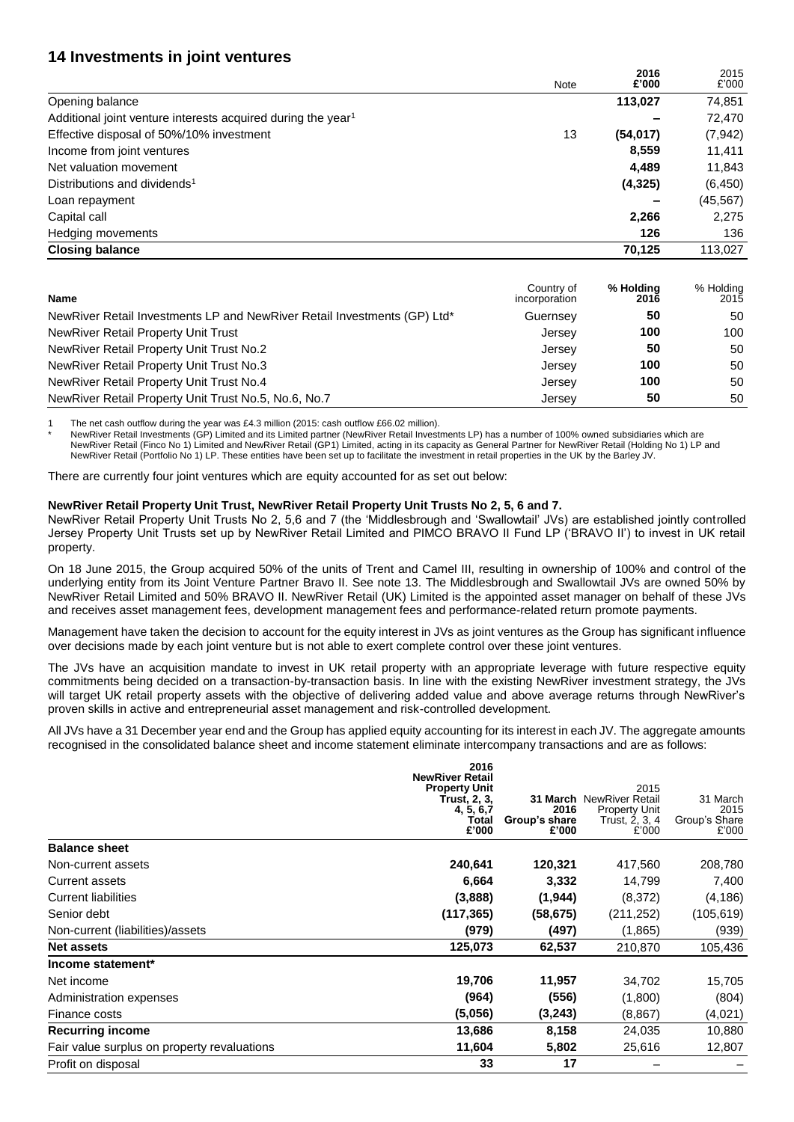# **14 Investments in joint ventures**

|                                                                          | Note | 2016<br>£'000 | 2015<br>£'000 |
|--------------------------------------------------------------------------|------|---------------|---------------|
| Opening balance                                                          |      | 113,027       | 74,851        |
| Additional joint venture interests acquired during the year <sup>1</sup> |      |               | 72,470        |
| Effective disposal of 50%/10% investment                                 | 13   | (54, 017)     | (7, 942)      |
| Income from joint ventures                                               |      | 8,559         | 11.411        |
| Net valuation movement                                                   |      | 4,489         | 11,843        |
| Distributions and dividends <sup>1</sup>                                 |      | (4, 325)      | (6, 450)      |
| Loan repayment                                                           |      |               | (45, 567)     |
| Capital call                                                             |      | 2,266         | 2,275         |
| Hedging movements                                                        |      | 126           | 136           |
| <b>Closing balance</b>                                                   |      | 70,125        | 113.027       |

| Name                                                                     | Country of<br>incorporation | % Holdina<br>2016 | % Holding<br>2015 |
|--------------------------------------------------------------------------|-----------------------------|-------------------|-------------------|
| NewRiver Retail Investments LP and NewRiver Retail Investments (GP) Ltd* | Guernsey                    | 50                | 50                |
| NewRiver Retail Property Unit Trust                                      | Jersey                      | 100               | 100               |
| NewRiver Retail Property Unit Trust No.2                                 | Jersey                      | 50                | 50                |
| NewRiver Retail Property Unit Trust No.3                                 | Jersey                      | 100               | 50                |
| New River Retail Property Unit Trust No.4                                | Jersey                      | 100               | 50                |
| New River Retail Property Unit Trust No.5, No.6, No.7                    | Jersey                      | 50                | 50                |

The net cash outflow during the year was £4.3 million (2015: cash outflow £66.02 million).

\* NewRiver Retail Investments (GP) Limited and its Limited partner (NewRiver Retail Investments LP) has a number of 100% owned subsidiaries which are NewRiver Retail (Finco No 1) Limited and NewRiver Retail (GP1) Limited, acting in its capacity as General Partner for NewRiver Retail (Holding No 1) LP and NewRiver Retail (Portfolio No 1) LP. These entities have been set up to facilitate the investment in retail properties in the UK by the Barley JV.

There are currently four joint ventures which are equity accounted for as set out below:

## **NewRiver Retail Property Unit Trust, NewRiver Retail Property Unit Trusts No 2, 5, 6 and 7.**

NewRiver Retail Property Unit Trusts No 2, 5,6 and 7 (the 'Middlesbrough and 'Swallowtail' JVs) are established jointly controlled Jersey Property Unit Trusts set up by NewRiver Retail Limited and PIMCO BRAVO II Fund LP ('BRAVO II') to invest in UK retail property.

On 18 June 2015, the Group acquired 50% of the units of Trent and Camel III, resulting in ownership of 100% and control of the underlying entity from its Joint Venture Partner Bravo II. See note 13. The Middlesbrough and Swallowtail JVs are owned 50% by NewRiver Retail Limited and 50% BRAVO II. NewRiver Retail (UK) Limited is the appointed asset manager on behalf of these JVs and receives asset management fees, development management fees and performance-related return promote payments.

Management have taken the decision to account for the equity interest in JVs as joint ventures as the Group has significant influence over decisions made by each joint venture but is not able to exert complete control over these joint ventures.

The JVs have an acquisition mandate to invest in UK retail property with an appropriate leverage with future respective equity commitments being decided on a transaction-by-transaction basis. In line with the existing NewRiver investment strategy, the JVs will target UK retail property assets with the objective of delivering added value and above average returns through NewRiver's proven skills in active and entrepreneurial asset management and risk-controlled development.

All JVs have a 31 December year end and the Group has applied equity accounting for its interest in each JV. The aggregate amounts recognised in the consolidated balance sheet and income statement eliminate intercompany transactions and are as follows:

|                                             | 2016<br><b>NewRiver Retail</b><br><b>Property Unit</b><br>Trust, 2, 3,<br>4, 5, 6,7<br>Total<br>£'000 | 2016<br>Group's share<br>£'000 | 2015<br><b>31 March</b> NewRiver Retail<br><b>Property Unit</b><br>Trust, 2, 3, 4<br>£'000 | 31 March<br>2015<br>Group's Share<br>£'000 |
|---------------------------------------------|-------------------------------------------------------------------------------------------------------|--------------------------------|--------------------------------------------------------------------------------------------|--------------------------------------------|
| <b>Balance sheet</b>                        |                                                                                                       |                                |                                                                                            |                                            |
| Non-current assets                          | 240,641                                                                                               | 120,321                        | 417,560                                                                                    | 208,780                                    |
| Current assets                              | 6,664                                                                                                 | 3,332                          | 14,799                                                                                     | 7,400                                      |
| <b>Current liabilities</b>                  | (3,888)                                                                                               | (1, 944)                       | (8,372)                                                                                    | (4, 186)                                   |
| Senior debt                                 | (117, 365)                                                                                            | (58, 675)                      | (211,252)                                                                                  | (105, 619)                                 |
| Non-current (liabilities)/assets            | (979)                                                                                                 | (497)                          | (1,865)                                                                                    | (939)                                      |
| <b>Net assets</b>                           | 125,073                                                                                               | 62,537                         | 210,870                                                                                    | 105,436                                    |
| Income statement*                           |                                                                                                       |                                |                                                                                            |                                            |
| Net income                                  | 19,706                                                                                                | 11,957                         | 34,702                                                                                     | 15,705                                     |
| Administration expenses                     | (964)                                                                                                 | (556)                          | (1,800)                                                                                    | (804)                                      |
| Finance costs                               | (5,056)                                                                                               | (3,243)                        | (8, 867)                                                                                   | (4,021)                                    |
| <b>Recurring income</b>                     | 13,686                                                                                                | 8,158                          | 24,035                                                                                     | 10,880                                     |
| Fair value surplus on property revaluations | 11,604                                                                                                | 5,802                          | 25,616                                                                                     | 12,807                                     |
| Profit on disposal                          | 33                                                                                                    | 17                             |                                                                                            |                                            |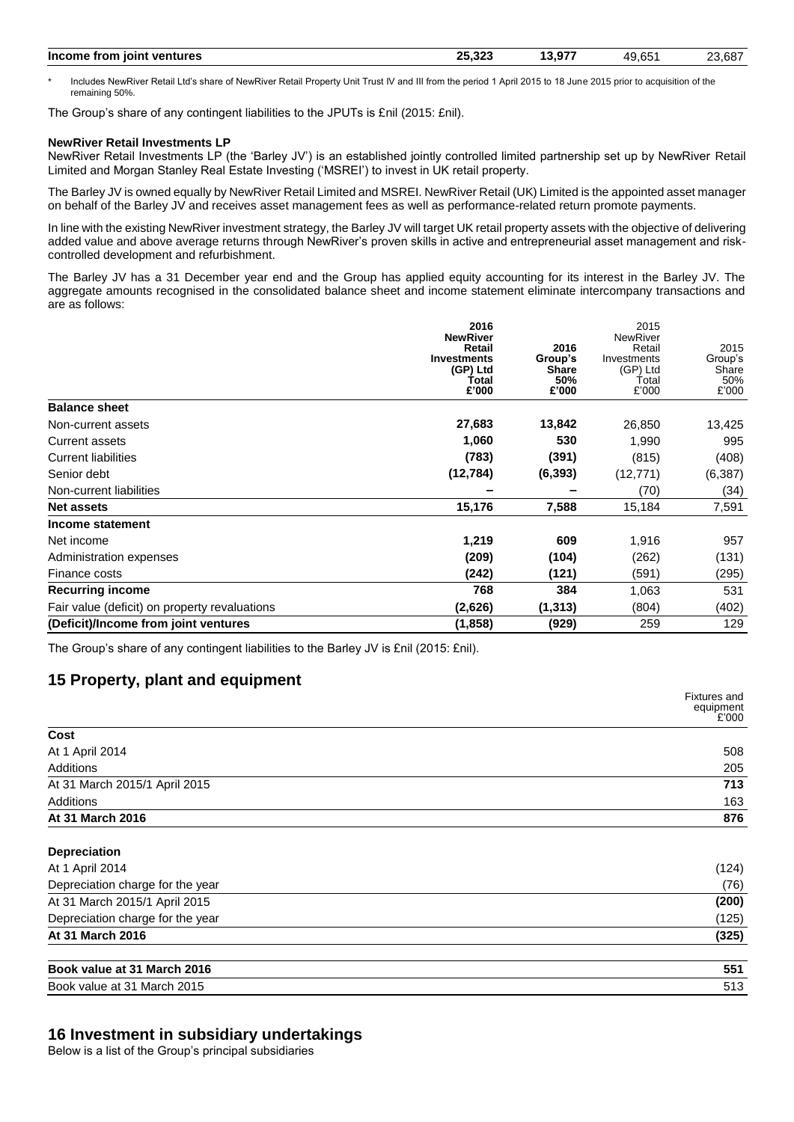| Income from joint ventures | ንድ<br>$\sim$<br>20.JZJ<br>__ | 077 | $\sim$<br>ЛO.<br>19.OO | 23,687 |
|----------------------------|------------------------------|-----|------------------------|--------|
|----------------------------|------------------------------|-----|------------------------|--------|

Includes NewRiver Retail Ltd's share of NewRiver Retail Property Unit Trust IV and III from the period 1 April 2015 to 18 June 2015 prior to acquisition of the remaining 50%.

The Group's share of any contingent liabilities to the JPUTs is £nil (2015: £nil).

## **NewRiver Retail Investments LP**

NewRiver Retail Investments LP (the 'Barley JV') is an established jointly controlled limited partnership set up by NewRiver Retail Limited and Morgan Stanley Real Estate Investing ('MSREI') to invest in UK retail property.

The Barley JV is owned equally by NewRiver Retail Limited and MSREI. NewRiver Retail (UK) Limited is the appointed asset manager on behalf of the Barley JV and receives asset management fees as well as performance-related return promote payments.

In line with the existing NewRiver investment strategy, the Barley JV will target UK retail property assets with the objective of delivering added value and above average returns through NewRiver's proven skills in active and entrepreneurial asset management and riskcontrolled development and refurbishment.

The Barley JV has a 31 December year end and the Group has applied equity accounting for its interest in the Barley JV. The aggregate amounts recognised in the consolidated balance sheet and income statement eliminate intercompany transactions and are as follows:

|                                               | 2016<br><b>NewRiver</b><br>Retail<br><b>Investments</b><br>(GP) Ltd<br>Total<br>£'000 | 2016<br>Group's<br><b>Share</b><br>50%<br>£'000 | 2015<br><b>NewRiver</b><br>Retail<br>Investments<br>(GP) Ltd<br>Total<br>£'000 | 2015<br>Group's<br>Share<br>50%<br>£'000 |
|-----------------------------------------------|---------------------------------------------------------------------------------------|-------------------------------------------------|--------------------------------------------------------------------------------|------------------------------------------|
| <b>Balance sheet</b>                          |                                                                                       |                                                 |                                                                                |                                          |
| Non-current assets                            | 27,683                                                                                | 13,842                                          | 26,850                                                                         | 13,425                                   |
| <b>Current assets</b>                         | 1,060                                                                                 | 530                                             | 1,990                                                                          | 995                                      |
| <b>Current liabilities</b>                    | (783)                                                                                 | (391)                                           | (815)                                                                          | (408)                                    |
| Senior debt                                   | (12, 784)                                                                             | (6, 393)                                        | (12, 771)                                                                      | (6, 387)                                 |
| Non-current liabilities                       |                                                                                       |                                                 | (70)                                                                           | (34)                                     |
| <b>Net assets</b>                             | 15,176                                                                                | 7,588                                           | 15,184                                                                         | 7,591                                    |
| Income statement                              |                                                                                       |                                                 |                                                                                |                                          |
| Net income                                    | 1,219                                                                                 | 609                                             | 1,916                                                                          | 957                                      |
| Administration expenses                       | (209)                                                                                 | (104)                                           | (262)                                                                          | (131)                                    |
| Finance costs                                 | (242)                                                                                 | (121)                                           | (591)                                                                          | (295)                                    |
| <b>Recurring income</b>                       | 768                                                                                   | 384                                             | 1,063                                                                          | 531                                      |
| Fair value (deficit) on property revaluations | (2,626)                                                                               | (1, 313)                                        | (804)                                                                          | (402)                                    |
| (Deficit)/Income from joint ventures          | (1, 858)                                                                              | (929)                                           | 259                                                                            | 129                                      |

The Group's share of any contingent liabilities to the Barley JV is £nil (2015: £nil).

# **15 Property, plant and equipment**

|                               | Fixtures and       |
|-------------------------------|--------------------|
|                               | equipment<br>000°£ |
|                               |                    |
| Cost                          |                    |
| At 1 April 2014               | 508                |
| Additions                     | 205                |
| At 31 March 2015/1 April 2015 | 713                |
| Additions                     | 163                |
| At 31 March 2016              | 876                |
| Depreciation                  |                    |
| $A + A$                       | (401)              |

| At 1 April 2014                  | (124) |
|----------------------------------|-------|
| Depreciation charge for the year | (76)  |
| At 31 March 2015/1 April 2015    | (200) |
| Depreciation charge for the year | (125) |
| At 31 March 2016                 | (325) |
| Book value at 31 March 2016      | 551   |
| Book value at 31 March 2015      | 513   |

## **16 Investment in subsidiary undertakings**

Below is a list of the Group's principal subsidiaries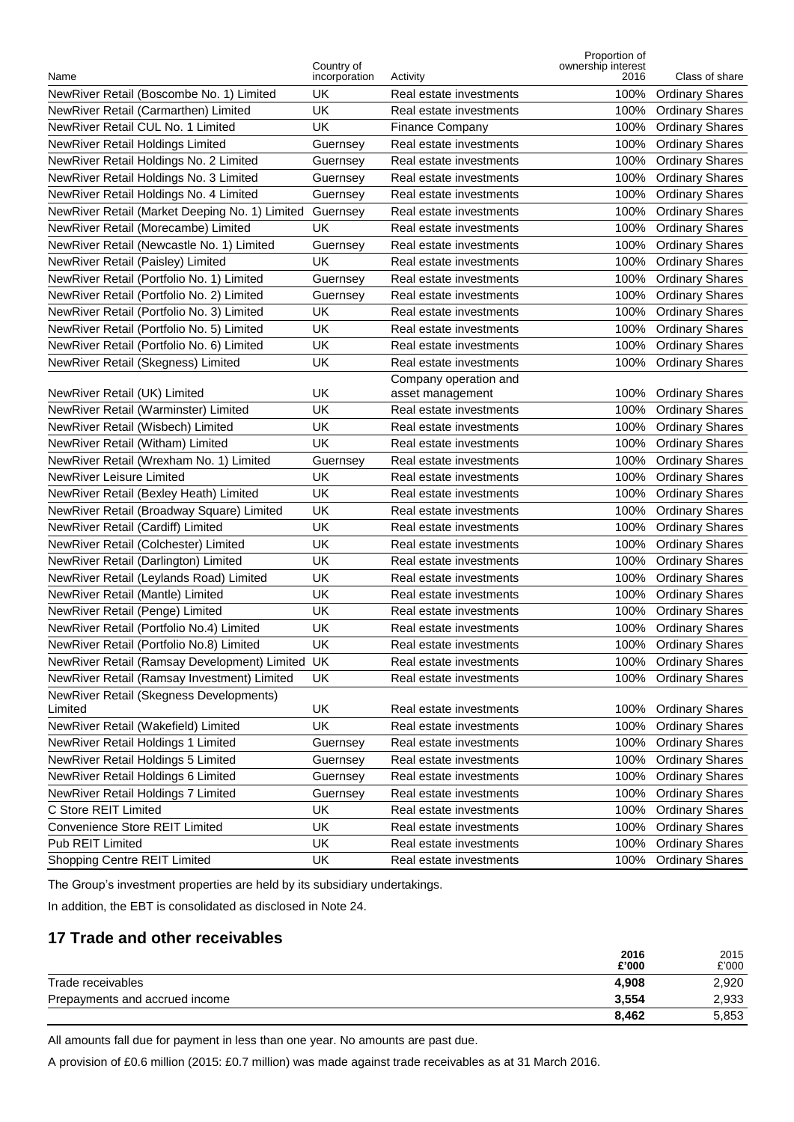| Name                                           | Country of<br>incorporation | Activity                | Proportion of<br>ownership interest<br>2016 | Class of share         |
|------------------------------------------------|-----------------------------|-------------------------|---------------------------------------------|------------------------|
| NewRiver Retail (Boscombe No. 1) Limited       | UK                          | Real estate investments | 100%                                        | <b>Ordinary Shares</b> |
| NewRiver Retail (Carmarthen) Limited           | UK                          | Real estate investments | 100%                                        | <b>Ordinary Shares</b> |
| NewRiver Retail CUL No. 1 Limited              | UK                          | <b>Finance Company</b>  | 100%                                        | <b>Ordinary Shares</b> |
| NewRiver Retail Holdings Limited               | Guernsey                    | Real estate investments | 100%                                        | <b>Ordinary Shares</b> |
| NewRiver Retail Holdings No. 2 Limited         | Guernsey                    | Real estate investments | 100%                                        | <b>Ordinary Shares</b> |
| NewRiver Retail Holdings No. 3 Limited         | Guernsey                    | Real estate investments | 100%                                        | <b>Ordinary Shares</b> |
| NewRiver Retail Holdings No. 4 Limited         | Guernsey                    | Real estate investments | 100%                                        | <b>Ordinary Shares</b> |
| NewRiver Retail (Market Deeping No. 1) Limited | Guernsey                    | Real estate investments | 100%                                        | <b>Ordinary Shares</b> |
| NewRiver Retail (Morecambe) Limited            | UK                          | Real estate investments | 100%                                        | <b>Ordinary Shares</b> |
| NewRiver Retail (Newcastle No. 1) Limited      | Guernsey                    | Real estate investments | 100%                                        | <b>Ordinary Shares</b> |
| NewRiver Retail (Paisley) Limited              | UK                          | Real estate investments | 100%                                        | <b>Ordinary Shares</b> |
| NewRiver Retail (Portfolio No. 1) Limited      | Guernsey                    | Real estate investments | 100%                                        | <b>Ordinary Shares</b> |
| NewRiver Retail (Portfolio No. 2) Limited      | Guernsey                    | Real estate investments | 100%                                        | <b>Ordinary Shares</b> |
| NewRiver Retail (Portfolio No. 3) Limited      | UK                          | Real estate investments | 100%                                        | <b>Ordinary Shares</b> |
| NewRiver Retail (Portfolio No. 5) Limited      | UK                          | Real estate investments | 100%                                        | <b>Ordinary Shares</b> |
| NewRiver Retail (Portfolio No. 6) Limited      | UK                          | Real estate investments | 100%                                        | <b>Ordinary Shares</b> |
| NewRiver Retail (Skegness) Limited             | UK                          | Real estate investments | 100%                                        | <b>Ordinary Shares</b> |
|                                                |                             | Company operation and   |                                             |                        |
| NewRiver Retail (UK) Limited                   | UK                          | asset management        | 100%                                        | <b>Ordinary Shares</b> |
| NewRiver Retail (Warminster) Limited           | UK                          | Real estate investments | 100%                                        | <b>Ordinary Shares</b> |
| NewRiver Retail (Wisbech) Limited              | UK                          | Real estate investments | 100%                                        | <b>Ordinary Shares</b> |
| NewRiver Retail (Witham) Limited               | UK                          | Real estate investments | 100%                                        | <b>Ordinary Shares</b> |
| NewRiver Retail (Wrexham No. 1) Limited        | Guernsey                    | Real estate investments | 100%                                        | <b>Ordinary Shares</b> |
| NewRiver Leisure Limited                       | UK                          | Real estate investments | 100%                                        | <b>Ordinary Shares</b> |
| NewRiver Retail (Bexley Heath) Limited         | UK                          | Real estate investments | 100%                                        | <b>Ordinary Shares</b> |
| NewRiver Retail (Broadway Square) Limited      | UK                          | Real estate investments | 100%                                        | <b>Ordinary Shares</b> |
| NewRiver Retail (Cardiff) Limited              | UK                          | Real estate investments | 100%                                        | <b>Ordinary Shares</b> |
| NewRiver Retail (Colchester) Limited           | UK                          | Real estate investments | 100%                                        | <b>Ordinary Shares</b> |
| NewRiver Retail (Darlington) Limited           | UK                          | Real estate investments | 100%                                        | <b>Ordinary Shares</b> |
| NewRiver Retail (Leylands Road) Limited        | UK                          | Real estate investments | 100%                                        | <b>Ordinary Shares</b> |
| NewRiver Retail (Mantle) Limited               | UK                          | Real estate investments | 100%                                        | <b>Ordinary Shares</b> |
| NewRiver Retail (Penge) Limited                | UK                          | Real estate investments | 100%                                        | <b>Ordinary Shares</b> |
| NewRiver Retail (Portfolio No.4) Limited       | UK                          | Real estate investments | 100%                                        | <b>Ordinary Shares</b> |
| NewRiver Retail (Portfolio No.8) Limited       | UK.                         | Real estate investments | 100%                                        | <b>Ordinary Shares</b> |
| NewRiver Retail (Ramsay Development) Limited   | UK                          | Real estate investments | 100%                                        | <b>Ordinary Shares</b> |
| NewRiver Retail (Ramsay Investment) Limited    | UK                          | Real estate investments | 100%                                        | <b>Ordinary Shares</b> |
| NewRiver Retail (Skegness Developments)        |                             |                         |                                             |                        |
| Limited                                        | UK                          | Real estate investments | 100%                                        | <b>Ordinary Shares</b> |
| NewRiver Retail (Wakefield) Limited            | UK                          | Real estate investments | 100%                                        | <b>Ordinary Shares</b> |
| NewRiver Retail Holdings 1 Limited             | Guernsey                    | Real estate investments | 100%                                        | <b>Ordinary Shares</b> |
| NewRiver Retail Holdings 5 Limited             | Guernsey                    | Real estate investments | 100%                                        | <b>Ordinary Shares</b> |
| NewRiver Retail Holdings 6 Limited             | Guernsey                    | Real estate investments | 100%                                        | <b>Ordinary Shares</b> |
| NewRiver Retail Holdings 7 Limited             | Guernsey                    | Real estate investments | 100%                                        | <b>Ordinary Shares</b> |
| C Store REIT Limited                           | UK                          | Real estate investments | 100%                                        | <b>Ordinary Shares</b> |
| Convenience Store REIT Limited                 | UK                          | Real estate investments | 100%                                        | <b>Ordinary Shares</b> |
| Pub REIT Limited                               | UK                          | Real estate investments | 100%                                        | <b>Ordinary Shares</b> |
| Shopping Centre REIT Limited                   | UK                          | Real estate investments | 100%                                        | <b>Ordinary Shares</b> |

The Group's investment properties are held by its subsidiary undertakings.

In addition, the EBT is consolidated as disclosed in Note 24.

# **17 Trade and other receivables**

|                                | 2016<br>£'000 | 2015<br>£'000 |
|--------------------------------|---------------|---------------|
| Trade receivables              | 4,908         | 2,920         |
| Prepayments and accrued income | 3,554         | 2,933         |
|                                | 8,462         | 5,853         |

All amounts fall due for payment in less than one year. No amounts are past due.

A provision of £0.6 million (2015: £0.7 million) was made against trade receivables as at 31 March 2016.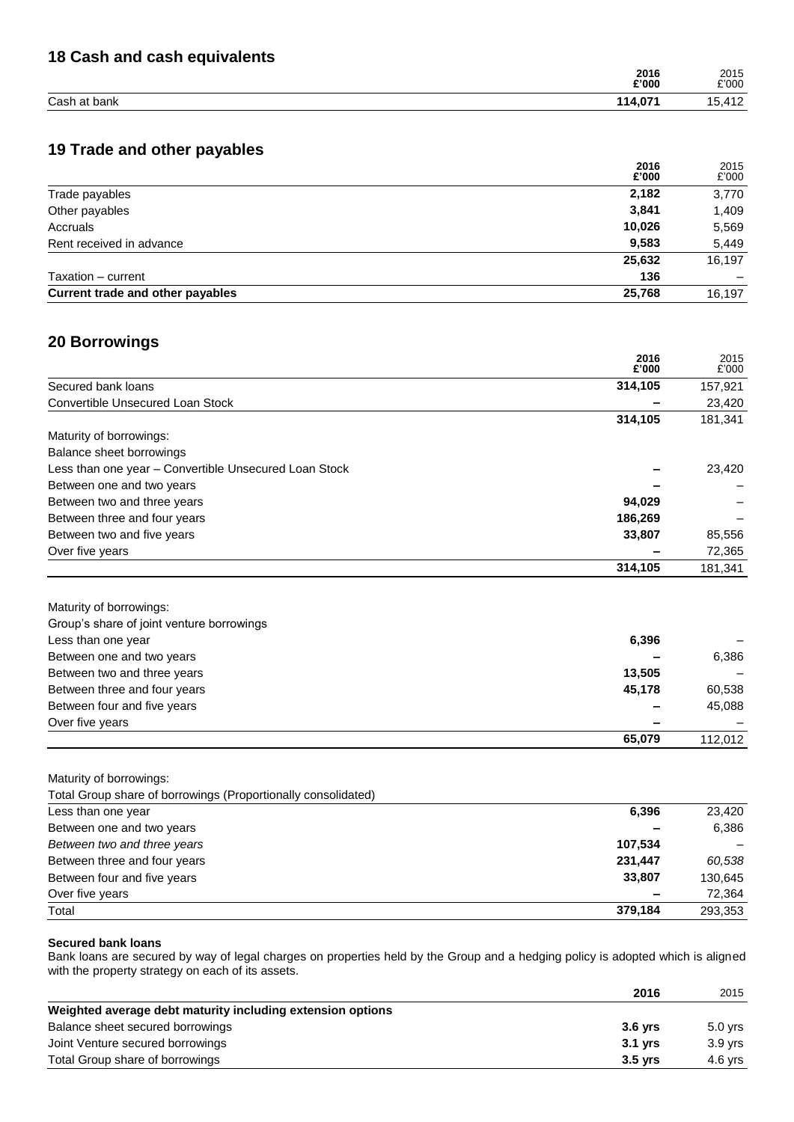|              | 2016<br>£'000 | 2015<br>$\overline{2000}$ |
|--------------|---------------|---------------------------|
| Cash at bank | 111 N71       | $.11^\circ$<br>4 I Z      |

# **19 Trade and other payables**

|                                  | 2016<br>£'000 | 2015<br>£'000 |
|----------------------------------|---------------|---------------|
| Trade payables                   | 2,182         | 3,770         |
| Other payables                   | 3,841         | 1,409         |
| Accruals                         | 10,026        | 5,569         |
| Rent received in advance         | 9,583         | 5,449         |
|                                  | 25,632        | 16.197        |
| Taxation - current               | 136           |               |
| Current trade and other payables | 25,768        | 16,197        |

# **20 Borrowings**

|                                                               | 2016<br>£'000 | 2015<br>£'000 |
|---------------------------------------------------------------|---------------|---------------|
| Secured bank loans                                            | 314,105       | 157,921       |
| <b>Convertible Unsecured Loan Stock</b>                       |               | 23,420        |
|                                                               | 314,105       | 181,341       |
| Maturity of borrowings:                                       |               |               |
| Balance sheet borrowings                                      |               |               |
| Less than one year - Convertible Unsecured Loan Stock         |               | 23,420        |
| Between one and two years                                     |               |               |
| Between two and three years                                   | 94,029        |               |
| Between three and four years                                  | 186,269       |               |
| Between two and five years                                    | 33,807        | 85,556        |
| Over five years                                               |               | 72,365        |
|                                                               | 314,105       | 181,341       |
| Maturity of borrowings:                                       |               |               |
| Group's share of joint venture borrowings                     |               |               |
| Less than one year                                            | 6,396         |               |
| Between one and two years                                     |               | 6,386         |
| Between two and three years                                   | 13,505        |               |
| Between three and four years                                  | 45,178        | 60,538        |
| Between four and five years                                   |               | 45,088        |
| Over five years                                               |               |               |
|                                                               | 65,079        | 112,012       |
| Maturity of borrowings:                                       |               |               |
| Total Group share of borrowings (Proportionally consolidated) |               |               |
| Less than one year                                            | 6,396         | 23,420        |
| Between one and two years                                     |               | 6,386         |
| Between two and three years                                   | 107,534       |               |
| Between three and four years                                  | 231,447       | 60,538        |
| Between four and five years                                   | 33,807        | 130,645       |

# **Secured bank loans**

Bank loans are secured by way of legal charges on properties held by the Group and a hedging policy is adopted which is aligned with the property strategy on each of its assets.

Over five years **–** 72,364 Total **379,184** 293,353

|                                                            | 2016      | 2015      |
|------------------------------------------------------------|-----------|-----------|
| Weighted average debt maturity including extension options |           |           |
| Balance sheet secured borrowings                           | $3.6$ yrs | $5.0$ yrs |
| Joint Venture secured borrowings                           | 3.1 vrs   | $3.9$ vrs |
| Total Group share of borrowings                            | $3.5$ vrs | 4.6 vrs   |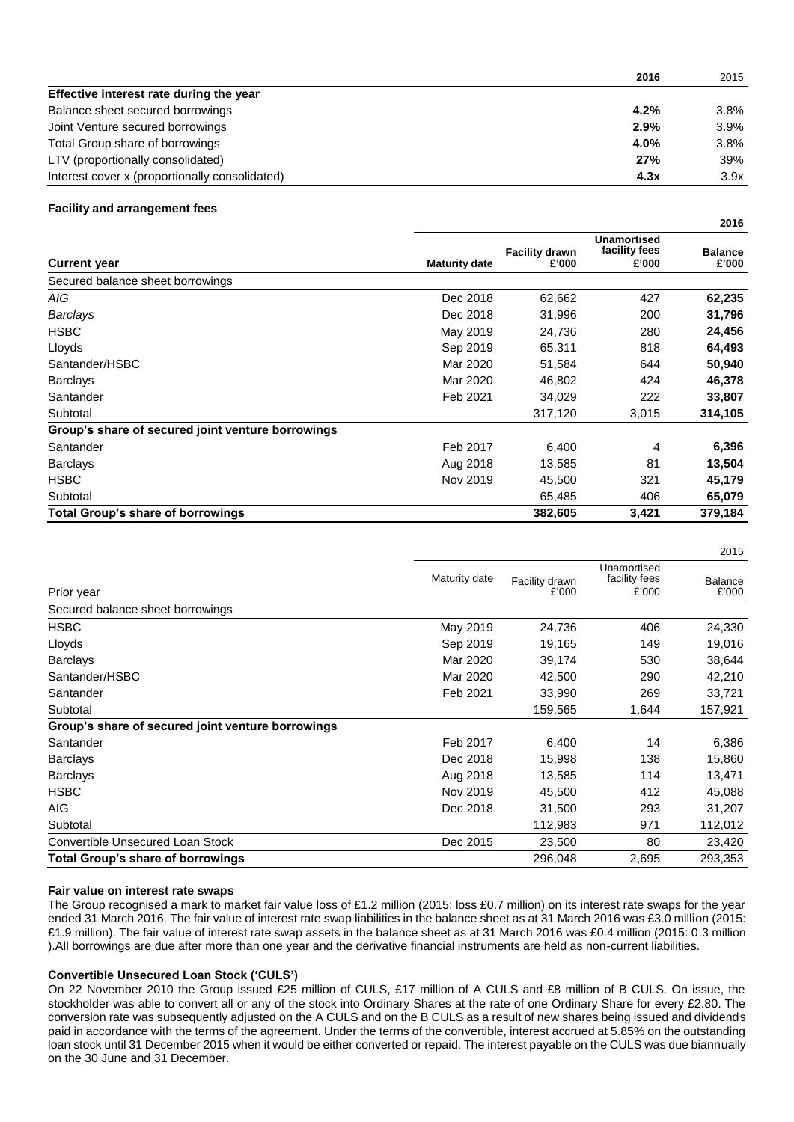|                                                | 2016 | 2015    |
|------------------------------------------------|------|---------|
| Effective interest rate during the year        |      |         |
| Balance sheet secured borrowings               | 4.2% | $3.8\%$ |
| Joint Venture secured borrowings               | 2.9% | $3.9\%$ |
| Total Group share of borrowings                | 4.0% | $3.8\%$ |
| LTV (proportionally consolidated)              | 27%  | 39%     |
| Interest cover x (proportionally consolidated) | 4.3x | 3.9x    |

**2016**

 $0.25$ 

#### **Facility and arrangement fees**

| <b>Current year</b>                               | <b>Maturity date</b> | <b>Facility drawn</b><br>£'000 | <b>Unamortised</b><br>facility fees<br>£'000 | <b>Balance</b><br>£'000 |  |
|---------------------------------------------------|----------------------|--------------------------------|----------------------------------------------|-------------------------|--|
| Secured balance sheet borrowings                  |                      |                                |                                              |                         |  |
| AIG                                               | Dec 2018             | 62,662                         | 427                                          | 62,235                  |  |
| Barclays                                          | Dec 2018             | 31,996                         | 200                                          | 31,796                  |  |
| <b>HSBC</b>                                       | May 2019             | 24,736                         | 280                                          | 24,456                  |  |
| Lloyds                                            | Sep 2019             | 65,311                         | 818                                          | 64,493                  |  |
| Santander/HSBC                                    | Mar 2020             | 51,584                         | 644                                          | 50,940                  |  |
| <b>Barclays</b>                                   | Mar 2020             | 46,802                         | 424                                          | 46,378                  |  |
| Santander                                         | Feb 2021             | 34,029                         | 222                                          | 33,807                  |  |
| Subtotal                                          |                      | 317,120                        | 3,015                                        | 314,105                 |  |
| Group's share of secured joint venture borrowings |                      |                                |                                              |                         |  |
| Santander                                         | Feb 2017             | 6,400                          | 4                                            | 6,396                   |  |
| <b>Barclays</b>                                   | Aug 2018             | 13,585                         | 81                                           | 13,504                  |  |
| <b>HSBC</b>                                       | Nov 2019             | 45,500                         | 321                                          | 45,179                  |  |
| Subtotal                                          |                      | 65,485                         | 406                                          | 65,079                  |  |
| Total Group's share of borrowings                 |                      | 382,605                        | 3,421                                        | 379,184                 |  |

|                                                   | CI US         |                         |                                       |                         |  |
|---------------------------------------------------|---------------|-------------------------|---------------------------------------|-------------------------|--|
| Prior year                                        | Maturity date | Facility drawn<br>£'000 | Unamortised<br>facility fees<br>£'000 | <b>Balance</b><br>£'000 |  |
| Secured balance sheet borrowings                  |               |                         |                                       |                         |  |
| <b>HSBC</b>                                       | May 2019      | 24,736                  | 406                                   | 24,330                  |  |
| Lloyds                                            | Sep 2019      | 19,165                  | 149                                   | 19,016                  |  |
| <b>Barclays</b>                                   | Mar 2020      | 39,174                  | 530                                   | 38,644                  |  |
| Santander/HSBC                                    | Mar 2020      | 42,500                  | 290                                   | 42,210                  |  |
| Santander                                         | Feb 2021      | 33,990                  | 269                                   | 33,721                  |  |
| Subtotal                                          |               | 159,565                 | 1,644                                 | 157,921                 |  |
| Group's share of secured joint venture borrowings |               |                         |                                       |                         |  |
| Santander                                         | Feb 2017      | 6,400                   | 14                                    | 6,386                   |  |
| <b>Barclays</b>                                   | Dec 2018      | 15,998                  | 138                                   | 15,860                  |  |
| <b>Barclays</b>                                   | Aug 2018      | 13,585                  | 114                                   | 13,471                  |  |
| <b>HSBC</b>                                       | Nov 2019      | 45,500                  | 412                                   | 45,088                  |  |
| <b>AIG</b>                                        | Dec 2018      | 31,500                  | 293                                   | 31,207                  |  |
| Subtotal                                          |               | 112,983                 | 971                                   | 112,012                 |  |
| Convertible Unsecured Loan Stock                  | Dec 2015      | 23,500                  | 80                                    | 23,420                  |  |
| Total Group's share of borrowings                 |               | 296,048                 | 2,695                                 | 293,353                 |  |

## **Fair value on interest rate swaps**

The Group recognised a mark to market fair value loss of £1.2 million (2015: loss £0.7 million) on its interest rate swaps for the year ended 31 March 2016. The fair value of interest rate swap liabilities in the balance sheet as at 31 March 2016 was £3.0 million (2015: £1.9 million). The fair value of interest rate swap assets in the balance sheet as at 31 March 2016 was £0.4 million (2015: 0.3 million ).All borrowings are due after more than one year and the derivative financial instruments are held as non-current liabilities.

#### **Convertible Unsecured Loan Stock ('CULS')**

On 22 November 2010 the Group issued £25 million of CULS, £17 million of A CULS and £8 million of B CULS. On issue, the stockholder was able to convert all or any of the stock into Ordinary Shares at the rate of one Ordinary Share for every £2.80. The conversion rate was subsequently adjusted on the A CULS and on the B CULS as a result of new shares being issued and dividends paid in accordance with the terms of the agreement. Under the terms of the convertible, interest accrued at 5.85% on the outstanding loan stock until 31 December 2015 when it would be either converted or repaid. The interest payable on the CULS was due biannually on the 30 June and 31 December.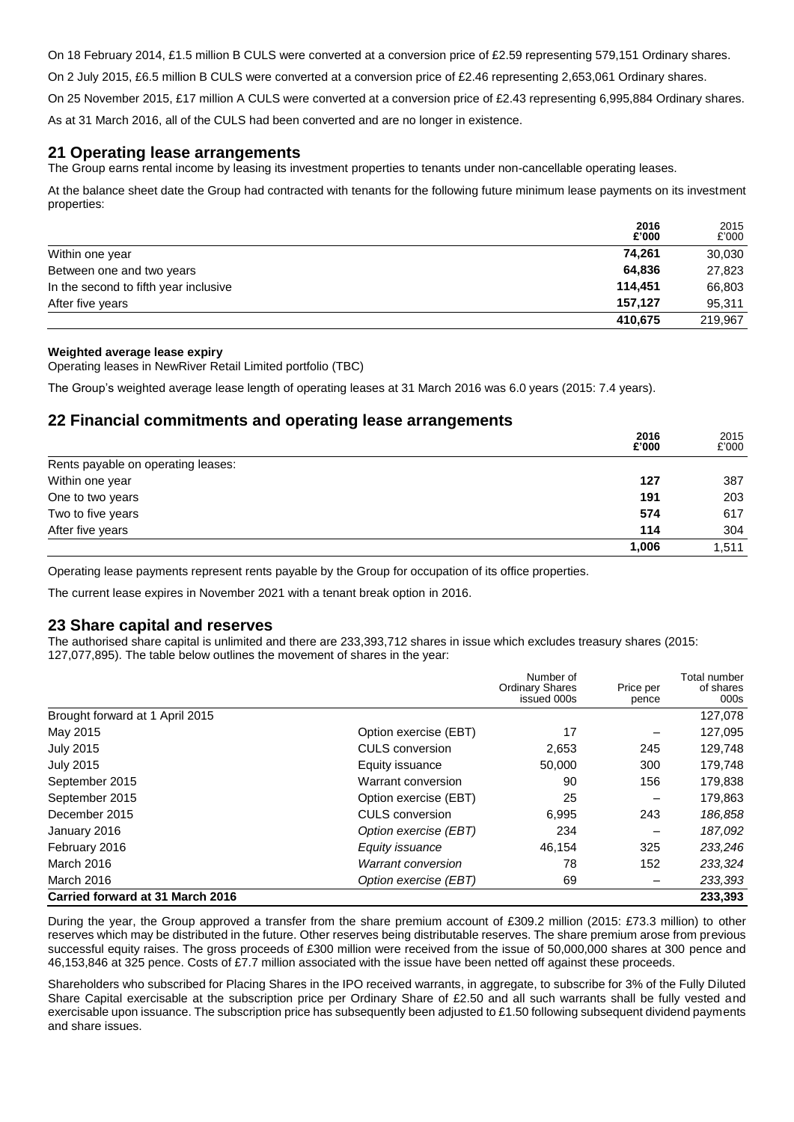On 18 February 2014, £1.5 million B CULS were converted at a conversion price of £2.59 representing 579,151 Ordinary shares. On 2 July 2015, £6.5 million B CULS were converted at a conversion price of £2.46 representing 2,653,061 Ordinary shares. On 25 November 2015, £17 million A CULS were converted at a conversion price of £2.43 representing 6,995,884 Ordinary shares. As at 31 March 2016, all of the CULS had been converted and are no longer in existence.

# **21 Operating lease arrangements**

The Group earns rental income by leasing its investment properties to tenants under non-cancellable operating leases.

At the balance sheet date the Group had contracted with tenants for the following future minimum lease payments on its investment properties:

|                                       | 2016<br>£'000 | 2015<br>£'000 |
|---------------------------------------|---------------|---------------|
| Within one year                       | 74,261        | 30,030        |
| Between one and two years             | 64.836        | 27,823        |
| In the second to fifth year inclusive | 114.451       | 66,803        |
| After five years                      | 157.127       | 95,311        |
|                                       | 410.675       | 219.967       |

# **Weighted average lease expiry**

Operating leases in NewRiver Retail Limited portfolio (TBC)

The Group's weighted average lease length of operating leases at 31 March 2016 was 6.0 years (2015: 7.4 years).

# **22 Financial commitments and operating lease arrangements**

|                                    | 2016<br>£'000 | 2015<br>£'000 |
|------------------------------------|---------------|---------------|
| Rents payable on operating leases: |               |               |
| Within one year                    | 127           | 387           |
| One to two years                   | 191           | 203           |
| Two to five years                  | 574           | 617           |
| After five years                   | 114           | 304           |
|                                    | 1,006         | .511          |

Operating lease payments represent rents payable by the Group for occupation of its office properties.

The current lease expires in November 2021 with a tenant break option in 2016.

# **23 Share capital and reserves**

The authorised share capital is unlimited and there are 233,393,712 shares in issue which excludes treasury shares (2015: 127,077,895). The table below outlines the movement of shares in the year:

|                                  |                        | Number of<br><b>Ordinary Shares</b><br>issued 000s | Price per<br>pence | Total number<br>of shares<br>000s |
|----------------------------------|------------------------|----------------------------------------------------|--------------------|-----------------------------------|
| Brought forward at 1 April 2015  |                        |                                                    |                    | 127,078                           |
| May 2015                         | Option exercise (EBT)  | 17                                                 |                    | 127,095                           |
| <b>July 2015</b>                 | <b>CULS</b> conversion | 2,653                                              | 245                | 129,748                           |
| <b>July 2015</b>                 | Equity issuance        | 50,000                                             | 300                | 179,748                           |
| September 2015                   | Warrant conversion     | 90                                                 | 156                | 179,838                           |
| September 2015                   | Option exercise (EBT)  | 25                                                 |                    | 179,863                           |
| December 2015                    | <b>CULS</b> conversion | 6,995                                              | 243                | 186,858                           |
| January 2016                     | Option exercise (EBT)  | 234                                                |                    | 187,092                           |
| February 2016                    | Equity issuance        | 46.154                                             | 325                | 233,246                           |
| March 2016                       | Warrant conversion     | 78                                                 | 152                | 233,324                           |
| March 2016                       | Option exercise (EBT)  | 69                                                 |                    | 233,393                           |
| Carried forward at 31 March 2016 |                        |                                                    |                    | 233,393                           |

During the year, the Group approved a transfer from the share premium account of £309.2 million (2015: £73.3 million) to other reserves which may be distributed in the future. Other reserves being distributable reserves. The share premium arose from previous successful equity raises. The gross proceeds of £300 million were received from the issue of 50,000,000 shares at 300 pence and 46,153,846 at 325 pence. Costs of £7.7 million associated with the issue have been netted off against these proceeds.

Shareholders who subscribed for Placing Shares in the IPO received warrants, in aggregate, to subscribe for 3% of the Fully Diluted Share Capital exercisable at the subscription price per Ordinary Share of £2.50 and all such warrants shall be fully vested and exercisable upon issuance. The subscription price has subsequently been adjusted to £1.50 following subsequent dividend payments and share issues.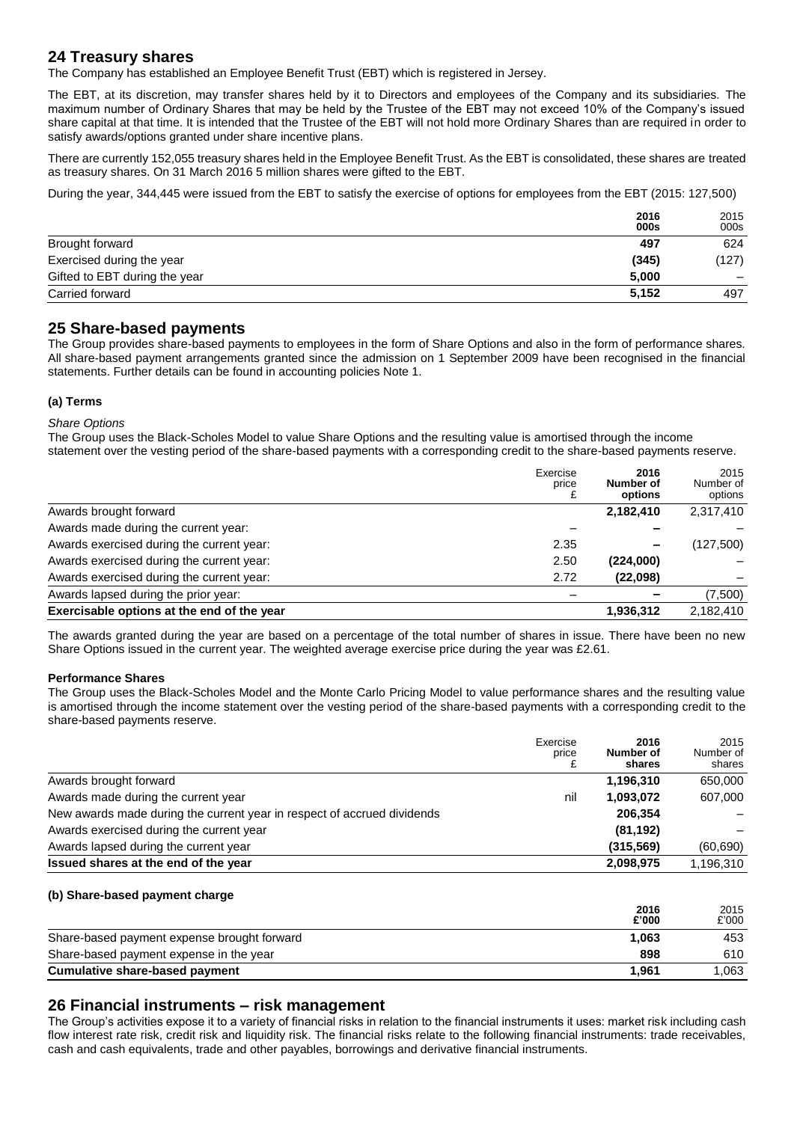# **24 Treasury shares**

The Company has established an Employee Benefit Trust (EBT) which is registered in Jersey.

The EBT, at its discretion, may transfer shares held by it to Directors and employees of the Company and its subsidiaries. The maximum number of Ordinary Shares that may be held by the Trustee of the EBT may not exceed 10% of the Company's issued share capital at that time. It is intended that the Trustee of the EBT will not hold more Ordinary Shares than are required in order to satisfy awards/options granted under share incentive plans.

There are currently 152,055 treasury shares held in the Employee Benefit Trust. As the EBT is consolidated, these shares are treated as treasury shares. On 31 March 2016 5 million shares were gifted to the EBT.

During the year, 344,445 were issued from the EBT to satisfy the exercise of options for employees from the EBT (2015: 127,500)

|                               | 2016<br>000s | 2015<br>000s |
|-------------------------------|--------------|--------------|
| Brought forward               | 497          | 624          |
| Exercised during the year     | (345)        | (127)        |
| Gifted to EBT during the year | 5,000        |              |
| Carried forward               | 5,152        | 497          |

# **25 Share-based payments**

The Group provides share-based payments to employees in the form of Share Options and also in the form of performance shares. All share-based payment arrangements granted since the admission on 1 September 2009 have been recognised in the financial statements. Further details can be found in accounting policies Note 1.

## **(a) Terms**

*Share Options*

The Group uses the Black-Scholes Model to value Share Options and the resulting value is amortised through the income statement over the vesting period of the share-based payments with a corresponding credit to the share-based payments reserve.

|                                            | Exercise<br>price | 2016<br>Number of<br>options | 2015<br>Number of<br>options |
|--------------------------------------------|-------------------|------------------------------|------------------------------|
| Awards brought forward                     |                   | 2,182,410                    | 2,317,410                    |
| Awards made during the current year:       |                   |                              |                              |
| Awards exercised during the current year:  | 2.35              |                              | (127,500)                    |
| Awards exercised during the current year:  | 2.50              | (224,000)                    |                              |
| Awards exercised during the current year:  | 2.72              | (22,098)                     |                              |
| Awards lapsed during the prior year:       |                   |                              | (7,500)                      |
| Exercisable options at the end of the year |                   | 1,936,312                    | 2,182,410                    |

The awards granted during the year are based on a percentage of the total number of shares in issue. There have been no new Share Options issued in the current year. The weighted average exercise price during the year was £2.61.

## **Performance Shares**

The Group uses the Black-Scholes Model and the Monte Carlo Pricing Model to value performance shares and the resulting value is amortised through the income statement over the vesting period of the share-based payments with a corresponding credit to the share-based payments reserve.

|                                                                         | Exercise<br>price | 2016<br>Number of<br>shares | 2015<br>Number of<br>shares |
|-------------------------------------------------------------------------|-------------------|-----------------------------|-----------------------------|
| Awards brought forward                                                  |                   | 1,196,310                   | 650,000                     |
| Awards made during the current year                                     | nil               | 1,093,072                   | 607,000                     |
| New awards made during the current year in respect of accrued dividends |                   | 206.354                     |                             |
| Awards exercised during the current year                                |                   | (81, 192)                   |                             |
| Awards lapsed during the current year                                   |                   | (315, 569)                  | (60, 690)                   |
| Issued shares at the end of the year                                    |                   | 2,098,975                   | 1,196,310                   |

## **(b) Share-based payment charge**

|                                             | 2016<br>£'000 | 2015.<br>£'000 |
|---------------------------------------------|---------------|----------------|
| Share-based payment expense brought forward | 1.063         | 453            |
| Share-based payment expense in the year     | 898           | 610            |
| Cumulative share-based payment              | 1.961         | 1.063          |

**2016**

 $2015$ 

# **26 Financial instruments – risk management**

The Group's activities expose it to a variety of financial risks in relation to the financial instruments it uses: market risk including cash flow interest rate risk, credit risk and liquidity risk. The financial risks relate to the following financial instruments: trade receivables, cash and cash equivalents, trade and other payables, borrowings and derivative financial instruments.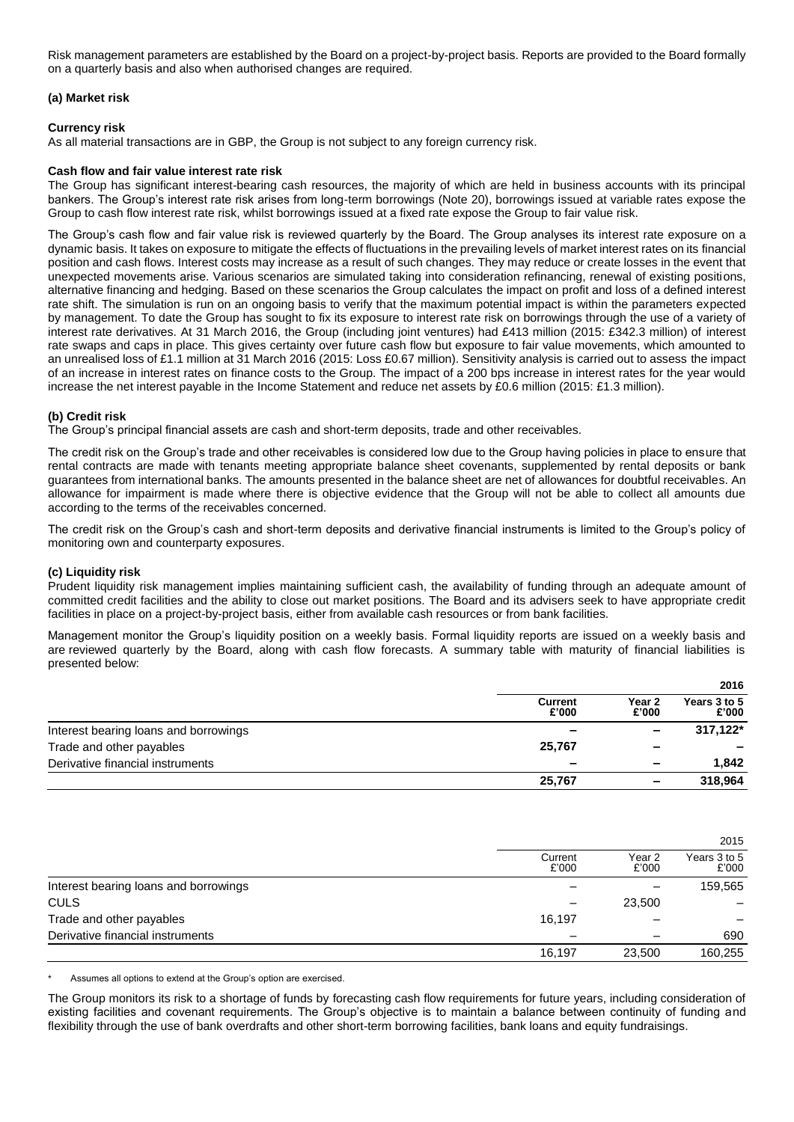Risk management parameters are established by the Board on a project-by-project basis. Reports are provided to the Board formally on a quarterly basis and also when authorised changes are required.

## **(a) Market risk**

## **Currency risk**

As all material transactions are in GBP, the Group is not subject to any foreign currency risk.

## **Cash flow and fair value interest rate risk**

The Group has significant interest-bearing cash resources, the majority of which are held in business accounts with its principal bankers. The Group's interest rate risk arises from long-term borrowings (Note 20), borrowings issued at variable rates expose the Group to cash flow interest rate risk, whilst borrowings issued at a fixed rate expose the Group to fair value risk.

The Group's cash flow and fair value risk is reviewed quarterly by the Board. The Group analyses its interest rate exposure on a dynamic basis. It takes on exposure to mitigate the effects of fluctuations in the prevailing levels of market interest rates on its financial position and cash flows. Interest costs may increase as a result of such changes. They may reduce or create losses in the event that unexpected movements arise. Various scenarios are simulated taking into consideration refinancing, renewal of existing positions, alternative financing and hedging. Based on these scenarios the Group calculates the impact on profit and loss of a defined interest rate shift. The simulation is run on an ongoing basis to verify that the maximum potential impact is within the parameters expected by management. To date the Group has sought to fix its exposure to interest rate risk on borrowings through the use of a variety of interest rate derivatives. At 31 March 2016, the Group (including joint ventures) had £413 million (2015: £342.3 million) of interest rate swaps and caps in place. This gives certainty over future cash flow but exposure to fair value movements, which amounted to an unrealised loss of £1.1 million at 31 March 2016 (2015: Loss £0.67 million). Sensitivity analysis is carried out to assess the impact of an increase in interest rates on finance costs to the Group. The impact of a 200 bps increase in interest rates for the year would increase the net interest payable in the Income Statement and reduce net assets by £0.6 million (2015: £1.3 million).

## **(b) Credit risk**

The Group's principal financial assets are cash and short-term deposits, trade and other receivables.

The credit risk on the Group's trade and other receivables is considered low due to the Group having policies in place to ensure that rental contracts are made with tenants meeting appropriate balance sheet covenants, supplemented by rental deposits or bank guarantees from international banks. The amounts presented in the balance sheet are net of allowances for doubtful receivables. An allowance for impairment is made where there is objective evidence that the Group will not be able to collect all amounts due according to the terms of the receivables concerned.

The credit risk on the Group's cash and short-term deposits and derivative financial instruments is limited to the Group's policy of monitoring own and counterparty exposures.

## **(c) Liquidity risk**

Prudent liquidity risk management implies maintaining sufficient cash, the availability of funding through an adequate amount of committed credit facilities and the ability to close out market positions. The Board and its advisers seek to have appropriate credit facilities in place on a project-by-project basis, either from available cash resources or from bank facilities.

Management monitor the Group's liquidity position on a weekly basis. Formal liquidity reports are issued on a weekly basis and are reviewed quarterly by the Board, along with cash flow forecasts. A summary table with maturity of financial liabilities is presented below:

|                                       | Current<br>£'000         | Year 2<br>£'000          | Years 3 to 5<br>£'000 |
|---------------------------------------|--------------------------|--------------------------|-----------------------|
| Interest bearing loans and borrowings |                          | $\overline{\phantom{a}}$ | 317,122*              |
| Trade and other payables              | 25,767                   | $\overline{\phantom{0}}$ |                       |
| Derivative financial instruments      | $\overline{\phantom{0}}$ | $\overline{\phantom{a}}$ | 1,842                 |
|                                       | 25,767                   | $\overline{\phantom{a}}$ | 318.964               |

|                                       | Current<br>£'000 | Year 2<br>£'000 | Years 3 to 5<br>£'000 |
|---------------------------------------|------------------|-----------------|-----------------------|
| Interest bearing loans and borrowings |                  |                 | 159,565               |
| <b>CULS</b>                           |                  | 23,500          |                       |
| Trade and other payables              | 16,197           |                 |                       |
| Derivative financial instruments      |                  |                 | 690                   |
|                                       | 16,197           | 23,500          | 160.255               |

Assumes all options to extend at the Group's option are exercised.

The Group monitors its risk to a shortage of funds by forecasting cash flow requirements for future years, including consideration of existing facilities and covenant requirements. The Group's objective is to maintain a balance between continuity of funding and flexibility through the use of bank overdrafts and other short-term borrowing facilities, bank loans and equity fundraisings.